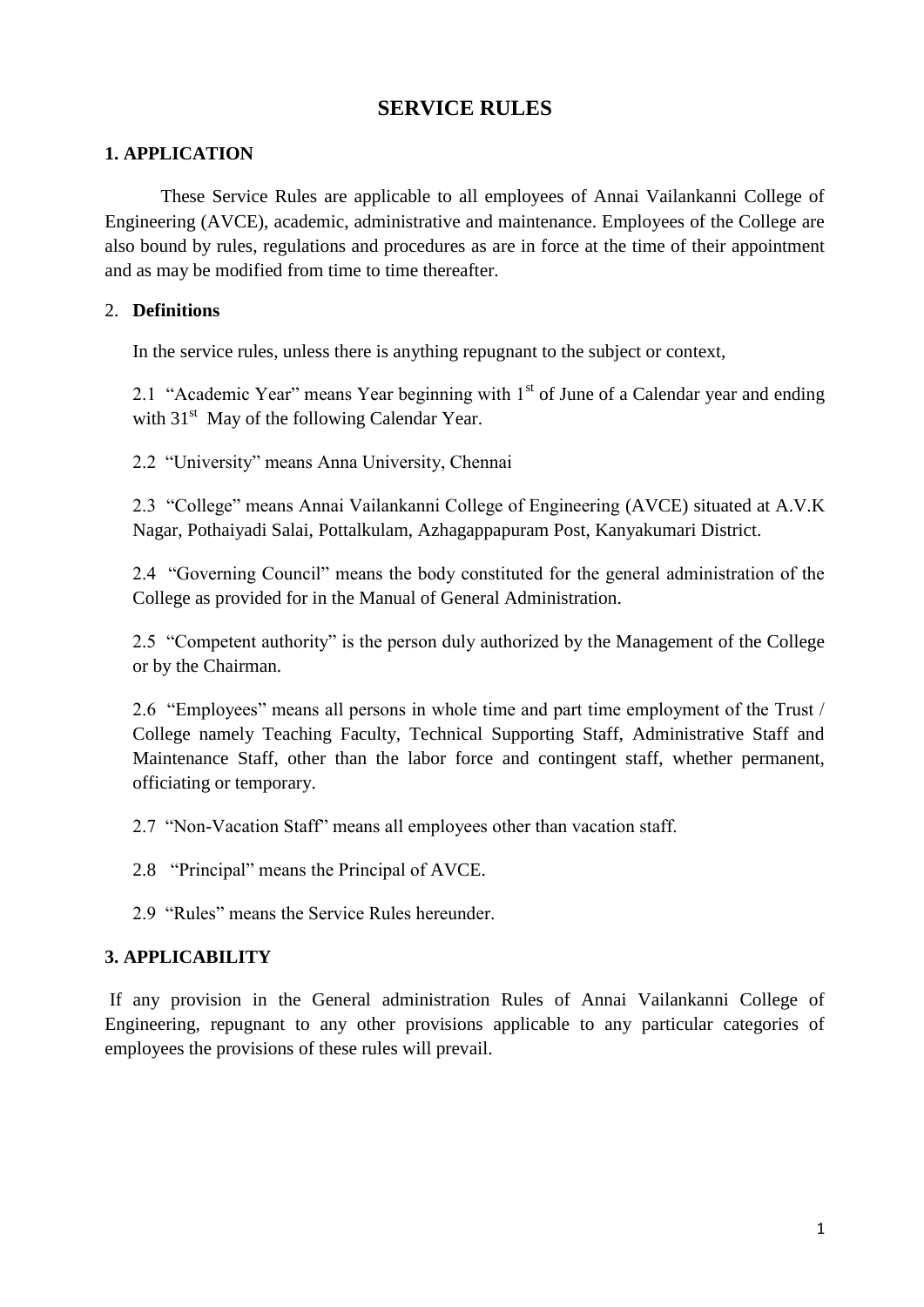# **SERVICE RULES**

### **1. APPLICATION**

These Service Rules are applicable to all employees of Annai Vailankanni College of Engineering (AVCE), academic, administrative and maintenance. Employees of the College are also bound by rules, regulations and procedures as are in force at the time of their appointment and as may be modified from time to time thereafter.

### 2. **Definitions**

In the service rules, unless there is anything repugnant to the subject or context,

2.1 "Academic Year" means Year beginning with  $1<sup>st</sup>$  of June of a Calendar year and ending with 31<sup>st</sup> May of the following Calendar Year.

2.2 "University" means Anna University, Chennai

2.3 "College" means Annai Vailankanni College of Engineering (AVCE) situated at A.V.K Nagar, Pothaiyadi Salai, Pottalkulam, Azhagappapuram Post, Kanyakumari District.

2.4 "Governing Council" means the body constituted for the general administration of the College as provided for in the Manual of General Administration.

2.5 "Competent authority" is the person duly authorized by the Management of the College or by the Chairman.

2.6 "Employees" means all persons in whole time and part time employment of the Trust / College namely Teaching Faculty, Technical Supporting Staff, Administrative Staff and Maintenance Staff, other than the labor force and contingent staff, whether permanent, officiating or temporary.

2.7 "Non-Vacation Staff" means all employees other than vacation staff.

2.8 "Principal" means the Principal of AVCE.

2.9 "Rules" means the Service Rules hereunder.

# **3. APPLICABILITY**

If any provision in the General administration Rules of Annai Vailankanni College of Engineering, repugnant to any other provisions applicable to any particular categories of employees the provisions of these rules will prevail.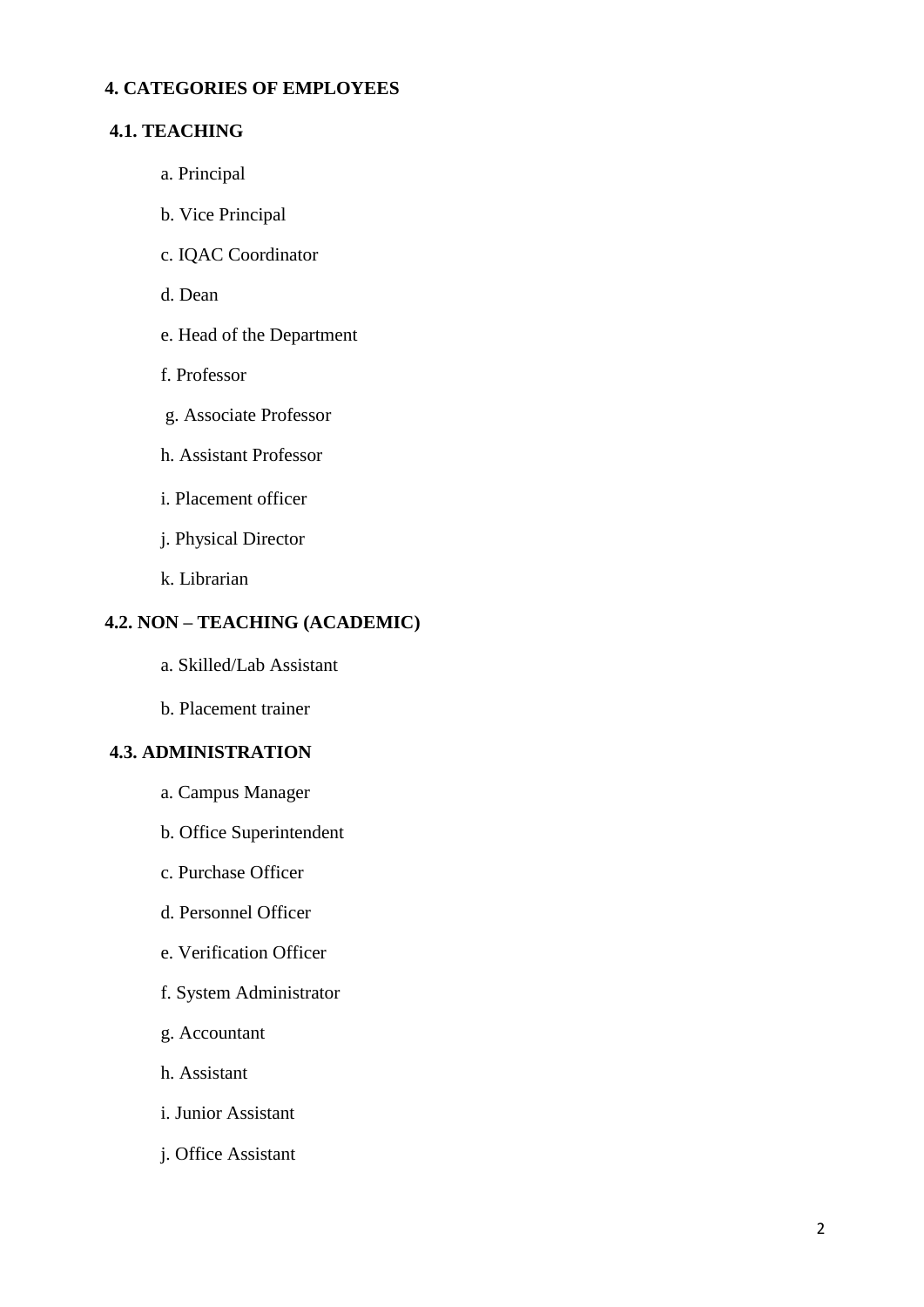### **4. CATEGORIES OF EMPLOYEES**

# **4.1. TEACHING**

- a. Principal
- b. Vice Principal
- c. IQAC Coordinator
- d. Dean
- e. Head of the Department
- f. Professor
- g. Associate Professor
- h. Assistant Professor
- i. Placement officer
- j. Physical Director
- k. Librarian

# **4.2. NON – TEACHING (ACADEMIC)**

- a. Skilled/Lab Assistant
- b. Placement trainer

# **4.3. ADMINISTRATION**

- a. Campus Manager
- b. Office Superintendent
- c. Purchase Officer
- d. Personnel Officer
- e. Verification Officer
- f. System Administrator
- g. Accountant
- h. Assistant
- i. Junior Assistant
- j. Office Assistant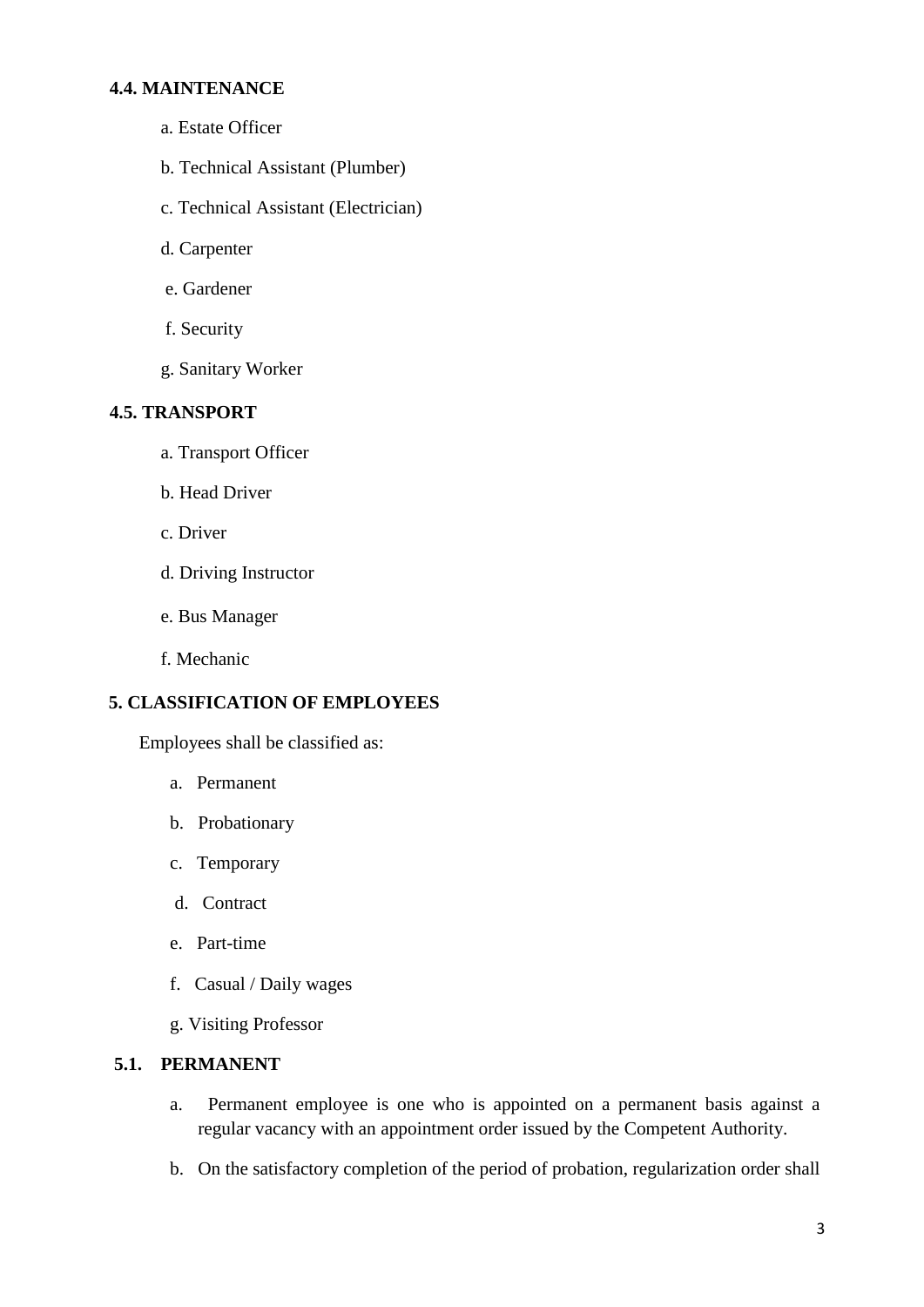### **4.4. MAINTENANCE**

- a. Estate Officer
- b. Technical Assistant (Plumber)
- c. Technical Assistant (Electrician)
- d. Carpenter
- e. Gardener
- f. Security
- g. Sanitary Worker

# **4.5. TRANSPORT**

- a. Transport Officer
- b. Head Driver
- c. Driver
- d. Driving Instructor
- e. Bus Manager
- f. Mechanic

# **5. CLASSIFICATION OF EMPLOYEES**

Employees shall be classified as:

- a. Permanent
- b. Probationary
- c. Temporary
- d. Contract
- e. Part-time
- f. Casual / Daily wages
- g. Visiting Professor

# **5.1. PERMANENT**

- a. Permanent employee is one who is appointed on a permanent basis against a regular vacancy with an appointment order issued by the Competent Authority.
- b. On the satisfactory completion of the period of probation, regularization order shall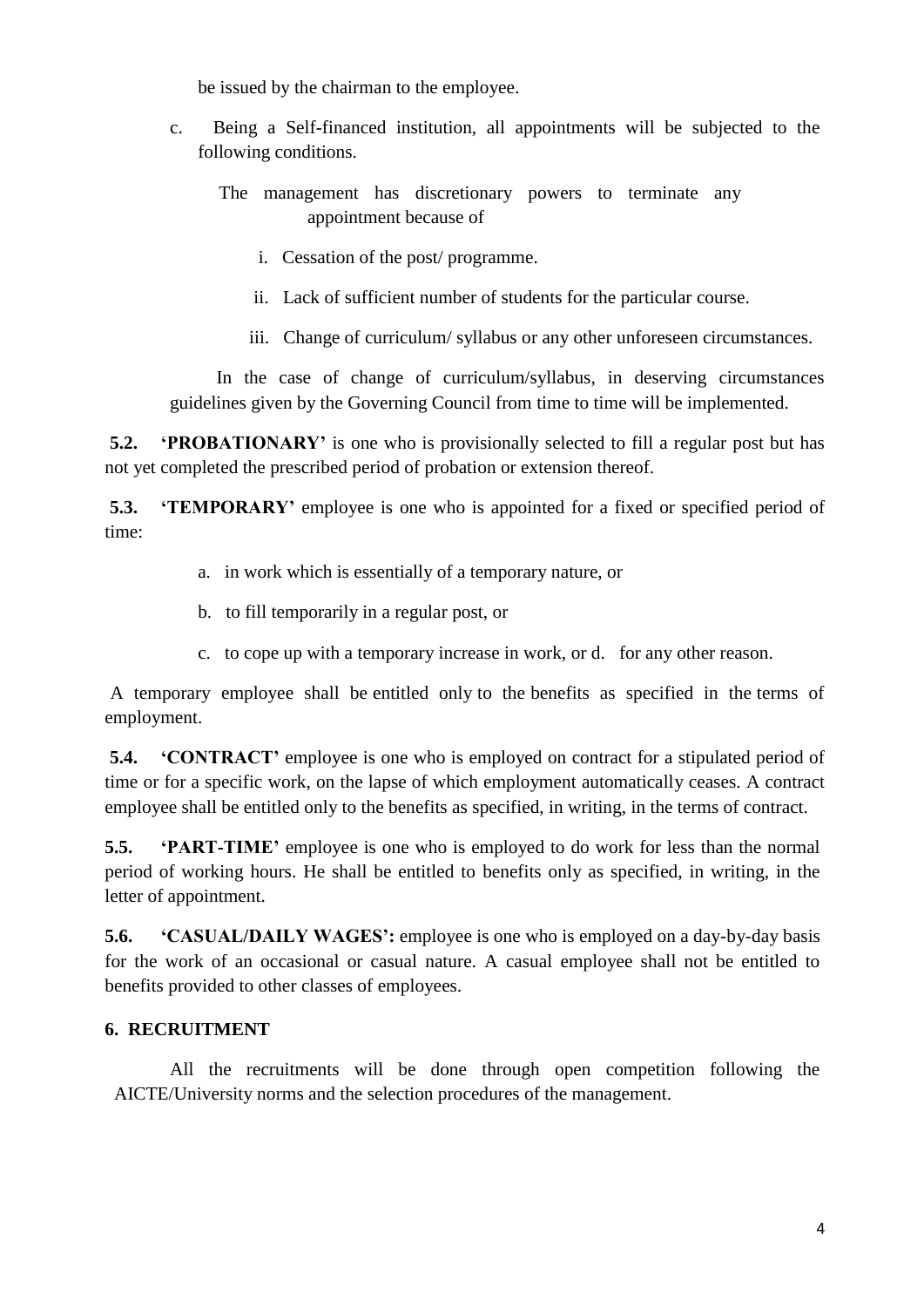be issued by the chairman to the employee.

- c. Being a Self-financed institution, all appointments will be subjected to the following conditions.
	- The management has discretionary powers to terminate any appointment because of
		- i. Cessation of the post/ programme.
		- ii. Lack of sufficient number of students for the particular course.
		- iii. Change of curriculum/ syllabus or any other unforeseen circumstances.

In the case of change of curriculum/syllabus, in deserving circumstances guidelines given by the Governing Council from time to time will be implemented.

**5.2. "PROBATIONARY'** is one who is provisionally selected to fill a regular post but has not yet completed the prescribed period of probation or extension thereof.

**5.3. "TEMPORARY'** employee is one who is appointed for a fixed or specified period of time:

- a. in work which is essentially of a temporary nature, or
- b. to fill temporarily in a regular post, or
- c. to cope up with a temporary increase in work, or d. for any other reason.

A temporary employee shall be entitled only to the benefits as specified in the terms of employment.

**5.4. "CONTRACT"** employee is one who is employed on contract for a stipulated period of time or for a specific work, on the lapse of which employment automatically ceases. A contract employee shall be entitled only to the benefits as specified, in writing, in the terms of contract.

**5.5. "PART-TIME'** employee is one who is employed to do work for less than the normal period of working hours. He shall be entitled to benefits only as specified, in writing, in the letter of appointment.

**5.6. CASUAL/DAILY WAGES':** employee is one who is employed on a day-by-day basis for the work of an occasional or casual nature. A casual employee shall not be entitled to benefits provided to other classes of employees.

# **6. RECRUITMENT**

All the recruitments will be done through open competition following the AICTE/University norms and the selection procedures of the management.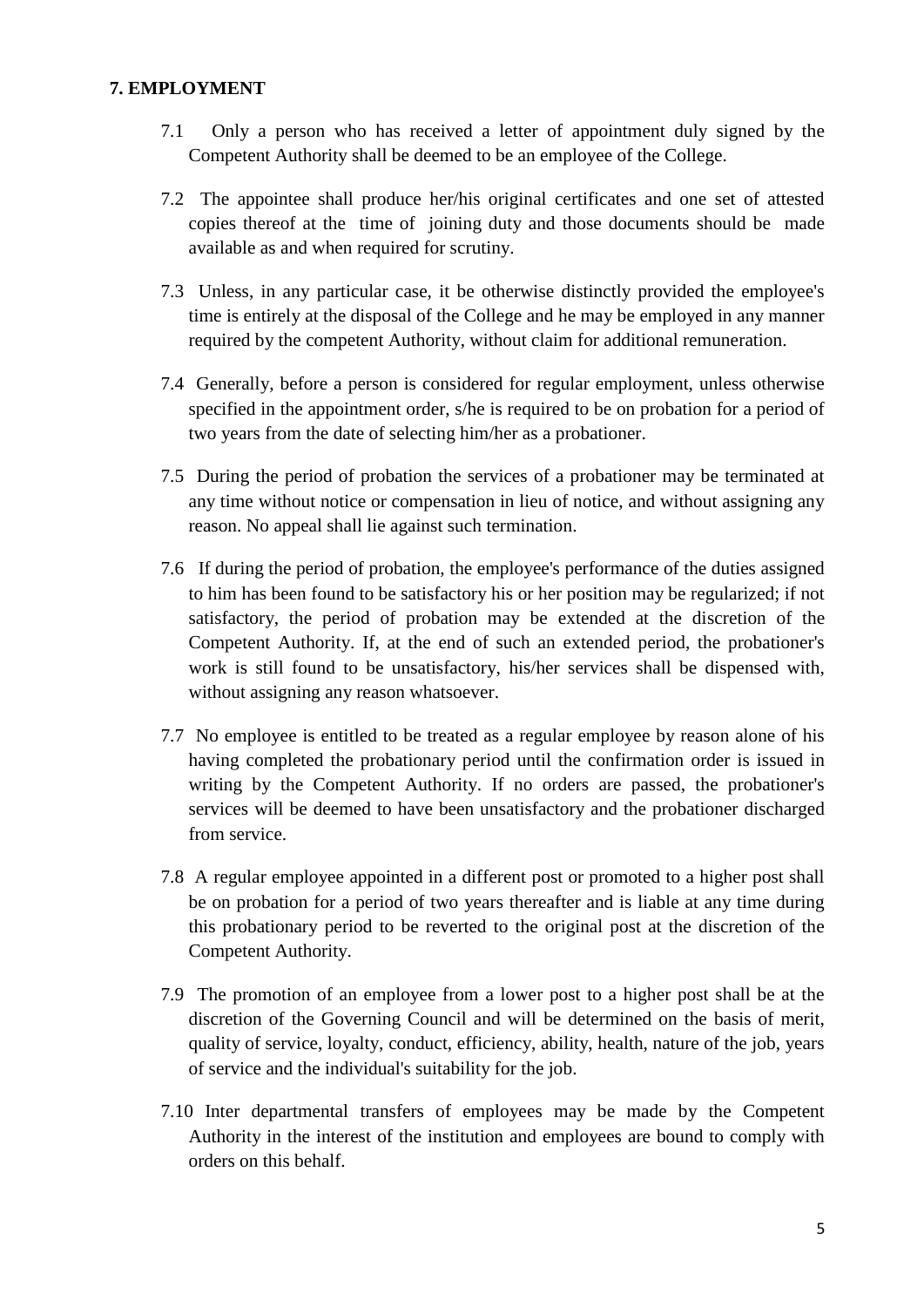### **7. EMPLOYMENT**

- 7.1 Only a person who has received a letter of appointment duly signed by the Competent Authority shall be deemed to be an employee of the College.
- 7.2 The appointee shall produce her/his original certificates and one set of attested copies thereof at the time of joining duty and those documents should be made available as and when required for scrutiny.
- 7.3 Unless, in any particular case, it be otherwise distinctly provided the employee's time is entirely at the disposal of the College and he may be employed in any manner required by the competent Authority, without claim for additional remuneration.
- 7.4 Generally, before a person is considered for regular employment, unless otherwise specified in the appointment order, s/he is required to be on probation for a period of two years from the date of selecting him/her as a probationer.
- 7.5 During the period of probation the services of a probationer may be terminated at any time without notice or compensation in lieu of notice, and without assigning any reason. No appeal shall lie against such termination.
- 7.6 If during the period of probation, the employee's performance of the duties assigned to him has been found to be satisfactory his or her position may be regularized; if not satisfactory, the period of probation may be extended at the discretion of the Competent Authority. If, at the end of such an extended period, the probationer's work is still found to be unsatisfactory, his/her services shall be dispensed with, without assigning any reason whatsoever.
- 7.7 No employee is entitled to be treated as a regular employee by reason alone of his having completed the probationary period until the confirmation order is issued in writing by the Competent Authority. If no orders are passed, the probationer's services will be deemed to have been unsatisfactory and the probationer discharged from service.
- 7.8 A regular employee appointed in a different post or promoted to a higher post shall be on probation for a period of two years thereafter and is liable at any time during this probationary period to be reverted to the original post at the discretion of the Competent Authority.
- 7.9 The promotion of an employee from a lower post to a higher post shall be at the discretion of the Governing Council and will be determined on the basis of merit, quality of service, loyalty, conduct, efficiency, ability, health, nature of the job, years of service and the individual's suitability for the job.
- 7.10 Inter departmental transfers of employees may be made by the Competent Authority in the interest of the institution and employees are bound to comply with orders on this behalf.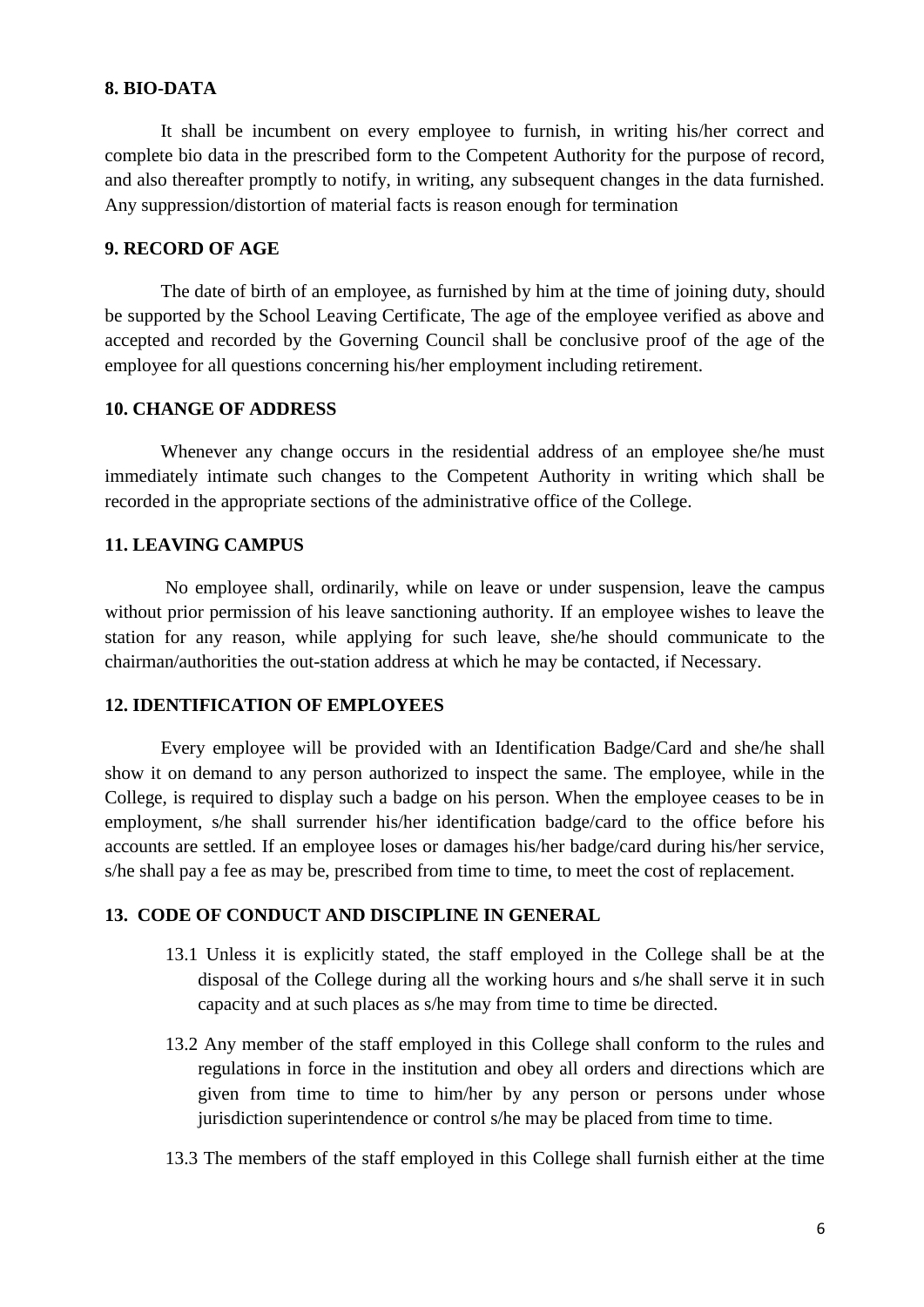#### **8. BIO-DATA**

It shall be incumbent on every employee to furnish, in writing his/her correct and complete bio data in the prescribed form to the Competent Authority for the purpose of record, and also thereafter promptly to notify, in writing, any subsequent changes in the data furnished. Any suppression/distortion of material facts is reason enough for termination

#### **9. RECORD OF AGE**

The date of birth of an employee, as furnished by him at the time of joining duty, should be supported by the School Leaving Certificate, The age of the employee verified as above and accepted and recorded by the Governing Council shall be conclusive proof of the age of the employee for all questions concerning his/her employment including retirement.

#### **10. CHANGE OF ADDRESS**

Whenever any change occurs in the residential address of an employee she/he must immediately intimate such changes to the Competent Authority in writing which shall be recorded in the appropriate sections of the administrative office of the College.

### **11. LEAVING CAMPUS**

No employee shall, ordinarily, while on leave or under suspension, leave the campus without prior permission of his leave sanctioning authority. If an employee wishes to leave the station for any reason, while applying for such leave, she/he should communicate to the chairman/authorities the out-station address at which he may be contacted, if Necessary.

### **12. IDENTIFICATION OF EMPLOYEES**

Every employee will be provided with an Identification Badge/Card and she/he shall show it on demand to any person authorized to inspect the same. The employee, while in the College, is required to display such a badge on his person. When the employee ceases to be in employment, s/he shall surrender his/her identification badge/card to the office before his accounts are settled. If an employee loses or damages his/her badge/card during his/her service, s/he shall pay a fee as may be, prescribed from time to time, to meet the cost of replacement.

#### **13. CODE OF CONDUCT AND DISCIPLINE IN GENERAL**

- 13.1 Unless it is explicitly stated, the staff employed in the College shall be at the disposal of the College during all the working hours and s/he shall serve it in such capacity and at such places as s/he may from time to time be directed.
- 13.2 Any member of the staff employed in this College shall conform to the rules and regulations in force in the institution and obey all orders and directions which are given from time to time to him/her by any person or persons under whose jurisdiction superintendence or control s/he may be placed from time to time.
- 13.3 The members of the staff employed in this College shall furnish either at the time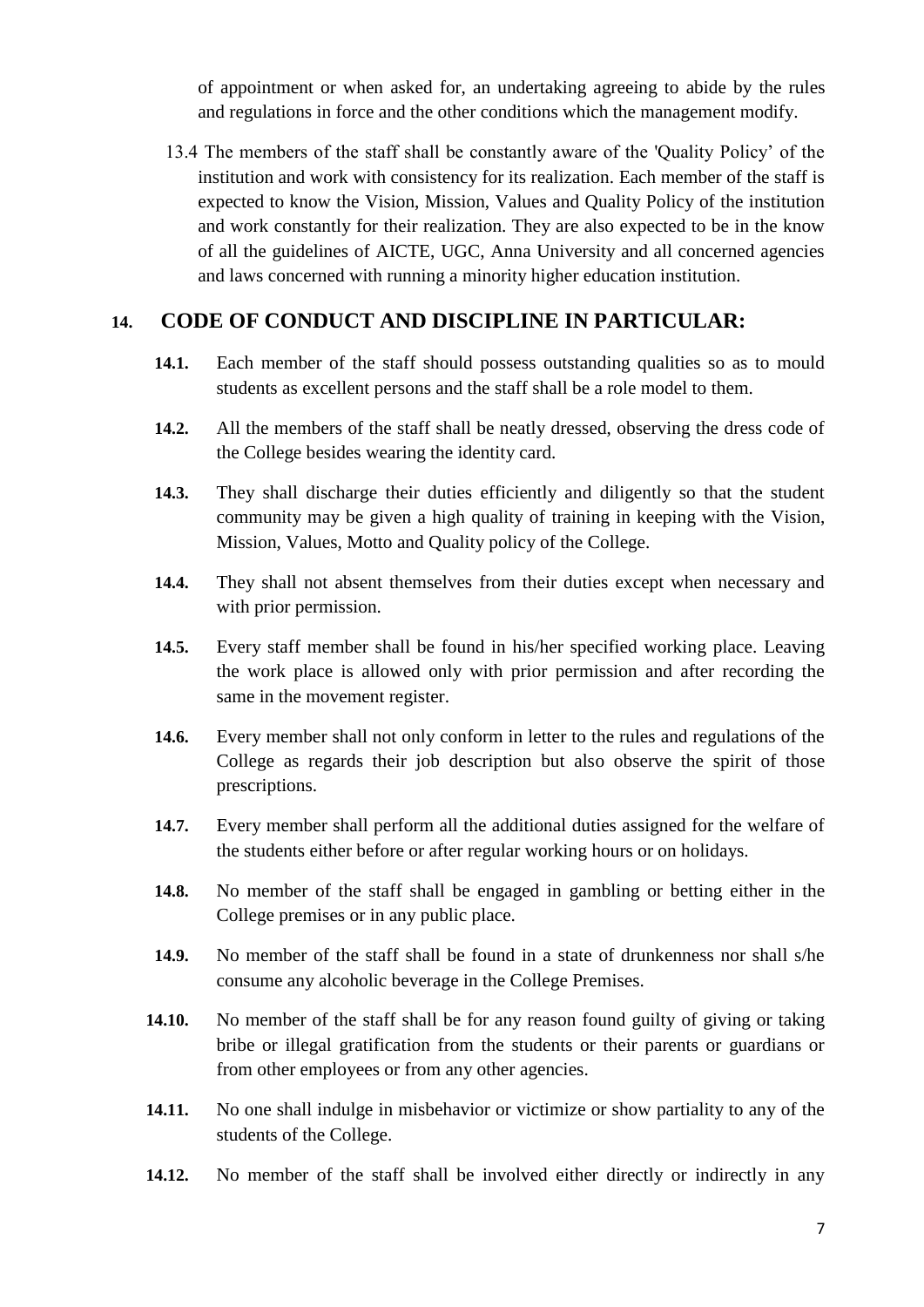of appointment or when asked for, an undertaking agreeing to abide by the rules and regulations in force and the other conditions which the management modify.

13.4 The members of the staff shall be constantly aware of the 'Quality Policy' of the institution and work with consistency for its realization. Each member of the staff is expected to know the Vision, Mission, Values and Quality Policy of the institution and work constantly for their realization. They are also expected to be in the know of all the guidelines of AICTE, UGC, Anna University and all concerned agencies and laws concerned with running a minority higher education institution.

# **14. CODE OF CONDUCT AND DISCIPLINE IN PARTICULAR:**

- **14.1.** Each member of the staff should possess outstanding qualities so as to mould students as excellent persons and the staff shall be a role model to them.
- **14.2.** All the members of the staff shall be neatly dressed, observing the dress code of the College besides wearing the identity card.
- **14.3.** They shall discharge their duties efficiently and diligently so that the student community may be given a high quality of training in keeping with the Vision, Mission, Values, Motto and Quality policy of the College.
- **14.4.** They shall not absent themselves from their duties except when necessary and with prior permission.
- **14.5.** Every staff member shall be found in his/her specified working place. Leaving the work place is allowed only with prior permission and after recording the same in the movement register.
- **14.6.** Every member shall not only conform in letter to the rules and regulations of the College as regards their job description but also observe the spirit of those prescriptions.
- **14.7.** Every member shall perform all the additional duties assigned for the welfare of the students either before or after regular working hours or on holidays.
- **14.8.** No member of the staff shall be engaged in gambling or betting either in the College premises or in any public place.
- **14.9.** No member of the staff shall be found in a state of drunkenness nor shall s/he consume any alcoholic beverage in the College Premises.
- **14.10.** No member of the staff shall be for any reason found guilty of giving or taking bribe or illegal gratification from the students or their parents or guardians or from other employees or from any other agencies.
- **14.11.** No one shall indulge in misbehavior or victimize or show partiality to any of the students of the College.
- **14.12.** No member of the staff shall be involved either directly or indirectly in any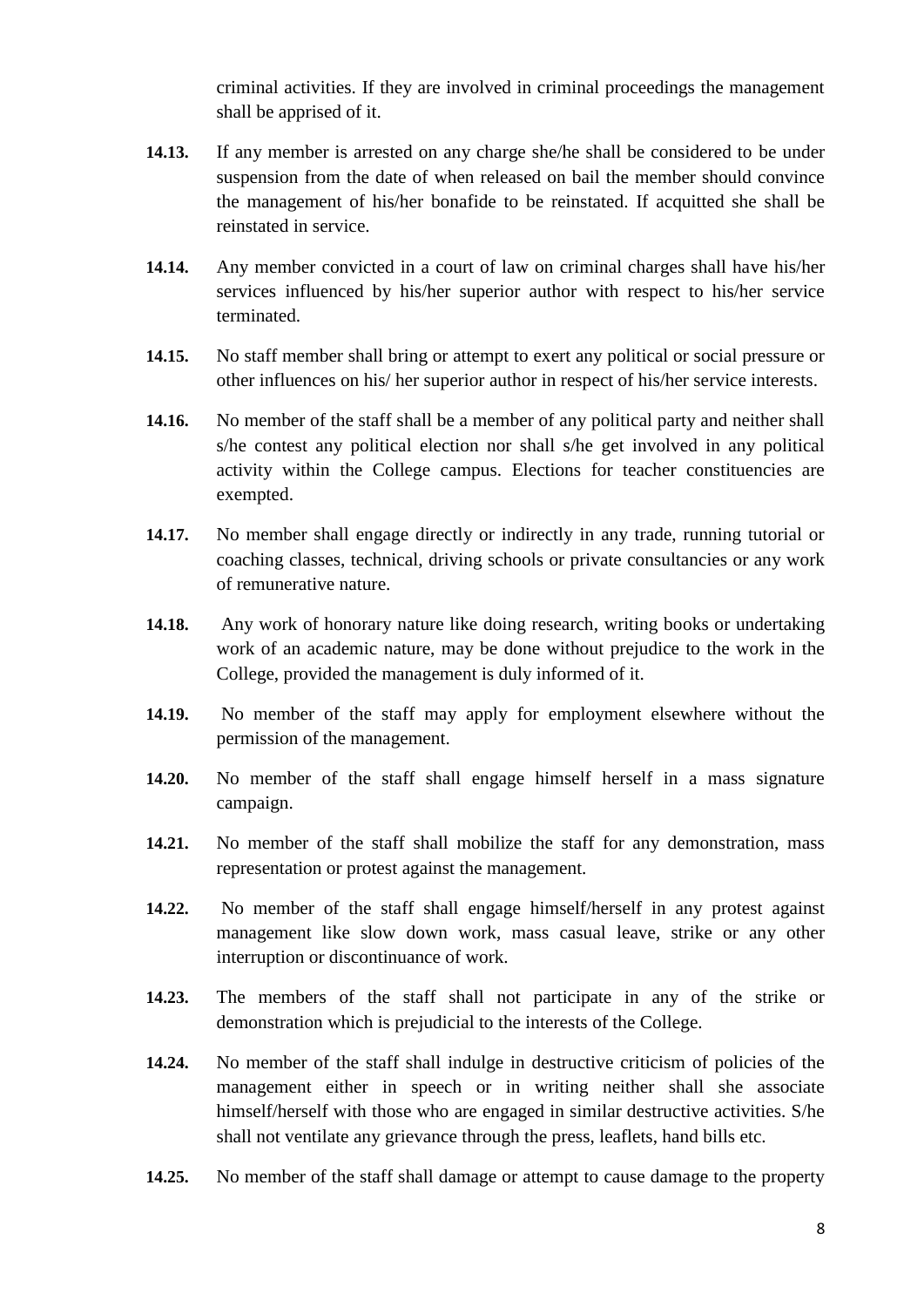criminal activities. If they are involved in criminal proceedings the management shall be apprised of it.

- **14.13.** If any member is arrested on any charge she/he shall be considered to be under suspension from the date of when released on bail the member should convince the management of his/her bonafide to be reinstated. If acquitted she shall be reinstated in service.
- **14.14.** Any member convicted in a court of law on criminal charges shall have his/her services influenced by his/her superior author with respect to his/her service terminated.
- **14.15.** No staff member shall bring or attempt to exert any political or social pressure or other influences on his/ her superior author in respect of his/her service interests.
- **14.16.** No member of the staff shall be a member of any political party and neither shall s/he contest any political election nor shall s/he get involved in any political activity within the College campus. Elections for teacher constituencies are exempted.
- **14.17.** No member shall engage directly or indirectly in any trade, running tutorial or coaching classes, technical, driving schools or private consultancies or any work of remunerative nature.
- **14.18.** Any work of honorary nature like doing research, writing books or undertaking work of an academic nature, may be done without prejudice to the work in the College, provided the management is duly informed of it.
- **14.19.** No member of the staff may apply for employment elsewhere without the permission of the management.
- **14.20.** No member of the staff shall engage himself herself in a mass signature campaign.
- **14.21.** No member of the staff shall mobilize the staff for any demonstration, mass representation or protest against the management.
- **14.22.** No member of the staff shall engage himself/herself in any protest against management like slow down work, mass casual leave, strike or any other interruption or discontinuance of work.
- **14.23.** The members of the staff shall not participate in any of the strike or demonstration which is prejudicial to the interests of the College.
- **14.24.** No member of the staff shall indulge in destructive criticism of policies of the management either in speech or in writing neither shall she associate himself/herself with those who are engaged in similar destructive activities. S/he shall not ventilate any grievance through the press, leaflets, hand bills etc.
- **14.25.** No member of the staff shall damage or attempt to cause damage to the property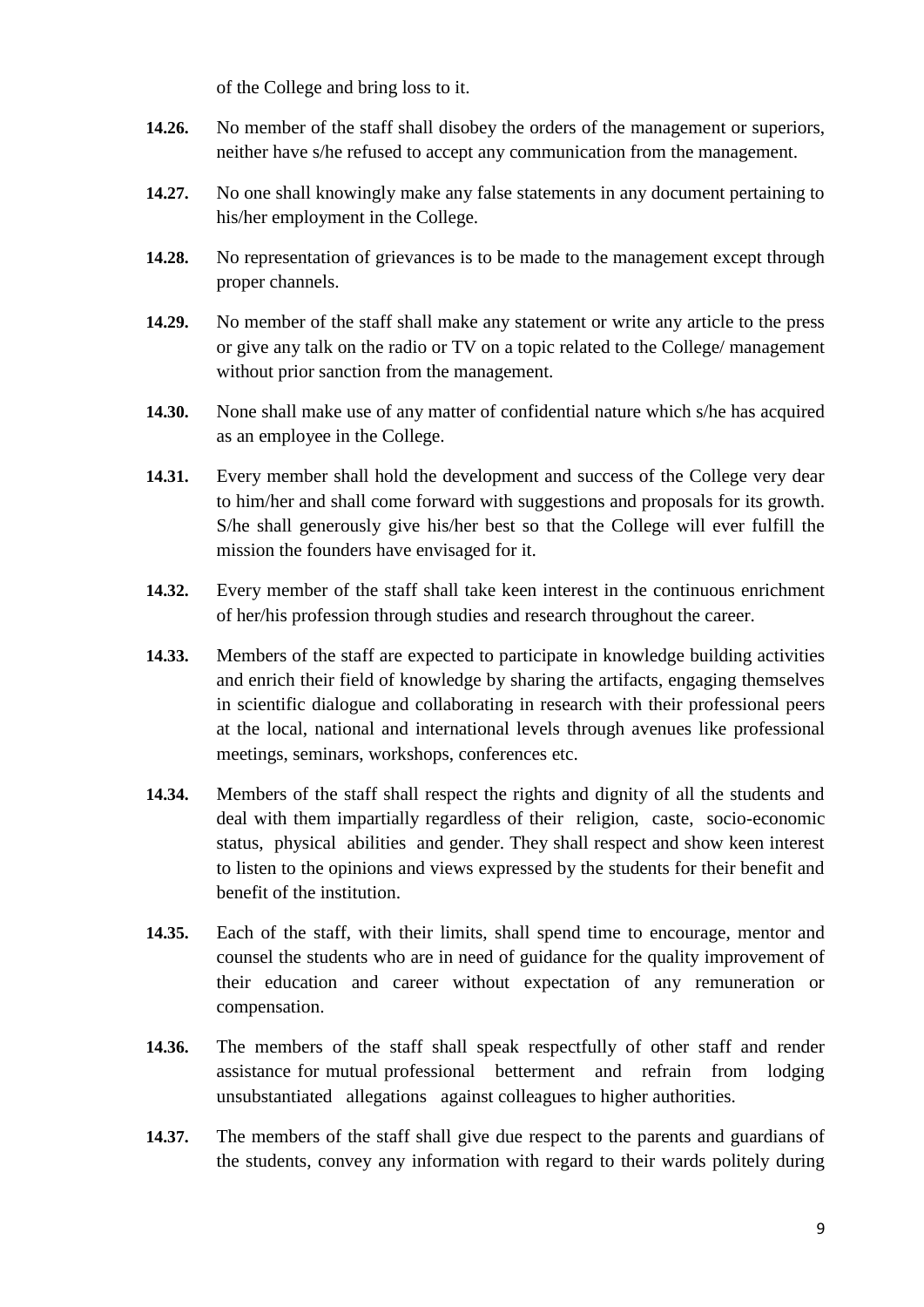of the College and bring loss to it.

- **14.26.** No member of the staff shall disobey the orders of the management or superiors, neither have s/he refused to accept any communication from the management.
- **14.27.** No one shall knowingly make any false statements in any document pertaining to his/her employment in the College.
- **14.28.** No representation of grievances is to be made to the management except through proper channels.
- **14.29.** No member of the staff shall make any statement or write any article to the press or give any talk on the radio or TV on a topic related to the College/ management without prior sanction from the management.
- **14.30.** None shall make use of any matter of confidential nature which s/he has acquired as an employee in the College.
- **14.31.** Every member shall hold the development and success of the College very dear to him/her and shall come forward with suggestions and proposals for its growth. S/he shall generously give his/her best so that the College will ever fulfill the mission the founders have envisaged for it.
- **14.32.** Every member of the staff shall take keen interest in the continuous enrichment of her/his profession through studies and research throughout the career.
- **14.33.** Members of the staff are expected to participate in knowledge building activities and enrich their field of knowledge by sharing the artifacts, engaging themselves in scientific dialogue and collaborating in research with their professional peers at the local, national and international levels through avenues like professional meetings, seminars, workshops, conferences etc.
- **14.34.** Members of the staff shall respect the rights and dignity of all the students and deal with them impartially regardless of their religion, caste, socio-economic status, physical abilities and gender. They shall respect and show keen interest to listen to the opinions and views expressed by the students for their benefit and benefit of the institution.
- **14.35.** Each of the staff, with their limits, shall spend time to encourage, mentor and counsel the students who are in need of guidance for the quality improvement of their education and career without expectation of any remuneration or compensation.
- **14.36.** The members of the staff shall speak respectfully of other staff and render assistance for mutual professional betterment and refrain from lodging unsubstantiated allegations against colleagues to higher authorities.
- **14.37.** The members of the staff shall give due respect to the parents and guardians of the students, convey any information with regard to their wards politely during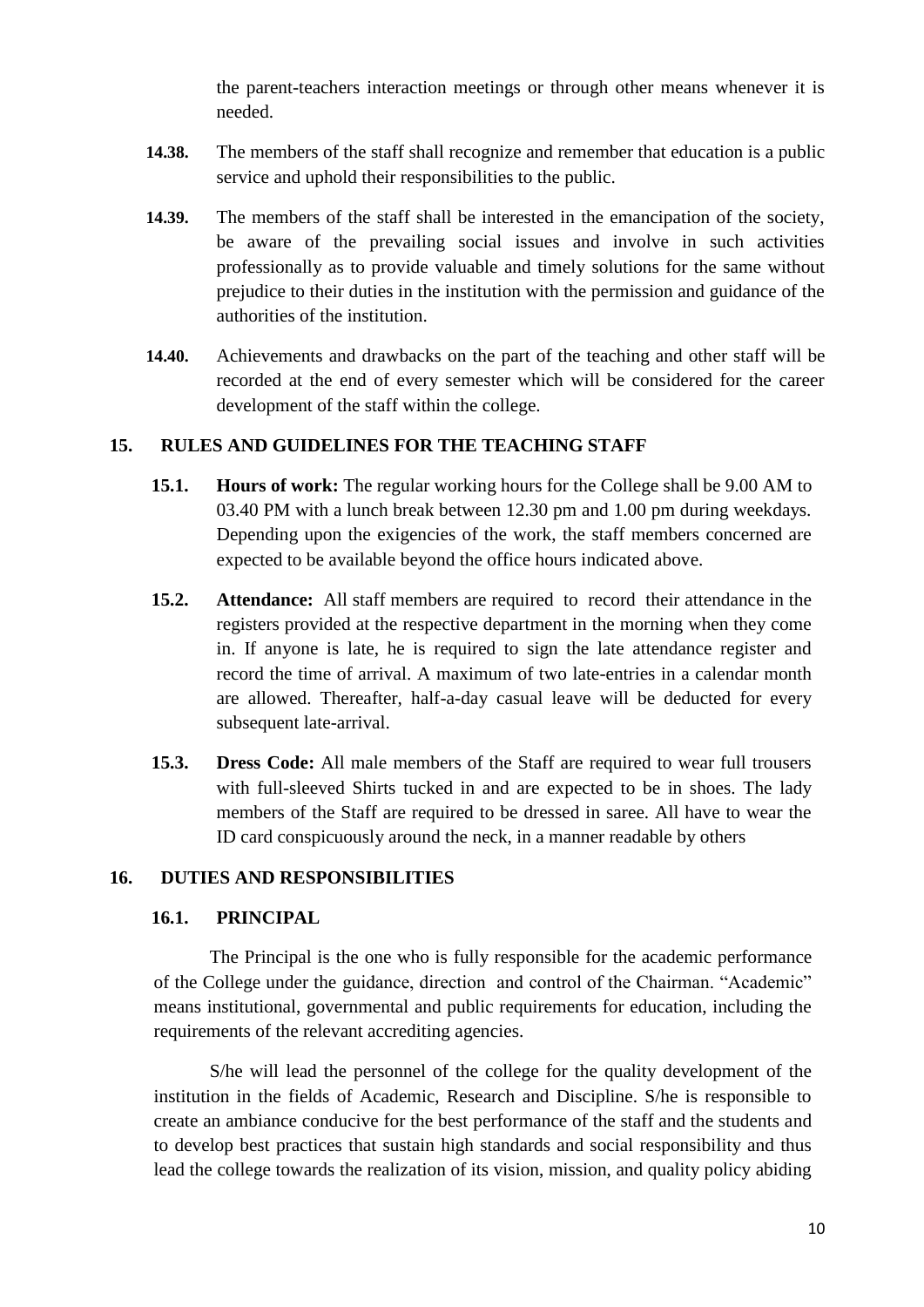the parent-teachers interaction meetings or through other means whenever it is needed.

- **14.38.** The members of the staff shall recognize and remember that education is a public service and uphold their responsibilities to the public.
- **14.39.** The members of the staff shall be interested in the emancipation of the society, be aware of the prevailing social issues and involve in such activities professionally as to provide valuable and timely solutions for the same without prejudice to their duties in the institution with the permission and guidance of the authorities of the institution.
- **14.40.** Achievements and drawbacks on the part of the teaching and other staff will be recorded at the end of every semester which will be considered for the career development of the staff within the college.

# **15. RULES AND GUIDELINES FOR THE TEACHING STAFF**

- **15.1. Hours of work:** The regular working hours for the College shall be 9.00 AM to 03.40 PM with a lunch break between 12.30 pm and 1.00 pm during weekdays. Depending upon the exigencies of the work, the staff members concerned are expected to be available beyond the office hours indicated above.
- **15.2. Attendance:** All staff members are required to record their attendance in the registers provided at the respective department in the morning when they come in. If anyone is late, he is required to sign the late attendance register and record the time of arrival. A maximum of two late-entries in a calendar month are allowed. Thereafter, half-a-day casual leave will be deducted for every subsequent late-arrival.
- **15.3. Dress Code:** All male members of the Staff are required to wear full trousers with full-sleeved Shirts tucked in and are expected to be in shoes. The lady members of the Staff are required to be dressed in saree. All have to wear the ID card conspicuously around the neck, in a manner readable by others

# **16. DUTIES AND RESPONSIBILITIES**

# **16.1. PRINCIPAL**

The Principal is the one who is fully responsible for the academic performance of the College under the guidance, direction and control of the Chairman. "Academic" means institutional, governmental and public requirements for education, including the requirements of the relevant accrediting agencies.

S/he will lead the personnel of the college for the quality development of the institution in the fields of Academic, Research and Discipline. S/he is responsible to create an ambiance conducive for the best performance of the staff and the students and to develop best practices that sustain high standards and social responsibility and thus lead the college towards the realization of its vision, mission, and quality policy abiding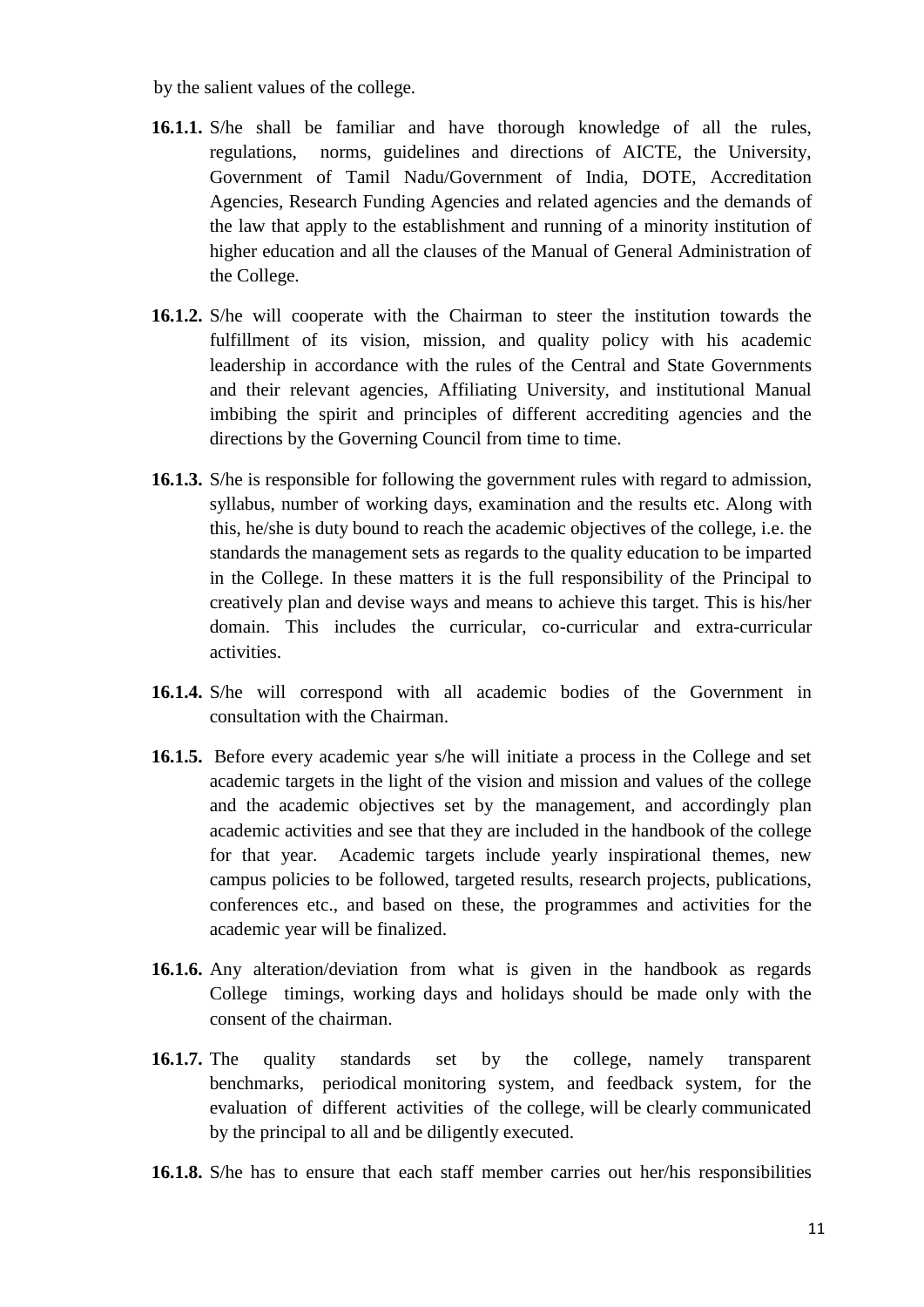by the salient values of the college.

- **16.1.1.** S/he shall be familiar and have thorough knowledge of all the rules, regulations, norms, guidelines and directions of AICTE, the University, Government of Tamil Nadu/Government of India, DOTE, Accreditation Agencies, Research Funding Agencies and related agencies and the demands of the law that apply to the establishment and running of a minority institution of higher education and all the clauses of the Manual of General Administration of the College.
- **16.1.2.** S/he will cooperate with the Chairman to steer the institution towards the fulfillment of its vision, mission, and quality policy with his academic leadership in accordance with the rules of the Central and State Governments and their relevant agencies, Affiliating University, and institutional Manual imbibing the spirit and principles of different accrediting agencies and the directions by the Governing Council from time to time.
- **16.1.3.** S/he is responsible for following the government rules with regard to admission, syllabus, number of working days, examination and the results etc. Along with this, he/she is duty bound to reach the academic objectives of the college, i.e. the standards the management sets as regards to the quality education to be imparted in the College. In these matters it is the full responsibility of the Principal to creatively plan and devise ways and means to achieve this target. This is his/her domain. This includes the curricular, co-curricular and extra-curricular activities.
- **16.1.4.** S/he will correspond with all academic bodies of the Government in consultation with the Chairman.
- **16.1.5.** Before every academic year s/he will initiate a process in the College and set academic targets in the light of the vision and mission and values of the college and the academic objectives set by the management, and accordingly plan academic activities and see that they are included in the handbook of the college for that year. Academic targets include yearly inspirational themes, new campus policies to be followed, targeted results, research projects, publications, conferences etc., and based on these, the programmes and activities for the academic year will be finalized.
- **16.1.6.** Any alteration/deviation from what is given in the handbook as regards College timings, working days and holidays should be made only with the consent of the chairman.
- **16.1.7.** The quality standards set by the college, namely transparent benchmarks, periodical monitoring system, and feedback system, for the evaluation of different activities of the college, will be clearly communicated by the principal to all and be diligently executed.
- **16.1.8.** S/he has to ensure that each staff member carries out her/his responsibilities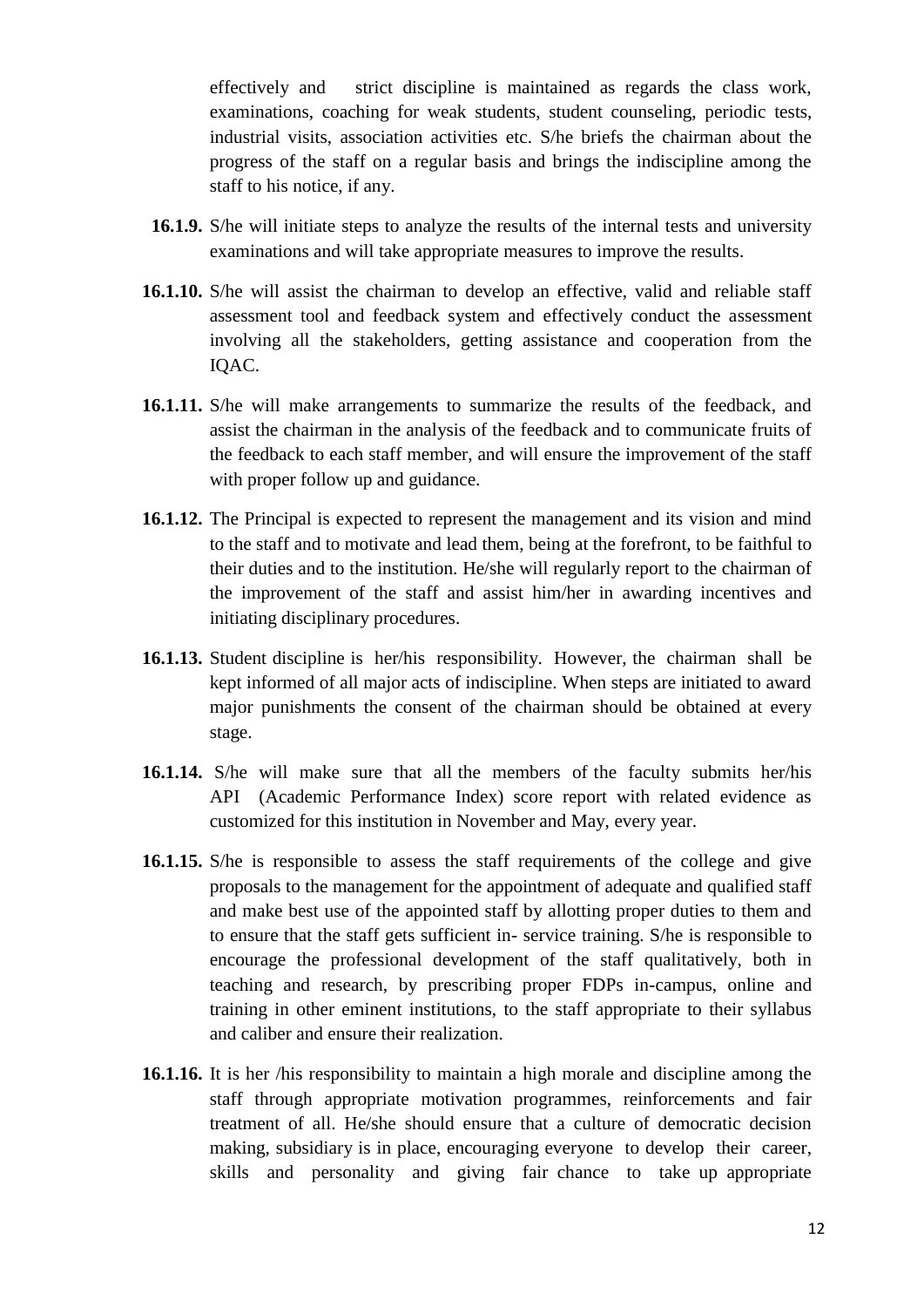effectively and strict discipline is maintained as regards the class work, examinations, coaching for weak students, student counseling, periodic tests, industrial visits, association activities etc. S/he briefs the chairman about the progress of the staff on a regular basis and brings the indiscipline among the staff to his notice, if any.

- **16.1.9.** S/he will initiate steps to analyze the results of the internal tests and university examinations and will take appropriate measures to improve the results.
- **16.1.10.** S/he will assist the chairman to develop an effective, valid and reliable staff assessment tool and feedback system and effectively conduct the assessment involving all the stakeholders, getting assistance and cooperation from the IQAC.
- **16.1.11.** S/he will make arrangements to summarize the results of the feedback, and assist the chairman in the analysis of the feedback and to communicate fruits of the feedback to each staff member, and will ensure the improvement of the staff with proper follow up and guidance.
- **16.1.12.** The Principal is expected to represent the management and its vision and mind to the staff and to motivate and lead them, being at the forefront, to be faithful to their duties and to the institution. He/she will regularly report to the chairman of the improvement of the staff and assist him/her in awarding incentives and initiating disciplinary procedures.
- **16.1.13.** Student discipline is her/his responsibility. However, the chairman shall be kept informed of all major acts of indiscipline. When steps are initiated to award major punishments the consent of the chairman should be obtained at every stage.
- **16.1.14.** S/he will make sure that all the members of the faculty submits her/his API (Academic Performance Index) score report with related evidence as customized for this institution in November and May, every year.
- **16.1.15.** S/he is responsible to assess the staff requirements of the college and give proposals to the management for the appointment of adequate and qualified staff and make best use of the appointed staff by allotting proper duties to them and to ensure that the staff gets sufficient in- service training. S/he is responsible to encourage the professional development of the staff qualitatively, both in teaching and research, by prescribing proper FDPs in-campus, online and training in other eminent institutions, to the staff appropriate to their syllabus and caliber and ensure their realization.
- **16.1.16.** It is her /his responsibility to maintain a high morale and discipline among the staff through appropriate motivation programmes, reinforcements and fair treatment of all. He/she should ensure that a culture of democratic decision making, subsidiary is in place, encouraging everyone to develop their career, skills and personality and giving fair chance to take up appropriate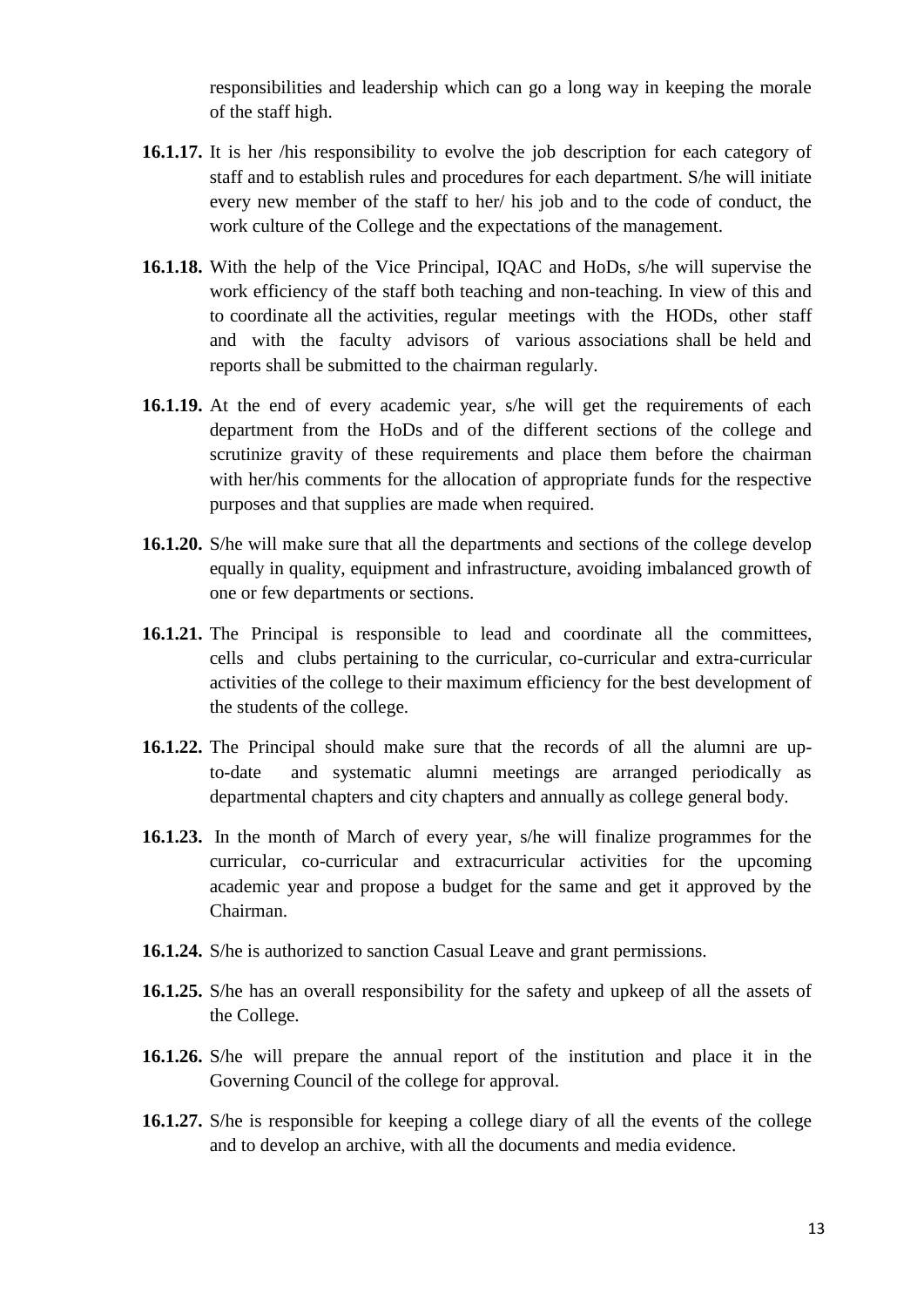responsibilities and leadership which can go a long way in keeping the morale of the staff high.

- **16.1.17.** It is her /his responsibility to evolve the job description for each category of staff and to establish rules and procedures for each department. S/he will initiate every new member of the staff to her/ his job and to the code of conduct, the work culture of the College and the expectations of the management.
- **16.1.18.** With the help of the Vice Principal, IQAC and HoDs, s/he will supervise the work efficiency of the staff both teaching and non-teaching. In view of this and to coordinate all the activities, regular meetings with the HODs, other staff and with the faculty advisors of various associations shall be held and reports shall be submitted to the chairman regularly.
- **16.1.19.** At the end of every academic year, s/he will get the requirements of each department from the HoDs and of the different sections of the college and scrutinize gravity of these requirements and place them before the chairman with her/his comments for the allocation of appropriate funds for the respective purposes and that supplies are made when required.
- **16.1.20.** S/he will make sure that all the departments and sections of the college develop equally in quality, equipment and infrastructure, avoiding imbalanced growth of one or few departments or sections.
- **16.1.21.** The Principal is responsible to lead and coordinate all the committees, cells and clubs pertaining to the curricular, co-curricular and extra-curricular activities of the college to their maximum efficiency for the best development of the students of the college.
- **16.1.22.** The Principal should make sure that the records of all the alumni are upto-date and systematic alumni meetings are arranged periodically as departmental chapters and city chapters and annually as college general body.
- **16.1.23.** In the month of March of every year, s/he will finalize programmes for the curricular, co-curricular and extracurricular activities for the upcoming academic year and propose a budget for the same and get it approved by the Chairman.
- **16.1.24.** S/he is authorized to sanction Casual Leave and grant permissions.
- **16.1.25.** S/he has an overall responsibility for the safety and upkeep of all the assets of the College.
- **16.1.26.** S/he will prepare the annual report of the institution and place it in the Governing Council of the college for approval.
- **16.1.27.** S/he is responsible for keeping a college diary of all the events of the college and to develop an archive, with all the documents and media evidence.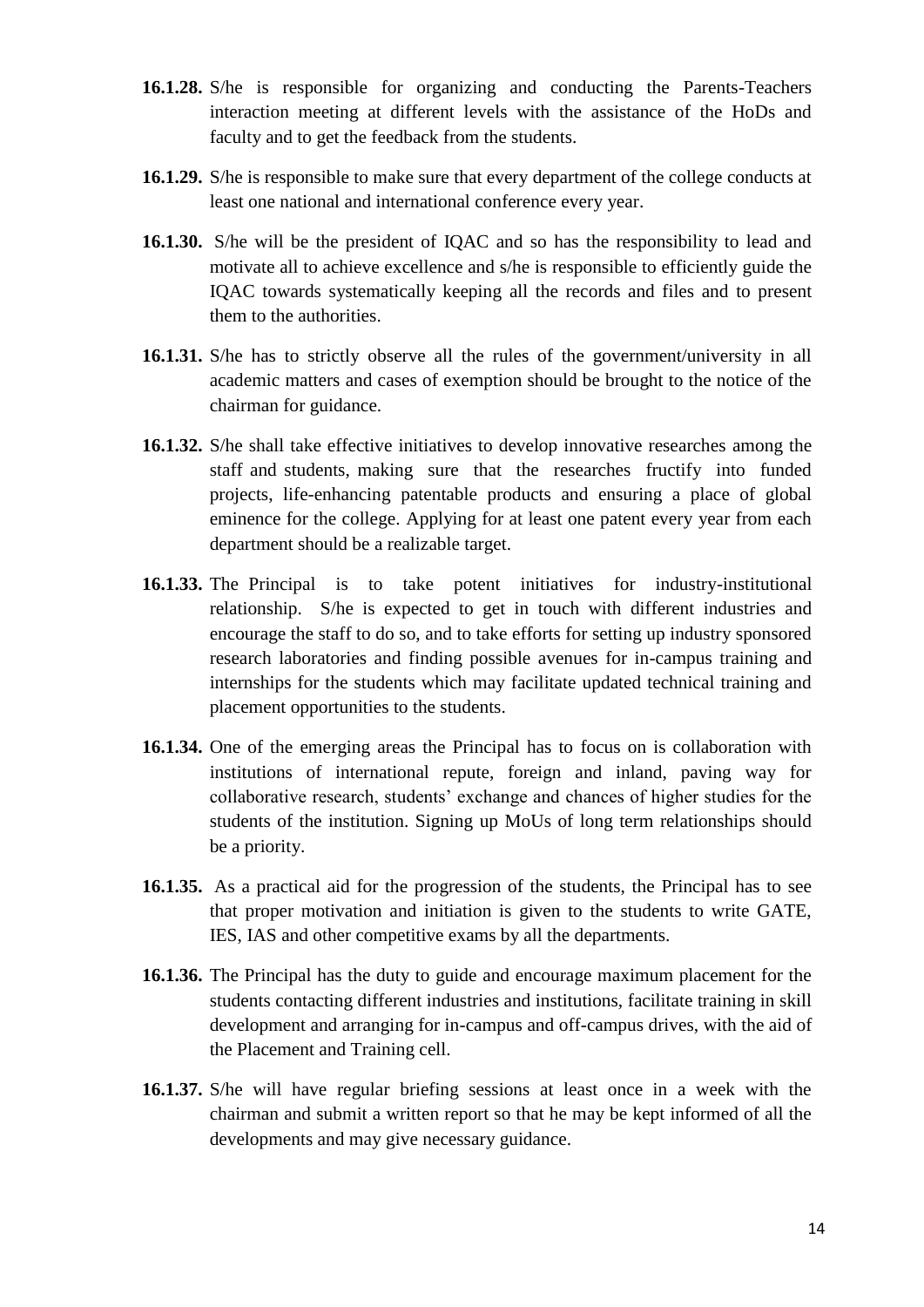- **16.1.28.** S/he is responsible for organizing and conducting the Parents-Teachers interaction meeting at different levels with the assistance of the HoDs and faculty and to get the feedback from the students.
- **16.1.29.** S/he is responsible to make sure that every department of the college conducts at least one national and international conference every year.
- **16.1.30.** S/he will be the president of IQAC and so has the responsibility to lead and motivate all to achieve excellence and s/he is responsible to efficiently guide the IQAC towards systematically keeping all the records and files and to present them to the authorities.
- **16.1.31.** S/he has to strictly observe all the rules of the government/university in all academic matters and cases of exemption should be brought to the notice of the chairman for guidance.
- **16.1.32.** S/he shall take effective initiatives to develop innovative researches among the staff and students, making sure that the researches fructify into funded projects, life-enhancing patentable products and ensuring a place of global eminence for the college. Applying for at least one patent every year from each department should be a realizable target.
- **16.1.33.** The Principal is to take potent initiatives for industry-institutional relationship. S/he is expected to get in touch with different industries and encourage the staff to do so, and to take efforts for setting up industry sponsored research laboratories and finding possible avenues for in-campus training and internships for the students which may facilitate updated technical training and placement opportunities to the students.
- **16.1.34.** One of the emerging areas the Principal has to focus on is collaboration with institutions of international repute, foreign and inland, paving way for collaborative research, students' exchange and chances of higher studies for the students of the institution. Signing up MoUs of long term relationships should be a priority.
- **16.1.35.** As a practical aid for the progression of the students, the Principal has to see that proper motivation and initiation is given to the students to write GATE, IES, IAS and other competitive exams by all the departments.
- **16.1.36.** The Principal has the duty to guide and encourage maximum placement for the students contacting different industries and institutions, facilitate training in skill development and arranging for in-campus and off-campus drives, with the aid of the Placement and Training cell.
- **16.1.37.** S/he will have regular briefing sessions at least once in a week with the chairman and submit a written report so that he may be kept informed of all the developments and may give necessary guidance.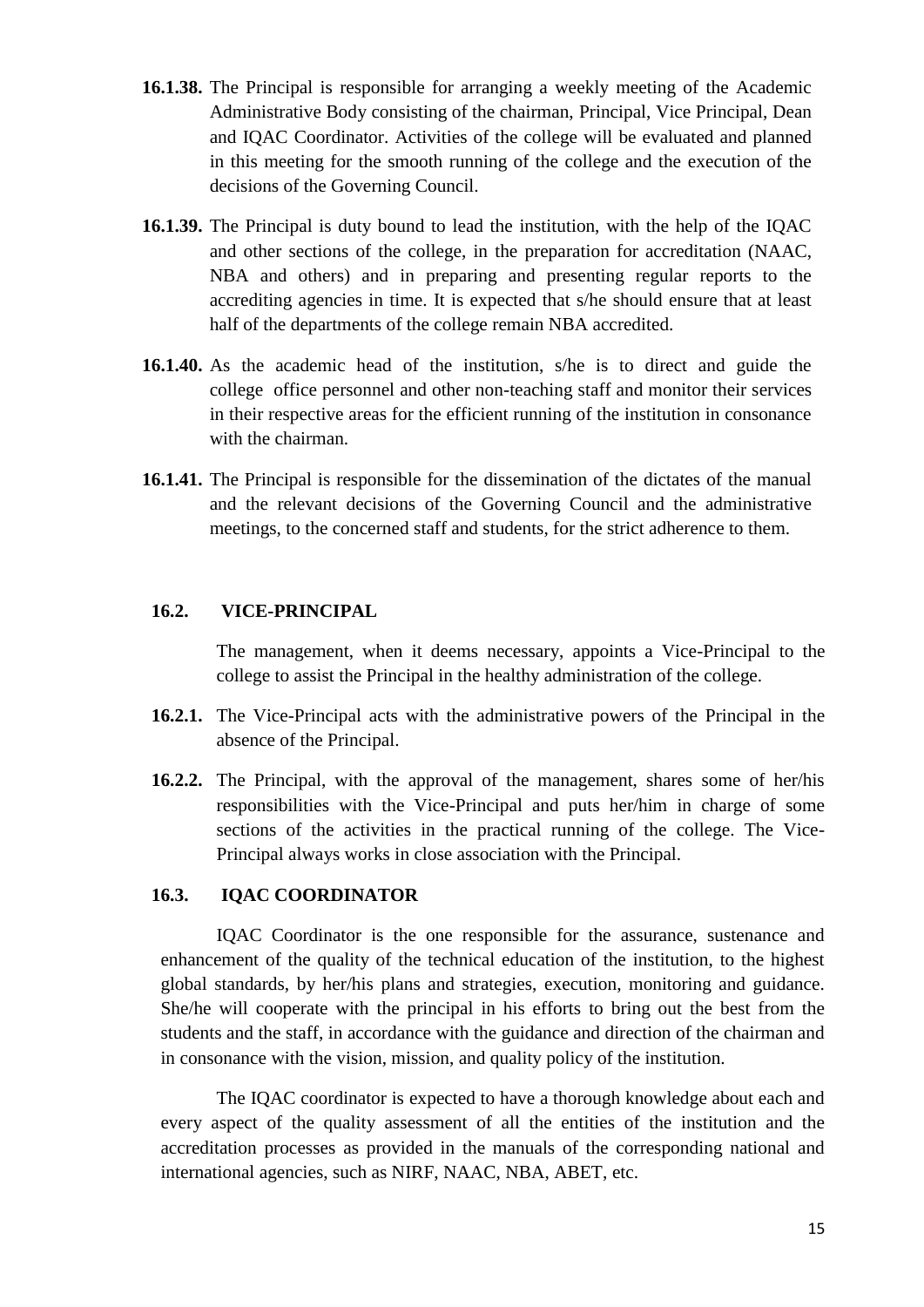- **16.1.38.** The Principal is responsible for arranging a weekly meeting of the Academic Administrative Body consisting of the chairman, Principal, Vice Principal, Dean and IQAC Coordinator. Activities of the college will be evaluated and planned in this meeting for the smooth running of the college and the execution of the decisions of the Governing Council.
- **16.1.39.** The Principal is duty bound to lead the institution, with the help of the IQAC and other sections of the college, in the preparation for accreditation (NAAC, NBA and others) and in preparing and presenting regular reports to the accrediting agencies in time. It is expected that s/he should ensure that at least half of the departments of the college remain NBA accredited.
- **16.1.40.** As the academic head of the institution, s/he is to direct and guide the college office personnel and other non-teaching staff and monitor their services in their respective areas for the efficient running of the institution in consonance with the chairman.
- **16.1.41.** The Principal is responsible for the dissemination of the dictates of the manual and the relevant decisions of the Governing Council and the administrative meetings, to the concerned staff and students, for the strict adherence to them.

### **16.2. VICE-PRINCIPAL**

The management, when it deems necessary, appoints a Vice-Principal to the college to assist the Principal in the healthy administration of the college.

- **16.2.1.** The Vice-Principal acts with the administrative powers of the Principal in the absence of the Principal.
- **16.2.2.** The Principal, with the approval of the management, shares some of her/his responsibilities with the Vice-Principal and puts her/him in charge of some sections of the activities in the practical running of the college. The Vice-Principal always works in close association with the Principal.

### **16.3. IQAC COORDINATOR**

IQAC Coordinator is the one responsible for the assurance, sustenance and enhancement of the quality of the technical education of the institution, to the highest global standards, by her/his plans and strategies, execution, monitoring and guidance. She/he will cooperate with the principal in his efforts to bring out the best from the students and the staff, in accordance with the guidance and direction of the chairman and in consonance with the vision, mission, and quality policy of the institution.

The IQAC coordinator is expected to have a thorough knowledge about each and every aspect of the quality assessment of all the entities of the institution and the accreditation processes as provided in the manuals of the corresponding national and international agencies, such as NIRF, NAAC, NBA, ABET, etc.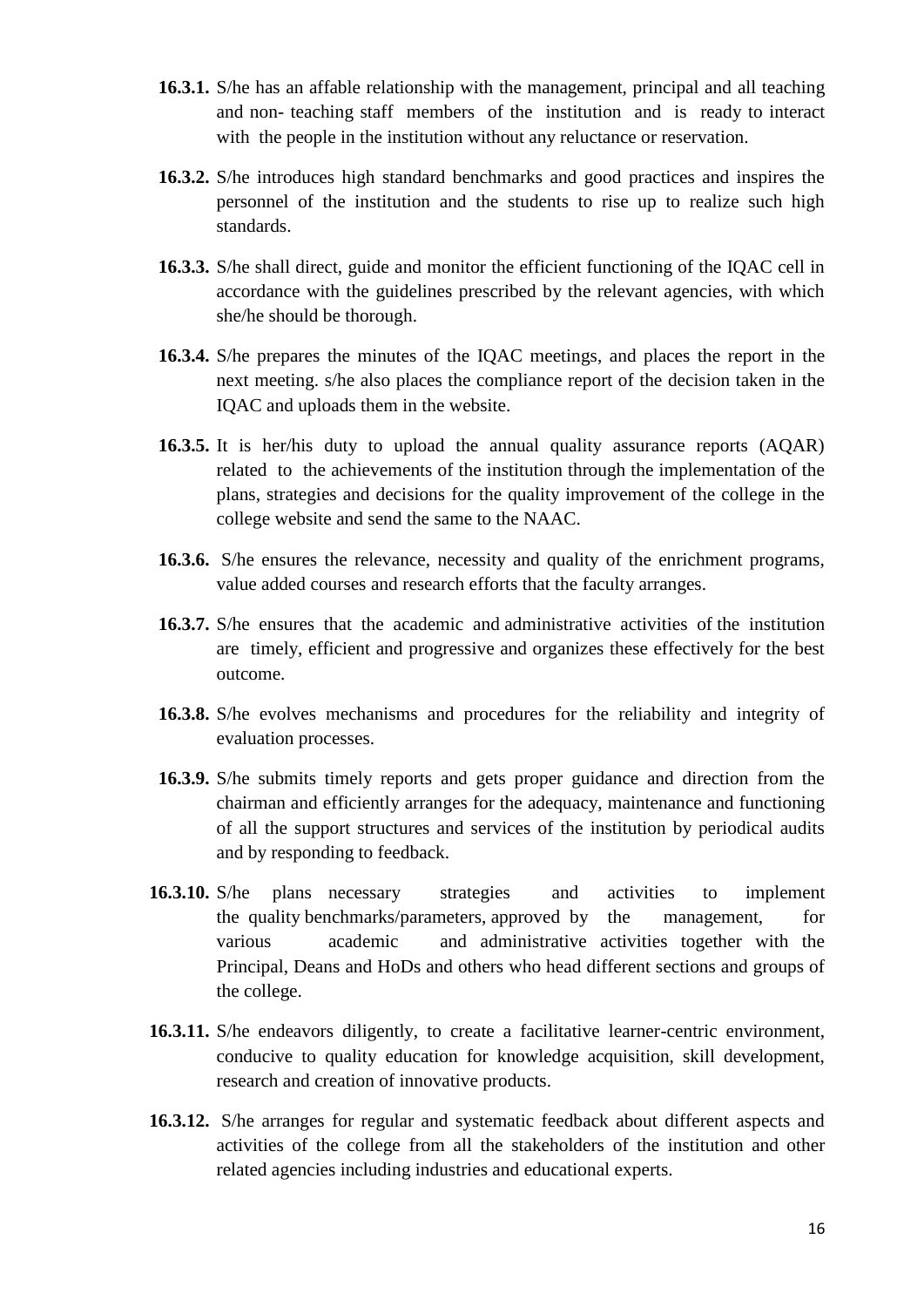- **16.3.1.** S/he has an affable relationship with the management, principal and all teaching and non- teaching staff members of the institution and is ready to interact with the people in the institution without any reluctance or reservation.
- **16.3.2.** S/he introduces high standard benchmarks and good practices and inspires the personnel of the institution and the students to rise up to realize such high standards.
- **16.3.3.** S/he shall direct, guide and monitor the efficient functioning of the IQAC cell in accordance with the guidelines prescribed by the relevant agencies, with which she/he should be thorough.
- **16.3.4.** S/he prepares the minutes of the IQAC meetings, and places the report in the next meeting. s/he also places the compliance report of the decision taken in the IQAC and uploads them in the website.
- **16.3.5.** It is her/his duty to upload the annual quality assurance reports (AQAR) related to the achievements of the institution through the implementation of the plans, strategies and decisions for the quality improvement of the college in the college website and send the same to the NAAC.
- **16.3.6.** S/he ensures the relevance, necessity and quality of the enrichment programs, value added courses and research efforts that the faculty arranges.
- **16.3.7.** S/he ensures that the academic and administrative activities of the institution are timely, efficient and progressive and organizes these effectively for the best outcome.
- **16.3.8.** S/he evolves mechanisms and procedures for the reliability and integrity of evaluation processes.
- **16.3.9.** S/he submits timely reports and gets proper guidance and direction from the chairman and efficiently arranges for the adequacy, maintenance and functioning of all the support structures and services of the institution by periodical audits and by responding to feedback.
- **16.3.10.** S/he plans necessary strategies and activities to implement the quality benchmarks/parameters, approved by the management, for various academic and administrative activities together with the Principal, Deans and HoDs and others who head different sections and groups of the college.
- **16.3.11.** S/he endeavors diligently, to create a facilitative learner-centric environment, conducive to quality education for knowledge acquisition, skill development, research and creation of innovative products.
- **16.3.12.** S/he arranges for regular and systematic feedback about different aspects and activities of the college from all the stakeholders of the institution and other related agencies including industries and educational experts.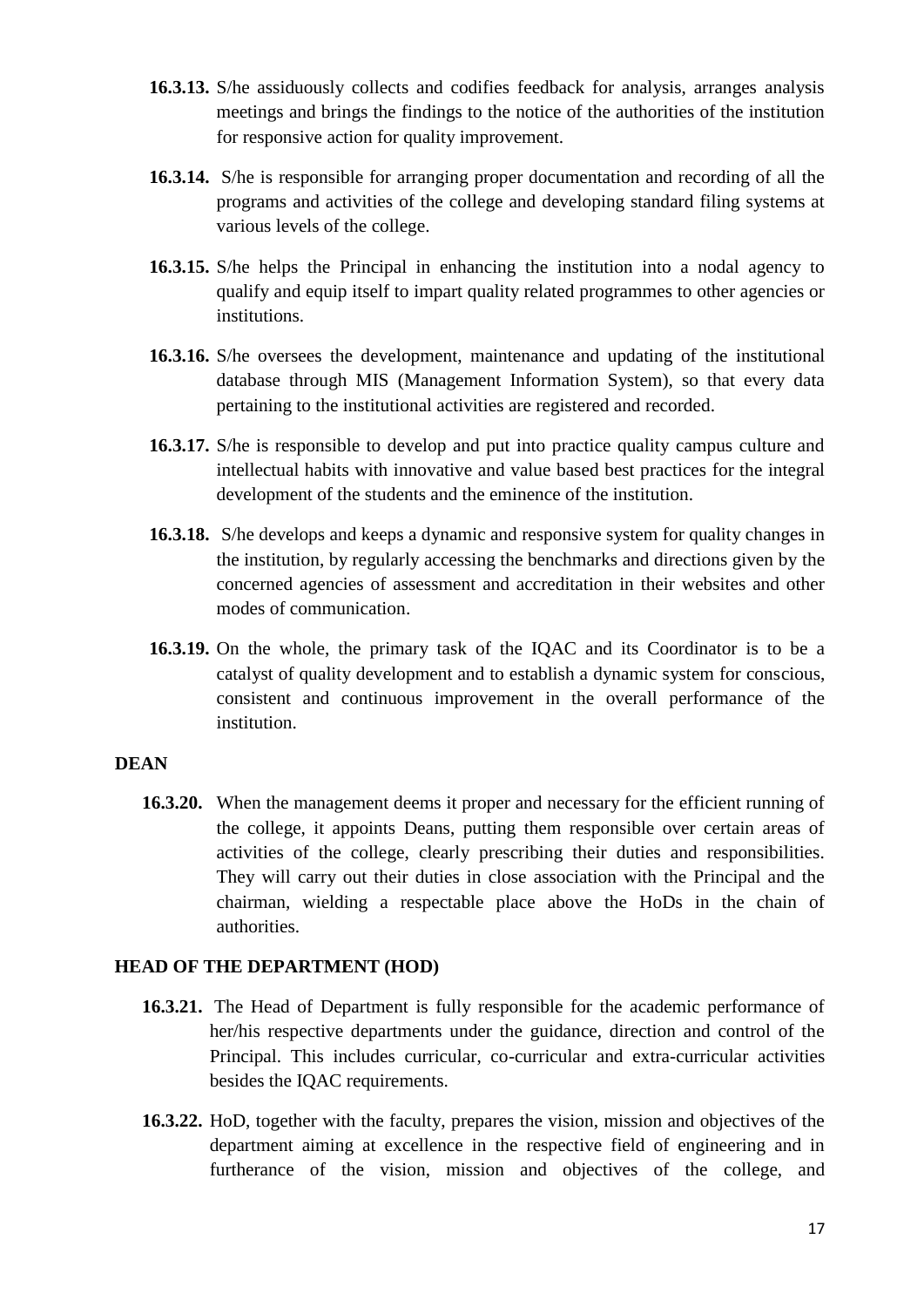- **16.3.13.** S/he assiduously collects and codifies feedback for analysis, arranges analysis meetings and brings the findings to the notice of the authorities of the institution for responsive action for quality improvement.
- **16.3.14.** S/he is responsible for arranging proper documentation and recording of all the programs and activities of the college and developing standard filing systems at various levels of the college.
- **16.3.15.** S/he helps the Principal in enhancing the institution into a nodal agency to qualify and equip itself to impart quality related programmes to other agencies or institutions.
- **16.3.16.** S/he oversees the development, maintenance and updating of the institutional database through MIS (Management Information System), so that every data pertaining to the institutional activities are registered and recorded.
- **16.3.17.** S/he is responsible to develop and put into practice quality campus culture and intellectual habits with innovative and value based best practices for the integral development of the students and the eminence of the institution.
- **16.3.18.** S/he develops and keeps a dynamic and responsive system for quality changes in the institution, by regularly accessing the benchmarks and directions given by the concerned agencies of assessment and accreditation in their websites and other modes of communication.
- **16.3.19.** On the whole, the primary task of the IQAC and its Coordinator is to be a catalyst of quality development and to establish a dynamic system for conscious, consistent and continuous improvement in the overall performance of the institution.

# **DEAN**

**16.3.20.** When the management deems it proper and necessary for the efficient running of the college, it appoints Deans, putting them responsible over certain areas of activities of the college, clearly prescribing their duties and responsibilities. They will carry out their duties in close association with the Principal and the chairman, wielding a respectable place above the HoDs in the chain of authorities.

# **HEAD OF THE DEPARTMENT (HOD)**

- **16.3.21.** The Head of Department is fully responsible for the academic performance of her/his respective departments under the guidance, direction and control of the Principal. This includes curricular, co-curricular and extra-curricular activities besides the IQAC requirements.
- **16.3.22.** HoD, together with the faculty, prepares the vision, mission and objectives of the department aiming at excellence in the respective field of engineering and in furtherance of the vision, mission and objectives of the college, and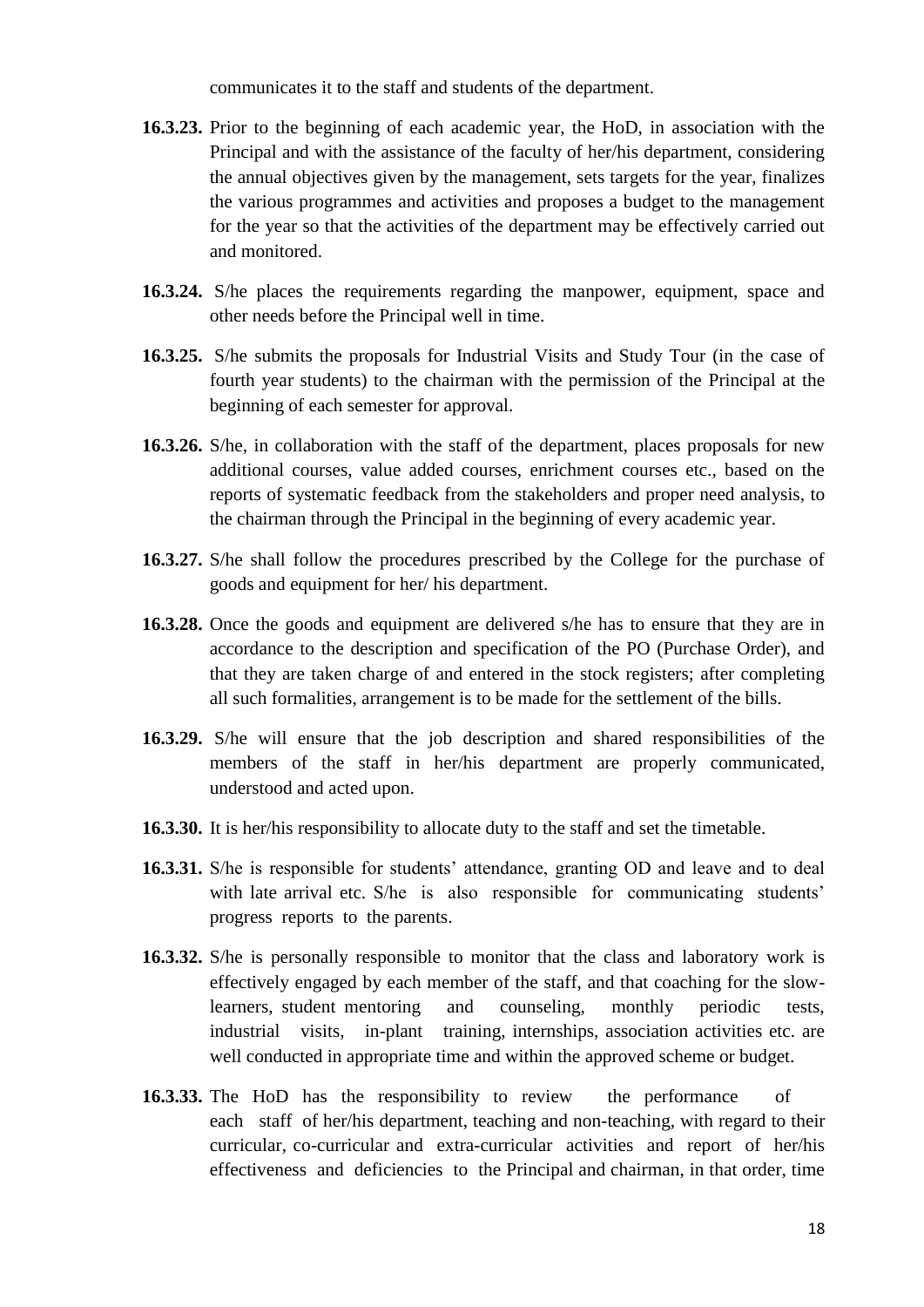communicates it to the staff and students of the department.

- **16.3.23.** Prior to the beginning of each academic year, the HoD, in association with the Principal and with the assistance of the faculty of her/his department, considering the annual objectives given by the management, sets targets for the year, finalizes the various programmes and activities and proposes a budget to the management for the year so that the activities of the department may be effectively carried out and monitored.
- **16.3.24.** S/he places the requirements regarding the manpower, equipment, space and other needs before the Principal well in time.
- **16.3.25.** S/he submits the proposals for Industrial Visits and Study Tour (in the case of fourth year students) to the chairman with the permission of the Principal at the beginning of each semester for approval.
- **16.3.26.** S/he, in collaboration with the staff of the department, places proposals for new additional courses, value added courses, enrichment courses etc., based on the reports of systematic feedback from the stakeholders and proper need analysis, to the chairman through the Principal in the beginning of every academic year.
- **16.3.27.** S/he shall follow the procedures prescribed by the College for the purchase of goods and equipment for her/ his department.
- **16.3.28.** Once the goods and equipment are delivered s/he has to ensure that they are in accordance to the description and specification of the PO (Purchase Order), and that they are taken charge of and entered in the stock registers; after completing all such formalities, arrangement is to be made for the settlement of the bills.
- **16.3.29.** S/he will ensure that the job description and shared responsibilities of the members of the staff in her/his department are properly communicated, understood and acted upon.
- **16.3.30.** It is her/his responsibility to allocate duty to the staff and set the timetable.
- **16.3.31.** S/he is responsible for students' attendance, granting OD and leave and to deal with late arrival etc. S/he is also responsible for communicating students' progress reports to the parents.
- **16.3.32.** S/he is personally responsible to monitor that the class and laboratory work is effectively engaged by each member of the staff, and that coaching for the slowlearners, student mentoring and counseling, monthly periodic tests, industrial visits, in-plant training, internships, association activities etc. are well conducted in appropriate time and within the approved scheme or budget.
- **16.3.33.** The HoD has the responsibility to review the performance of each staff of her/his department, teaching and non-teaching, with regard to their curricular, co-curricular and extra-curricular activities and report of her/his effectiveness and deficiencies to the Principal and chairman, in that order, time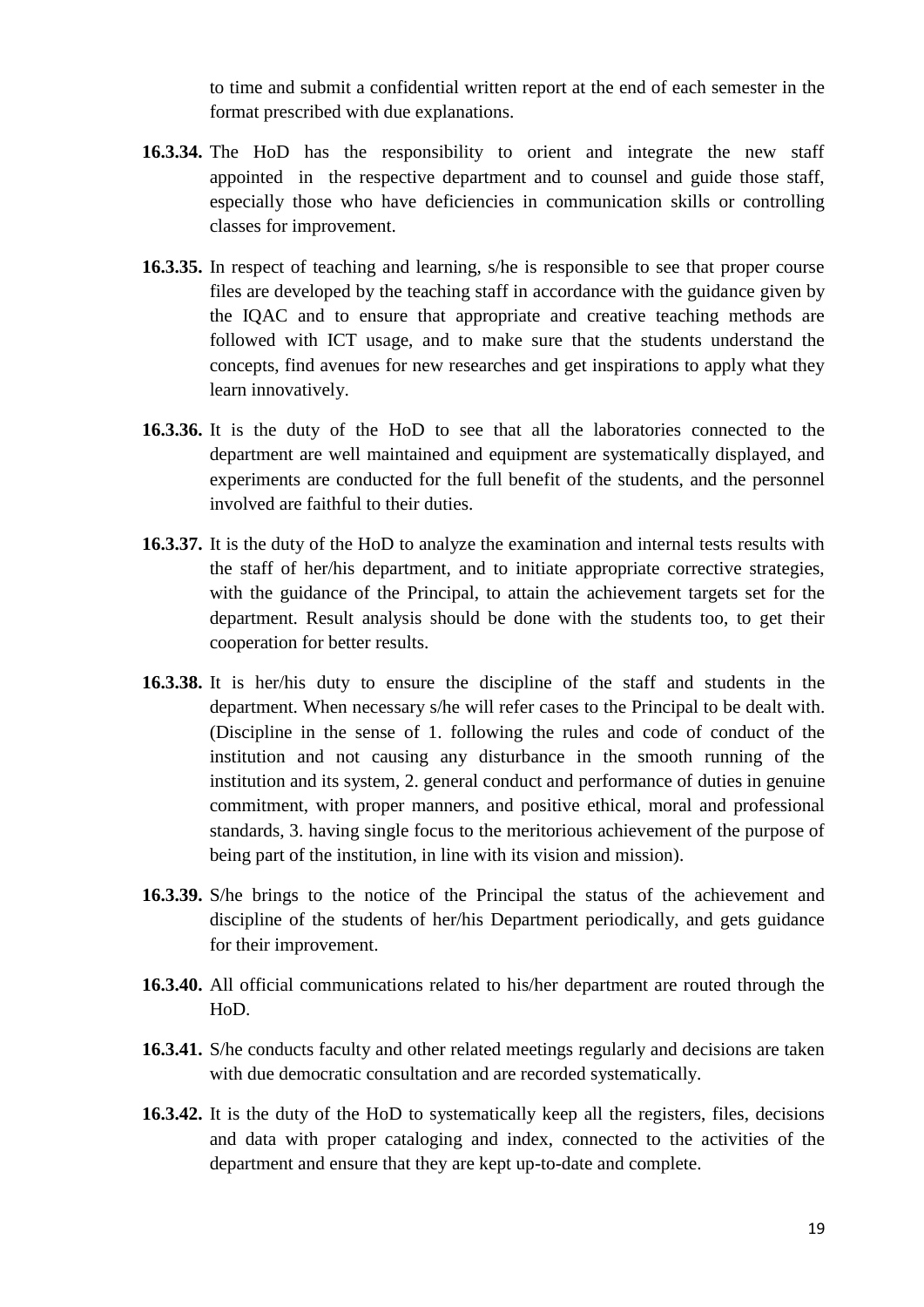to time and submit a confidential written report at the end of each semester in the format prescribed with due explanations.

- **16.3.34.** The HoD has the responsibility to orient and integrate the new staff appointed in the respective department and to counsel and guide those staff, especially those who have deficiencies in communication skills or controlling classes for improvement.
- **16.3.35.** In respect of teaching and learning, s/he is responsible to see that proper course files are developed by the teaching staff in accordance with the guidance given by the IQAC and to ensure that appropriate and creative teaching methods are followed with ICT usage, and to make sure that the students understand the concepts, find avenues for new researches and get inspirations to apply what they learn innovatively.
- **16.3.36.** It is the duty of the HoD to see that all the laboratories connected to the department are well maintained and equipment are systematically displayed, and experiments are conducted for the full benefit of the students, and the personnel involved are faithful to their duties.
- **16.3.37.** It is the duty of the HoD to analyze the examination and internal tests results with the staff of her/his department, and to initiate appropriate corrective strategies, with the guidance of the Principal, to attain the achievement targets set for the department. Result analysis should be done with the students too, to get their cooperation for better results.
- **16.3.38.** It is her/his duty to ensure the discipline of the staff and students in the department. When necessary s/he will refer cases to the Principal to be dealt with. (Discipline in the sense of 1. following the rules and code of conduct of the institution and not causing any disturbance in the smooth running of the institution and its system, 2. general conduct and performance of duties in genuine commitment, with proper manners, and positive ethical, moral and professional standards, 3. having single focus to the meritorious achievement of the purpose of being part of the institution, in line with its vision and mission).
- **16.3.39.** S/he brings to the notice of the Principal the status of the achievement and discipline of the students of her/his Department periodically, and gets guidance for their improvement.
- **16.3.40.** All official communications related to his/her department are routed through the HoD.
- **16.3.41.** S/he conducts faculty and other related meetings regularly and decisions are taken with due democratic consultation and are recorded systematically.
- **16.3.42.** It is the duty of the HoD to systematically keep all the registers, files, decisions and data with proper cataloging and index, connected to the activities of the department and ensure that they are kept up-to-date and complete.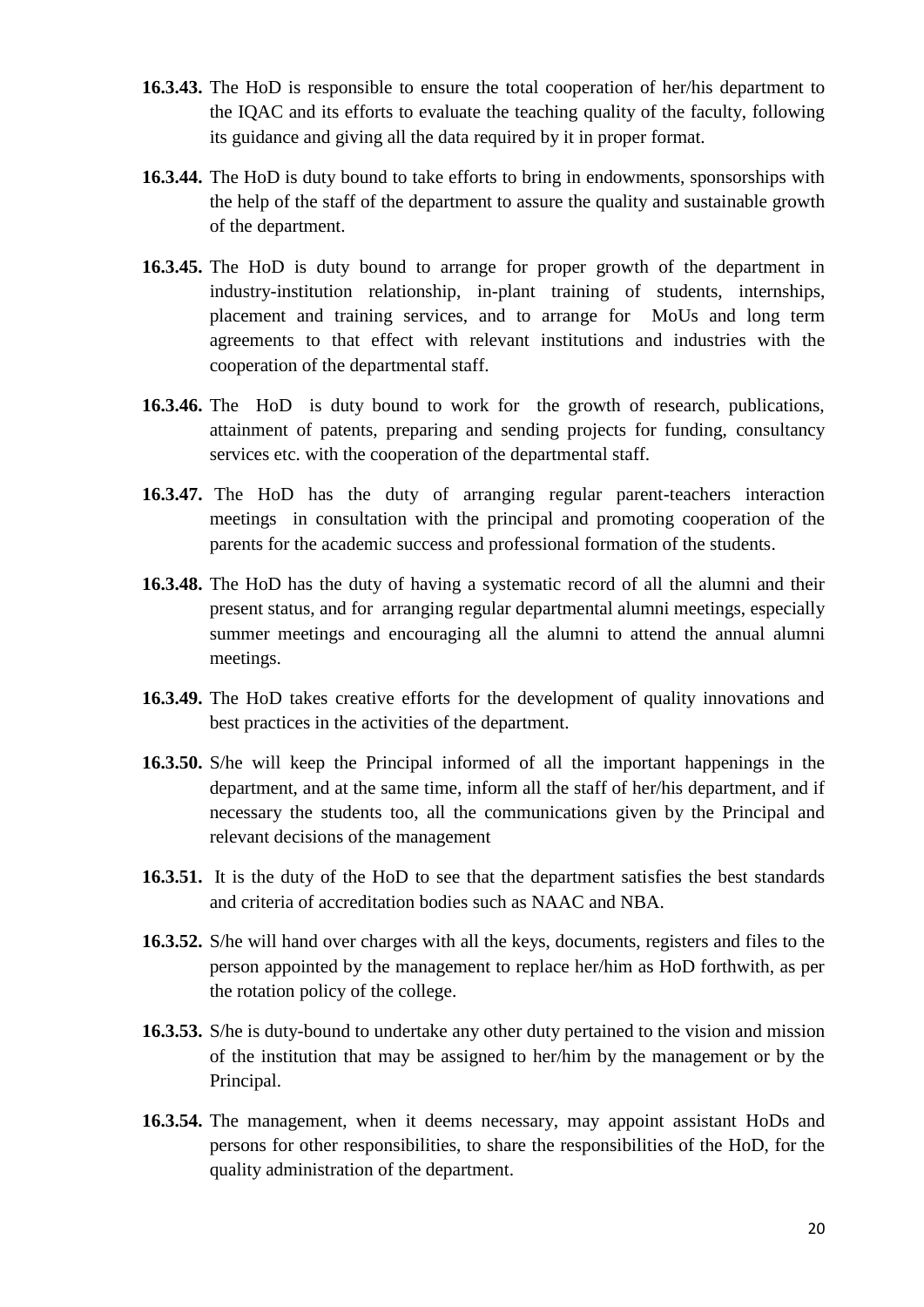- **16.3.43.** The HoD is responsible to ensure the total cooperation of her/his department to the IQAC and its efforts to evaluate the teaching quality of the faculty, following its guidance and giving all the data required by it in proper format.
- **16.3.44.** The HoD is duty bound to take efforts to bring in endowments, sponsorships with the help of the staff of the department to assure the quality and sustainable growth of the department.
- **16.3.45.** The HoD is duty bound to arrange for proper growth of the department in industry-institution relationship, in-plant training of students, internships, placement and training services, and to arrange for MoUs and long term agreements to that effect with relevant institutions and industries with the cooperation of the departmental staff.
- **16.3.46.** The HoD is duty bound to work for the growth of research, publications, attainment of patents, preparing and sending projects for funding, consultancy services etc. with the cooperation of the departmental staff.
- **16.3.47.** The HoD has the duty of arranging regular parent-teachers interaction meetings in consultation with the principal and promoting cooperation of the parents for the academic success and professional formation of the students.
- **16.3.48.** The HoD has the duty of having a systematic record of all the alumni and their present status, and for arranging regular departmental alumni meetings, especially summer meetings and encouraging all the alumni to attend the annual alumni meetings.
- **16.3.49.** The HoD takes creative efforts for the development of quality innovations and best practices in the activities of the department.
- **16.3.50.** S/he will keep the Principal informed of all the important happenings in the department, and at the same time, inform all the staff of her/his department, and if necessary the students too, all the communications given by the Principal and relevant decisions of the management
- **16.3.51.** It is the duty of the HoD to see that the department satisfies the best standards and criteria of accreditation bodies such as NAAC and NBA.
- **16.3.52.** S/he will hand over charges with all the keys, documents, registers and files to the person appointed by the management to replace her/him as HoD forthwith, as per the rotation policy of the college.
- **16.3.53.** S/he is duty-bound to undertake any other duty pertained to the vision and mission of the institution that may be assigned to her/him by the management or by the Principal.
- **16.3.54.** The management, when it deems necessary, may appoint assistant HoDs and persons for other responsibilities, to share the responsibilities of the HoD, for the quality administration of the department.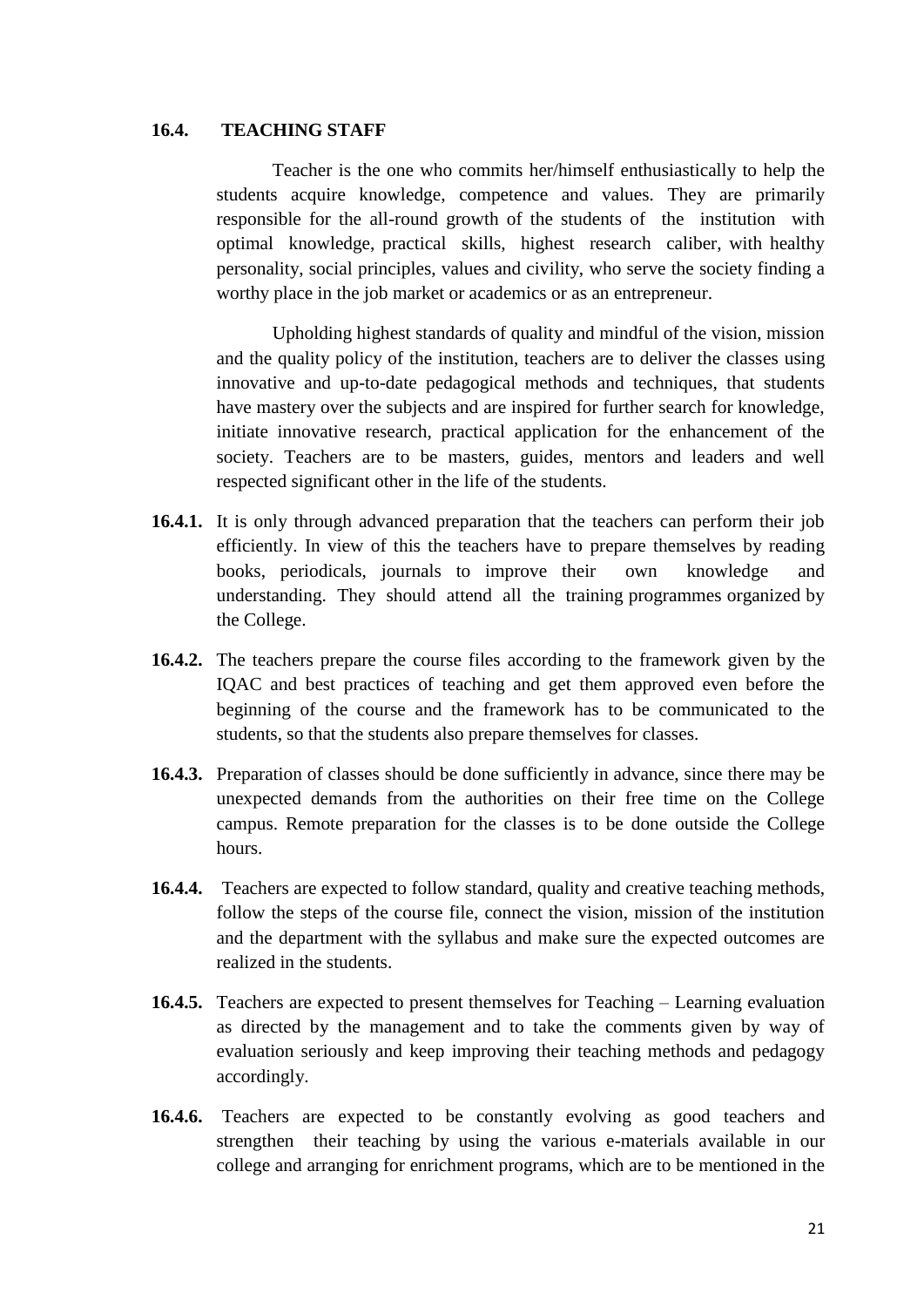### **16.4. TEACHING STAFF**

Teacher is the one who commits her/himself enthusiastically to help the students acquire knowledge, competence and values. They are primarily responsible for the all-round growth of the students of the institution with optimal knowledge, practical skills, highest research caliber, with healthy personality, social principles, values and civility, who serve the society finding a worthy place in the job market or academics or as an entrepreneur.

Upholding highest standards of quality and mindful of the vision, mission and the quality policy of the institution, teachers are to deliver the classes using innovative and up-to-date pedagogical methods and techniques, that students have mastery over the subjects and are inspired for further search for knowledge, initiate innovative research, practical application for the enhancement of the society. Teachers are to be masters, guides, mentors and leaders and well respected significant other in the life of the students.

- **16.4.1.** It is only through advanced preparation that the teachers can perform their job efficiently. In view of this the teachers have to prepare themselves by reading books, periodicals, journals to improve their own knowledge and understanding. They should attend all the training programmes organized by the College.
- **16.4.2.** The teachers prepare the course files according to the framework given by the IQAC and best practices of teaching and get them approved even before the beginning of the course and the framework has to be communicated to the students, so that the students also prepare themselves for classes.
- **16.4.3.** Preparation of classes should be done sufficiently in advance, since there may be unexpected demands from the authorities on their free time on the College campus. Remote preparation for the classes is to be done outside the College hours.
- **16.4.4.** Teachers are expected to follow standard, quality and creative teaching methods, follow the steps of the course file, connect the vision, mission of the institution and the department with the syllabus and make sure the expected outcomes are realized in the students.
- **16.4.5.** Teachers are expected to present themselves for Teaching Learning evaluation as directed by the management and to take the comments given by way of evaluation seriously and keep improving their teaching methods and pedagogy accordingly.
- **16.4.6.** Teachers are expected to be constantly evolving as good teachers and strengthen their teaching by using the various e-materials available in our college and arranging for enrichment programs, which are to be mentioned in the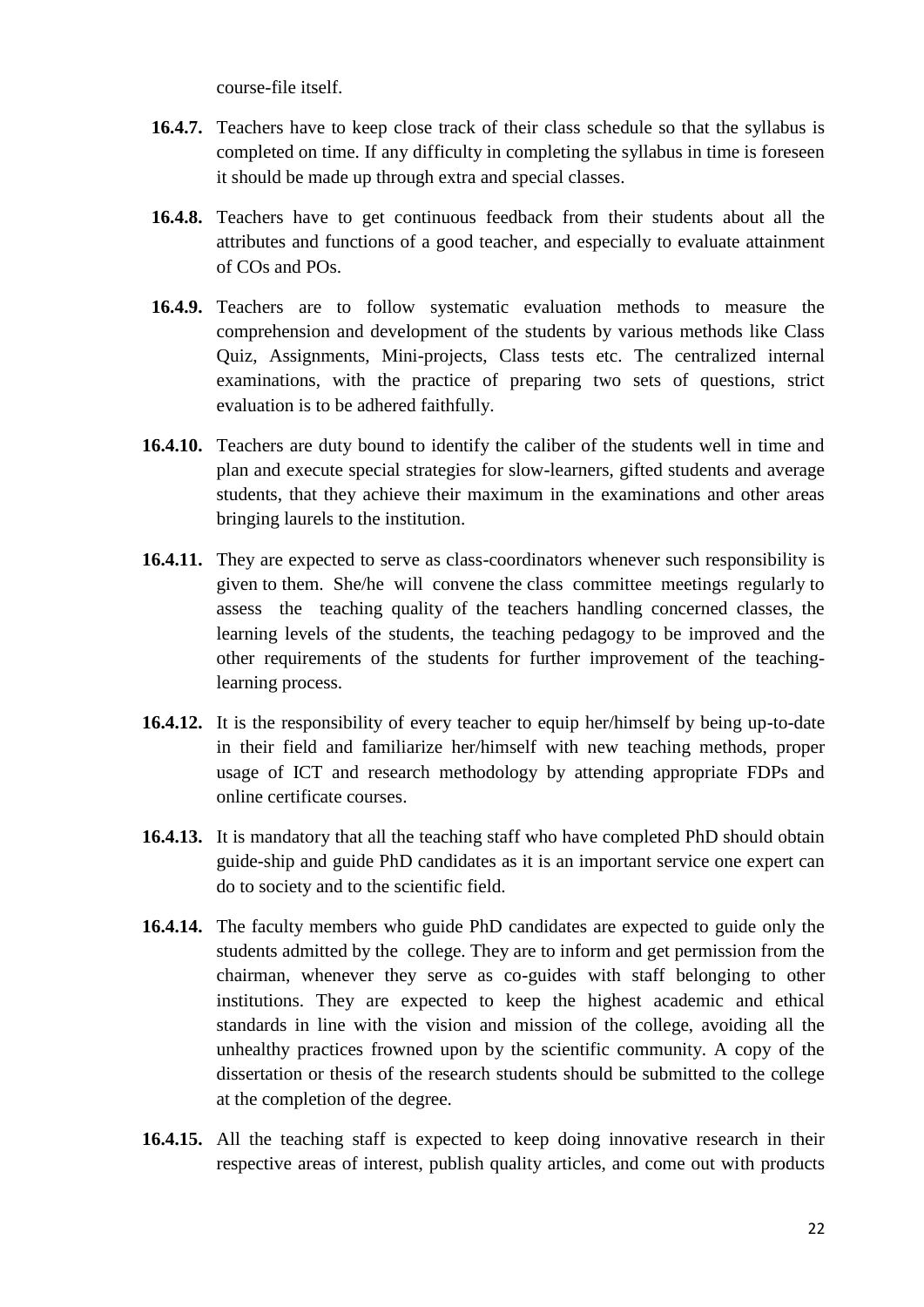course-file itself.

- **16.4.7.** Teachers have to keep close track of their class schedule so that the syllabus is completed on time. If any difficulty in completing the syllabus in time is foreseen it should be made up through extra and special classes.
- **16.4.8.** Teachers have to get continuous feedback from their students about all the attributes and functions of a good teacher, and especially to evaluate attainment of COs and POs.
- **16.4.9.** Teachers are to follow systematic evaluation methods to measure the comprehension and development of the students by various methods like Class Quiz, Assignments, Mini-projects, Class tests etc. The centralized internal examinations, with the practice of preparing two sets of questions, strict evaluation is to be adhered faithfully.
- **16.4.10.** Teachers are duty bound to identify the caliber of the students well in time and plan and execute special strategies for slow-learners, gifted students and average students, that they achieve their maximum in the examinations and other areas bringing laurels to the institution.
- **16.4.11.** They are expected to serve as class-coordinators whenever such responsibility is given to them. She/he will convene the class committee meetings regularly to assess the teaching quality of the teachers handling concerned classes, the learning levels of the students, the teaching pedagogy to be improved and the other requirements of the students for further improvement of the teachinglearning process.
- **16.4.12.** It is the responsibility of every teacher to equip her/himself by being up-to-date in their field and familiarize her/himself with new teaching methods, proper usage of ICT and research methodology by attending appropriate FDPs and online certificate courses.
- **16.4.13.** It is mandatory that all the teaching staff who have completed PhD should obtain guide-ship and guide PhD candidates as it is an important service one expert can do to society and to the scientific field.
- **16.4.14.** The faculty members who guide PhD candidates are expected to guide only the students admitted by the college. They are to inform and get permission from the chairman, whenever they serve as co-guides with staff belonging to other institutions. They are expected to keep the highest academic and ethical standards in line with the vision and mission of the college, avoiding all the unhealthy practices frowned upon by the scientific community. A copy of the dissertation or thesis of the research students should be submitted to the college at the completion of the degree.
- **16.4.15.** All the teaching staff is expected to keep doing innovative research in their respective areas of interest, publish quality articles, and come out with products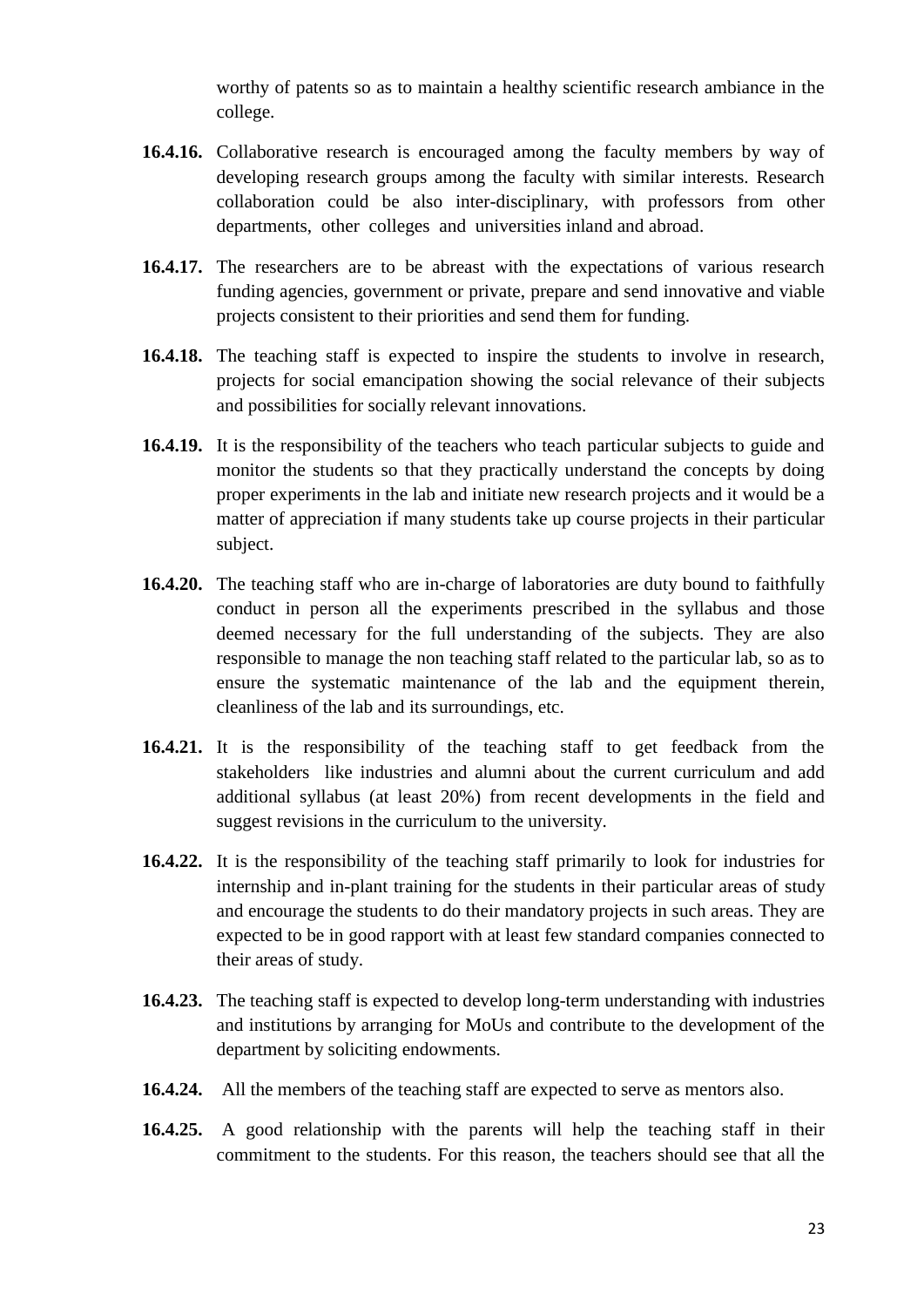worthy of patents so as to maintain a healthy scientific research ambiance in the college.

- **16.4.16.** Collaborative research is encouraged among the faculty members by way of developing research groups among the faculty with similar interests. Research collaboration could be also inter-disciplinary, with professors from other departments, other colleges and universities inland and abroad.
- **16.4.17.** The researchers are to be abreast with the expectations of various research funding agencies, government or private, prepare and send innovative and viable projects consistent to their priorities and send them for funding.
- **16.4.18.** The teaching staff is expected to inspire the students to involve in research, projects for social emancipation showing the social relevance of their subjects and possibilities for socially relevant innovations.
- **16.4.19.** It is the responsibility of the teachers who teach particular subjects to guide and monitor the students so that they practically understand the concepts by doing proper experiments in the lab and initiate new research projects and it would be a matter of appreciation if many students take up course projects in their particular subject.
- **16.4.20.** The teaching staff who are in-charge of laboratories are duty bound to faithfully conduct in person all the experiments prescribed in the syllabus and those deemed necessary for the full understanding of the subjects. They are also responsible to manage the non teaching staff related to the particular lab, so as to ensure the systematic maintenance of the lab and the equipment therein, cleanliness of the lab and its surroundings, etc.
- **16.4.21.** It is the responsibility of the teaching staff to get feedback from the stakeholders like industries and alumni about the current curriculum and add additional syllabus (at least 20%) from recent developments in the field and suggest revisions in the curriculum to the university.
- **16.4.22.** It is the responsibility of the teaching staff primarily to look for industries for internship and in-plant training for the students in their particular areas of study and encourage the students to do their mandatory projects in such areas. They are expected to be in good rapport with at least few standard companies connected to their areas of study.
- **16.4.23.** The teaching staff is expected to develop long-term understanding with industries and institutions by arranging for MoUs and contribute to the development of the department by soliciting endowments.
- **16.4.24.** All the members of the teaching staff are expected to serve as mentors also.
- **16.4.25.** A good relationship with the parents will help the teaching staff in their commitment to the students. For this reason, the teachers should see that all the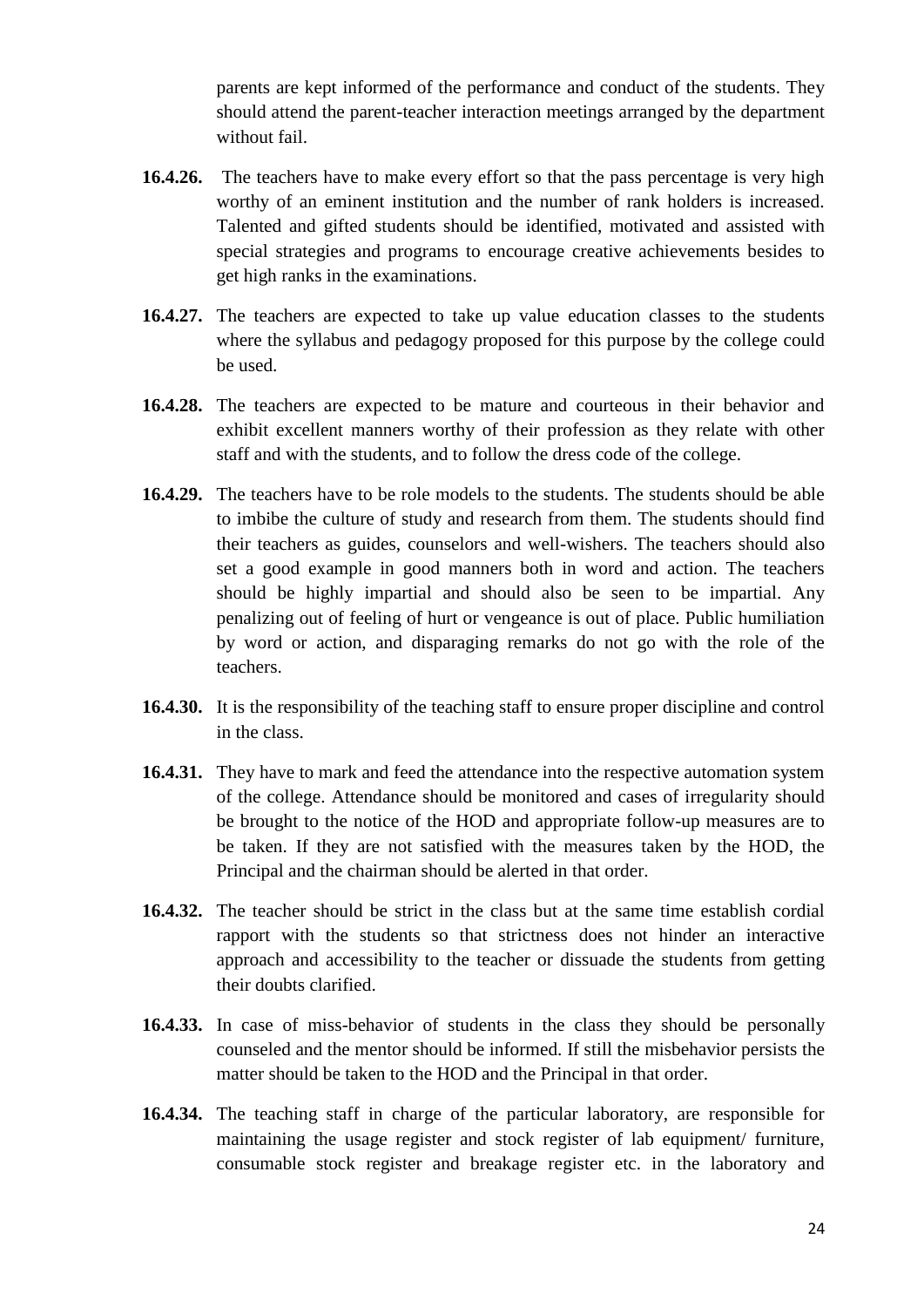parents are kept informed of the performance and conduct of the students. They should attend the parent-teacher interaction meetings arranged by the department without fail.

- **16.4.26.** The teachers have to make every effort so that the pass percentage is very high worthy of an eminent institution and the number of rank holders is increased. Talented and gifted students should be identified, motivated and assisted with special strategies and programs to encourage creative achievements besides to get high ranks in the examinations.
- **16.4.27.** The teachers are expected to take up value education classes to the students where the syllabus and pedagogy proposed for this purpose by the college could be used.
- **16.4.28.** The teachers are expected to be mature and courteous in their behavior and exhibit excellent manners worthy of their profession as they relate with other staff and with the students, and to follow the dress code of the college.
- **16.4.29.** The teachers have to be role models to the students. The students should be able to imbibe the culture of study and research from them. The students should find their teachers as guides, counselors and well-wishers. The teachers should also set a good example in good manners both in word and action. The teachers should be highly impartial and should also be seen to be impartial. Any penalizing out of feeling of hurt or vengeance is out of place. Public humiliation by word or action, and disparaging remarks do not go with the role of the teachers.
- **16.4.30.** It is the responsibility of the teaching staff to ensure proper discipline and control in the class.
- **16.4.31.** They have to mark and feed the attendance into the respective automation system of the college. Attendance should be monitored and cases of irregularity should be brought to the notice of the HOD and appropriate follow-up measures are to be taken. If they are not satisfied with the measures taken by the HOD, the Principal and the chairman should be alerted in that order.
- **16.4.32.** The teacher should be strict in the class but at the same time establish cordial rapport with the students so that strictness does not hinder an interactive approach and accessibility to the teacher or dissuade the students from getting their doubts clarified.
- **16.4.33.** In case of miss-behavior of students in the class they should be personally counseled and the mentor should be informed. If still the misbehavior persists the matter should be taken to the HOD and the Principal in that order.
- **16.4.34.** The teaching staff in charge of the particular laboratory, are responsible for maintaining the usage register and stock register of lab equipment/ furniture, consumable stock register and breakage register etc. in the laboratory and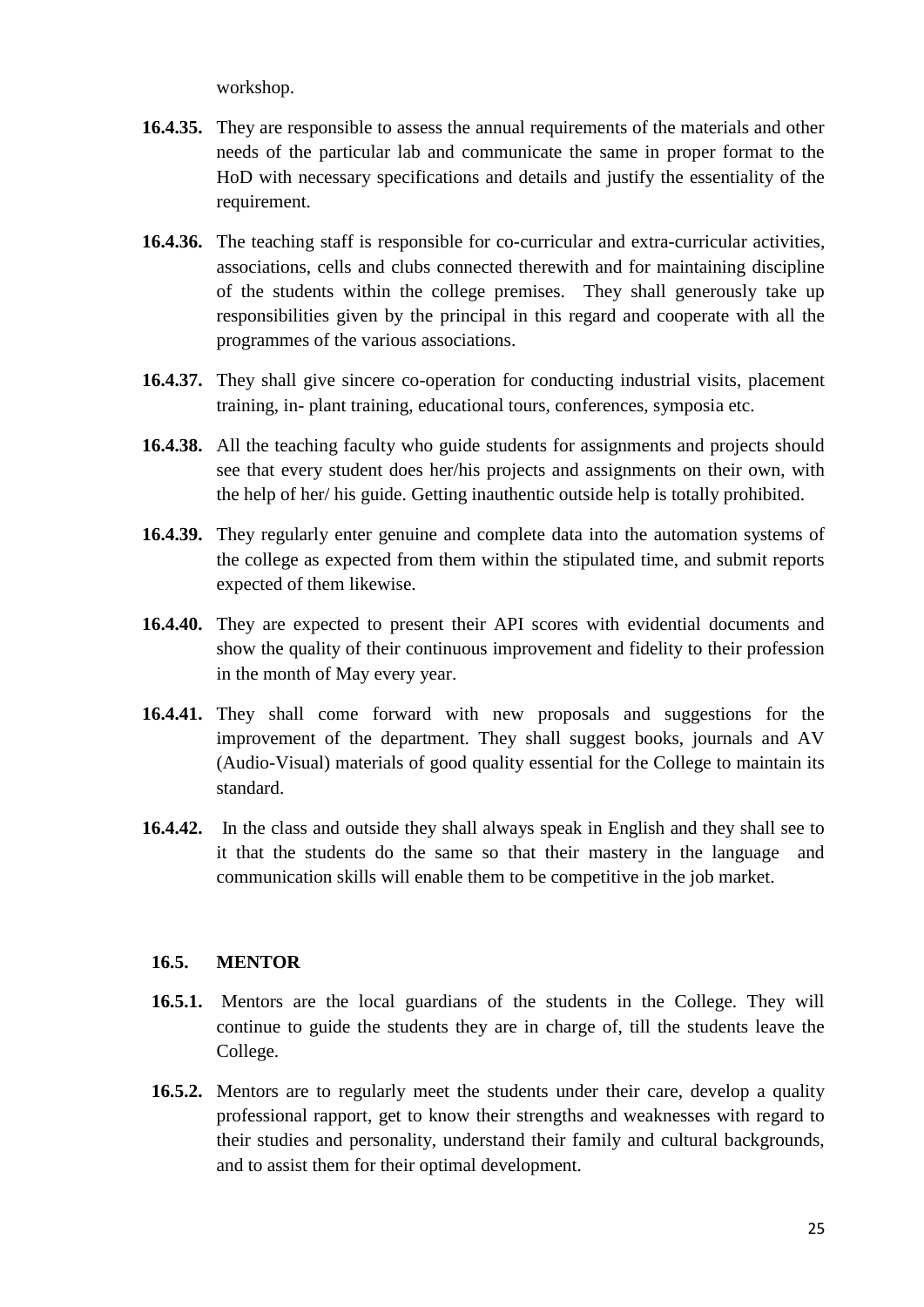workshop.

- **16.4.35.** They are responsible to assess the annual requirements of the materials and other needs of the particular lab and communicate the same in proper format to the HoD with necessary specifications and details and justify the essentiality of the requirement.
- **16.4.36.** The teaching staff is responsible for co-curricular and extra-curricular activities, associations, cells and clubs connected therewith and for maintaining discipline of the students within the college premises. They shall generously take up responsibilities given by the principal in this regard and cooperate with all the programmes of the various associations.
- **16.4.37.** They shall give sincere co-operation for conducting industrial visits, placement training, in- plant training, educational tours, conferences, symposia etc.
- **16.4.38.** All the teaching faculty who guide students for assignments and projects should see that every student does her/his projects and assignments on their own, with the help of her/ his guide. Getting inauthentic outside help is totally prohibited.
- **16.4.39.** They regularly enter genuine and complete data into the automation systems of the college as expected from them within the stipulated time, and submit reports expected of them likewise.
- **16.4.40.** They are expected to present their API scores with evidential documents and show the quality of their continuous improvement and fidelity to their profession in the month of May every year.
- **16.4.41.** They shall come forward with new proposals and suggestions for the improvement of the department. They shall suggest books, journals and AV (Audio-Visual) materials of good quality essential for the College to maintain its standard.
- **16.4.42.** In the class and outside they shall always speak in English and they shall see to it that the students do the same so that their mastery in the language and communication skills will enable them to be competitive in the job market.

# **16.5. MENTOR**

- **16.5.1.** Mentors are the local guardians of the students in the College. They will continue to guide the students they are in charge of, till the students leave the College.
- **16.5.2.** Mentors are to regularly meet the students under their care, develop a quality professional rapport, get to know their strengths and weaknesses with regard to their studies and personality, understand their family and cultural backgrounds, and to assist them for their optimal development.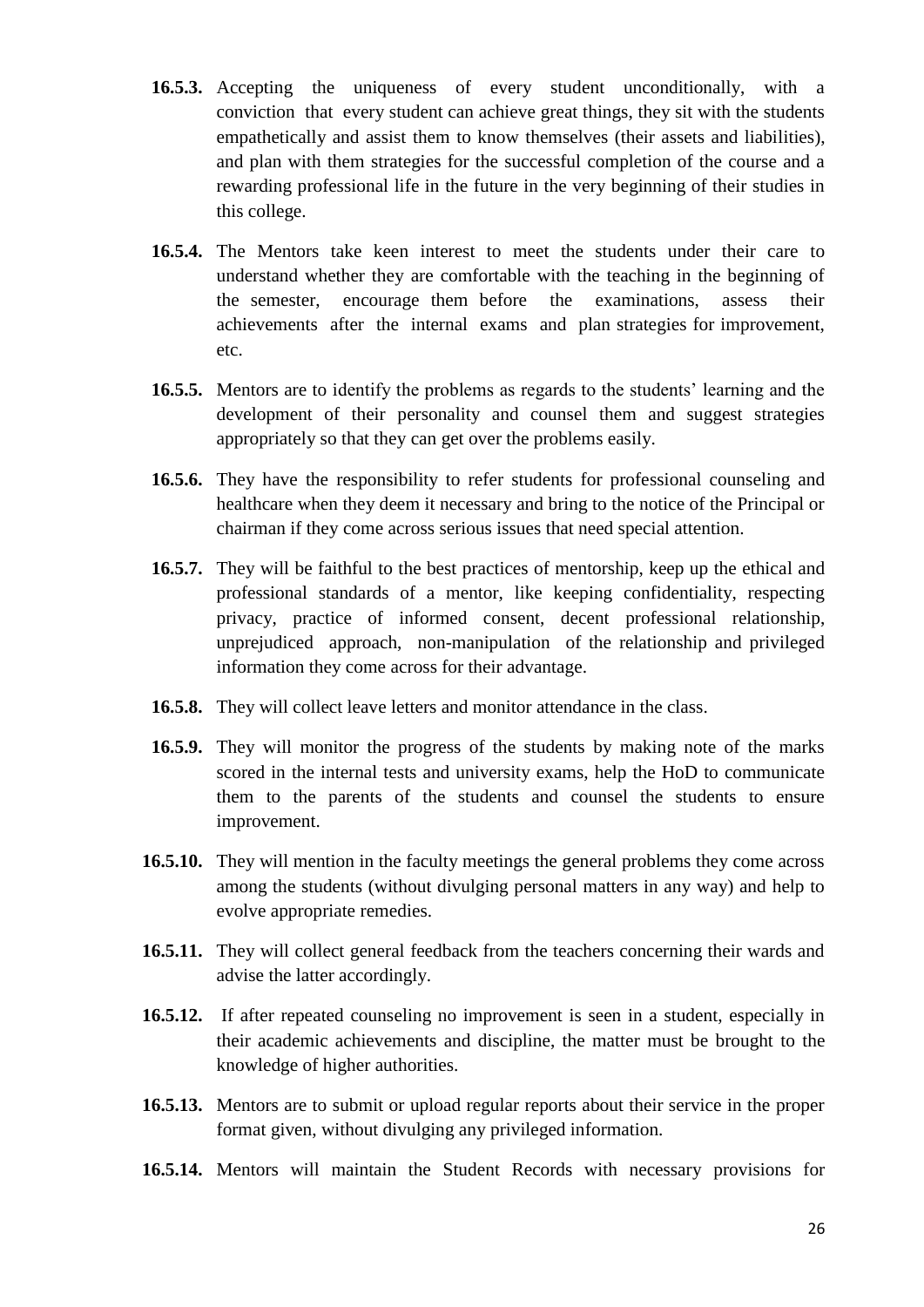- **16.5.3.** Accepting the uniqueness of every student unconditionally, with a conviction that every student can achieve great things, they sit with the students empathetically and assist them to know themselves (their assets and liabilities), and plan with them strategies for the successful completion of the course and a rewarding professional life in the future in the very beginning of their studies in this college.
- **16.5.4.** The Mentors take keen interest to meet the students under their care to understand whether they are comfortable with the teaching in the beginning of the semester, encourage them before the examinations, assess their achievements after the internal exams and plan strategies for improvement, etc.
- **16.5.5.** Mentors are to identify the problems as regards to the students' learning and the development of their personality and counsel them and suggest strategies appropriately so that they can get over the problems easily.
- **16.5.6.** They have the responsibility to refer students for professional counseling and healthcare when they deem it necessary and bring to the notice of the Principal or chairman if they come across serious issues that need special attention.
- **16.5.7.** They will be faithful to the best practices of mentorship, keep up the ethical and professional standards of a mentor, like keeping confidentiality, respecting privacy, practice of informed consent, decent professional relationship, unprejudiced approach, non-manipulation of the relationship and privileged information they come across for their advantage.
- **16.5.8.** They will collect leave letters and monitor attendance in the class.
- **16.5.9.** They will monitor the progress of the students by making note of the marks scored in the internal tests and university exams, help the HoD to communicate them to the parents of the students and counsel the students to ensure improvement.
- **16.5.10.** They will mention in the faculty meetings the general problems they come across among the students (without divulging personal matters in any way) and help to evolve appropriate remedies.
- **16.5.11.** They will collect general feedback from the teachers concerning their wards and advise the latter accordingly.
- **16.5.12.** If after repeated counseling no improvement is seen in a student, especially in their academic achievements and discipline, the matter must be brought to the knowledge of higher authorities.
- **16.5.13.** Mentors are to submit or upload regular reports about their service in the proper format given, without divulging any privileged information.
- **16.5.14.** Mentors will maintain the Student Records with necessary provisions for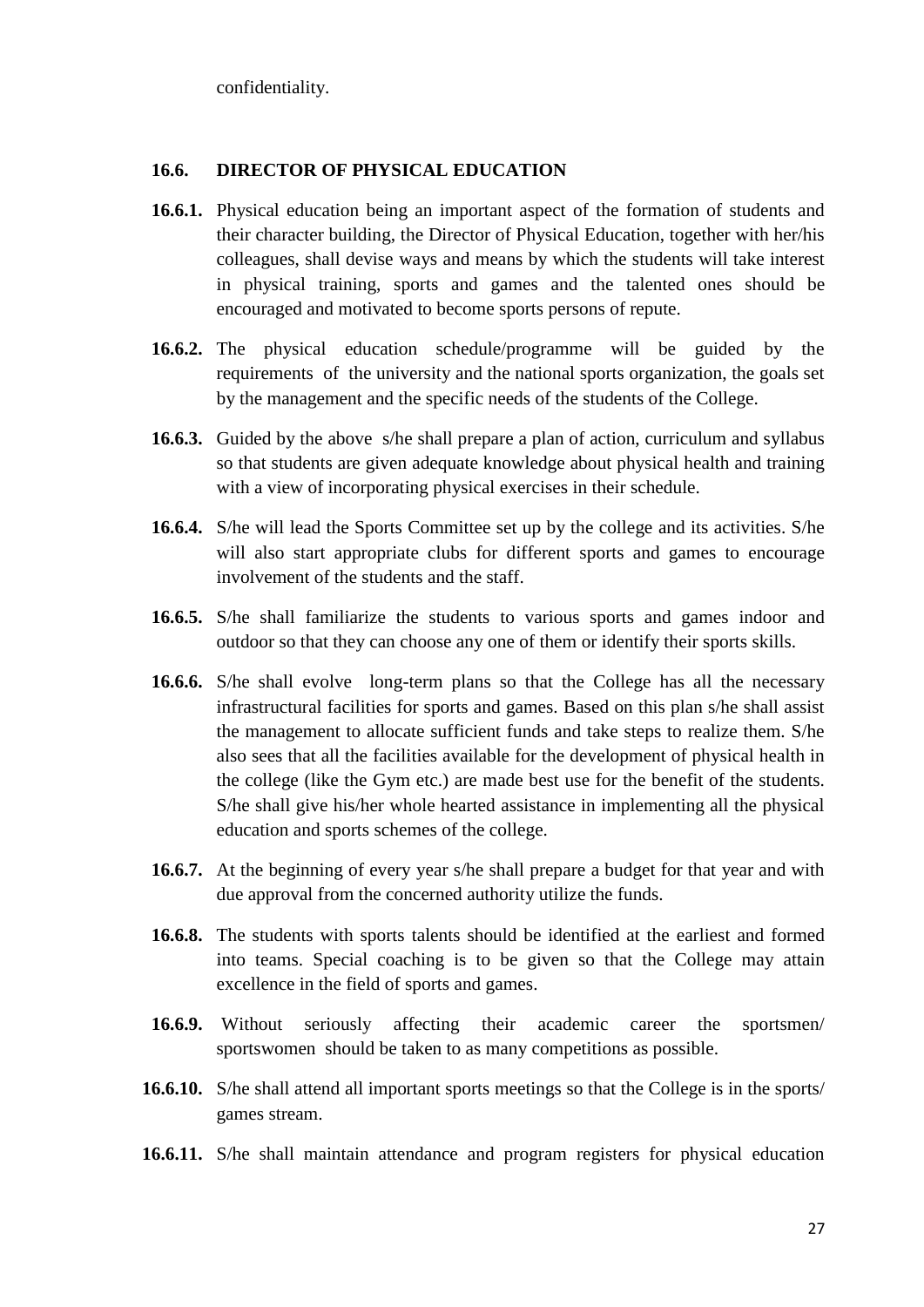confidentiality.

### **16.6. DIRECTOR OF PHYSICAL EDUCATION**

- **16.6.1.** Physical education being an important aspect of the formation of students and their character building, the Director of Physical Education, together with her/his colleagues, shall devise ways and means by which the students will take interest in physical training, sports and games and the talented ones should be encouraged and motivated to become sports persons of repute.
- **16.6.2.** The physical education schedule/programme will be guided by the requirements of the university and the national sports organization, the goals set by the management and the specific needs of the students of the College.
- **16.6.3.** Guided by the above s/he shall prepare a plan of action, curriculum and syllabus so that students are given adequate knowledge about physical health and training with a view of incorporating physical exercises in their schedule.
- **16.6.4.** S/he will lead the Sports Committee set up by the college and its activities. S/he will also start appropriate clubs for different sports and games to encourage involvement of the students and the staff.
- **16.6.5.** S/he shall familiarize the students to various sports and games indoor and outdoor so that they can choose any one of them or identify their sports skills.
- **16.6.6.** S/he shall evolve long-term plans so that the College has all the necessary infrastructural facilities for sports and games. Based on this plan s/he shall assist the management to allocate sufficient funds and take steps to realize them. S/he also sees that all the facilities available for the development of physical health in the college (like the Gym etc.) are made best use for the benefit of the students. S/he shall give his/her whole hearted assistance in implementing all the physical education and sports schemes of the college.
- **16.6.7.** At the beginning of every year s/he shall prepare a budget for that year and with due approval from the concerned authority utilize the funds.
- **16.6.8.** The students with sports talents should be identified at the earliest and formed into teams. Special coaching is to be given so that the College may attain excellence in the field of sports and games.
- **16.6.9.** Without seriously affecting their academic career the sportsmen/ sportswomen should be taken to as many competitions as possible.
- **16.6.10.** S/he shall attend all important sports meetings so that the College is in the sports/ games stream.
- **16.6.11.** S/he shall maintain attendance and program registers for physical education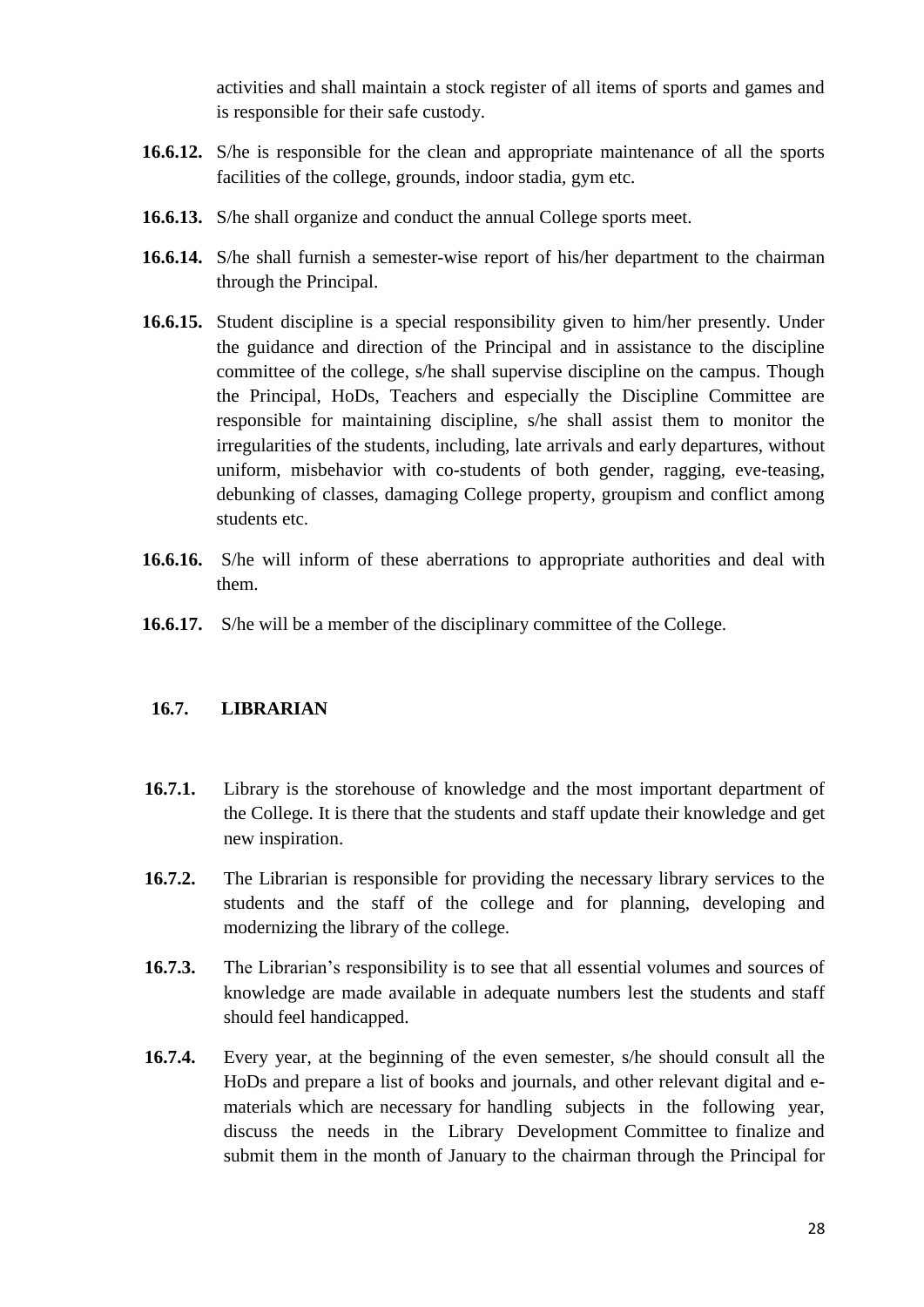activities and shall maintain a stock register of all items of sports and games and is responsible for their safe custody.

- **16.6.12.** S/he is responsible for the clean and appropriate maintenance of all the sports facilities of the college, grounds, indoor stadia, gym etc.
- **16.6.13.** S/he shall organize and conduct the annual College sports meet.
- **16.6.14.** S/he shall furnish a semester-wise report of his/her department to the chairman through the Principal.
- **16.6.15.** Student discipline is a special responsibility given to him/her presently. Under the guidance and direction of the Principal and in assistance to the discipline committee of the college, s/he shall supervise discipline on the campus. Though the Principal, HoDs, Teachers and especially the Discipline Committee are responsible for maintaining discipline, s/he shall assist them to monitor the irregularities of the students, including, late arrivals and early departures, without uniform, misbehavior with co-students of both gender, ragging, eve-teasing, debunking of classes, damaging College property, groupism and conflict among students etc.
- **16.6.16.** S/he will inform of these aberrations to appropriate authorities and deal with them.
- **16.6.17.** S/he will be a member of the disciplinary committee of the College.

# **16.7. LIBRARIAN**

- **16.7.1.** Library is the storehouse of knowledge and the most important department of the College. It is there that the students and staff update their knowledge and get new inspiration.
- **16.7.2.** The Librarian is responsible for providing the necessary library services to the students and the staff of the college and for planning, developing and modernizing the library of the college.
- **16.7.3.** The Librarian's responsibility is to see that all essential volumes and sources of knowledge are made available in adequate numbers lest the students and staff should feel handicapped.
- **16.7.4.** Every year, at the beginning of the even semester, s/he should consult all the HoDs and prepare a list of books and journals, and other relevant digital and ematerials which are necessary for handling subjects in the following year, discuss the needs in the Library Development Committee to finalize and submit them in the month of January to the chairman through the Principal for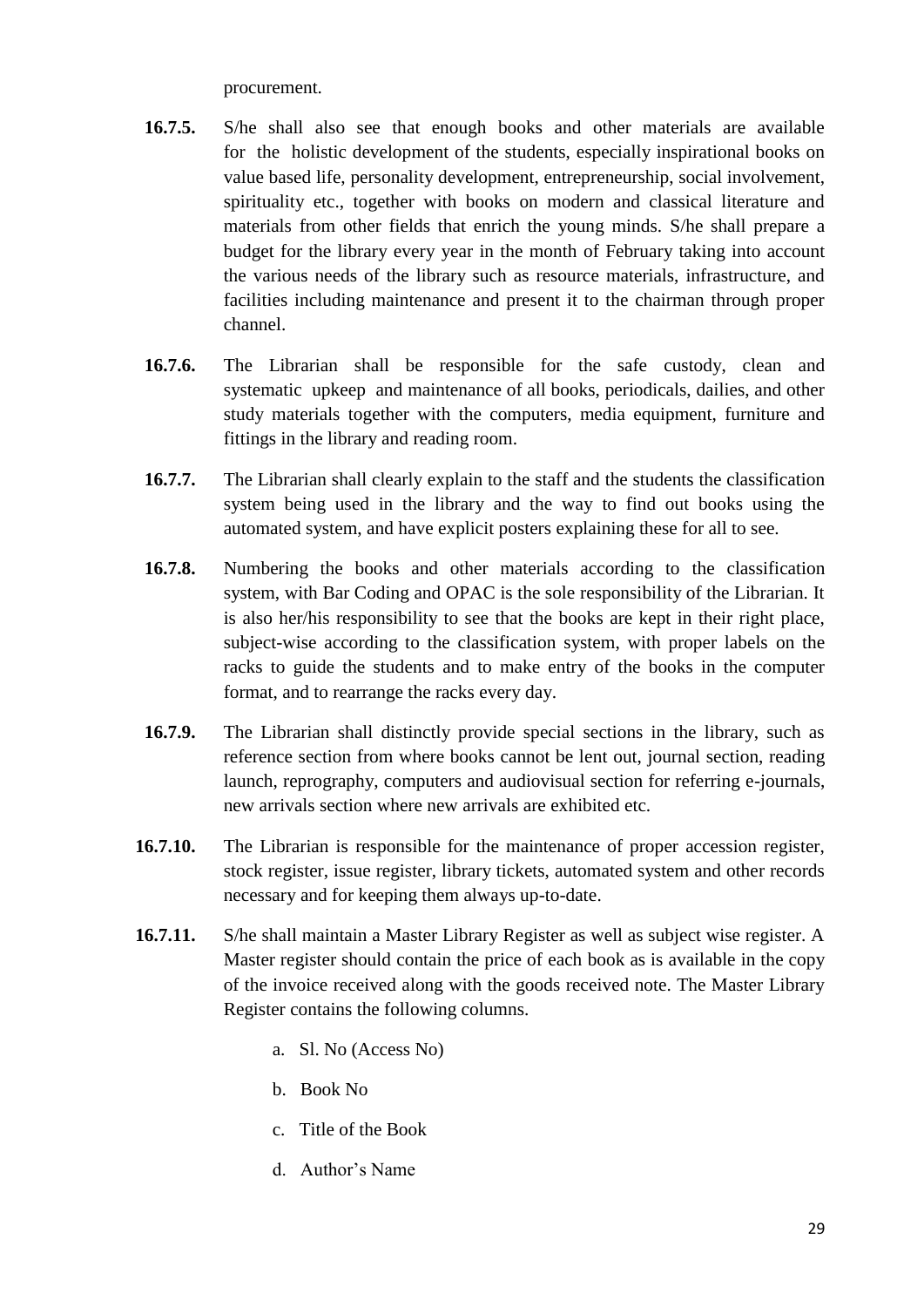procurement.

- **16.7.5.** S/he shall also see that enough books and other materials are available for the holistic development of the students, especially inspirational books on value based life, personality development, entrepreneurship, social involvement, spirituality etc., together with books on modern and classical literature and materials from other fields that enrich the young minds. S/he shall prepare a budget for the library every year in the month of February taking into account the various needs of the library such as resource materials, infrastructure, and facilities including maintenance and present it to the chairman through proper channel.
- **16.7.6.** The Librarian shall be responsible for the safe custody, clean and systematic upkeep and maintenance of all books, periodicals, dailies, and other study materials together with the computers, media equipment, furniture and fittings in the library and reading room.
- **16.7.7.** The Librarian shall clearly explain to the staff and the students the classification system being used in the library and the way to find out books using the automated system, and have explicit posters explaining these for all to see.
- **16.7.8.** Numbering the books and other materials according to the classification system, with Bar Coding and OPAC is the sole responsibility of the Librarian. It is also her/his responsibility to see that the books are kept in their right place, subject-wise according to the classification system, with proper labels on the racks to guide the students and to make entry of the books in the computer format, and to rearrange the racks every day.
- **16.7.9.** The Librarian shall distinctly provide special sections in the library, such as reference section from where books cannot be lent out, journal section, reading launch, reprography, computers and audiovisual section for referring e-journals, new arrivals section where new arrivals are exhibited etc.
- **16.7.10.** The Librarian is responsible for the maintenance of proper accession register, stock register, issue register, library tickets, automated system and other records necessary and for keeping them always up-to-date.
- **16.7.11.** S/he shall maintain a Master Library Register as well as subject wise register. A Master register should contain the price of each book as is available in the copy of the invoice received along with the goods received note. The Master Library Register contains the following columns.
	- a. Sl. No (Access No)
	- b. Book No
	- c. Title of the Book
	- d. Author's Name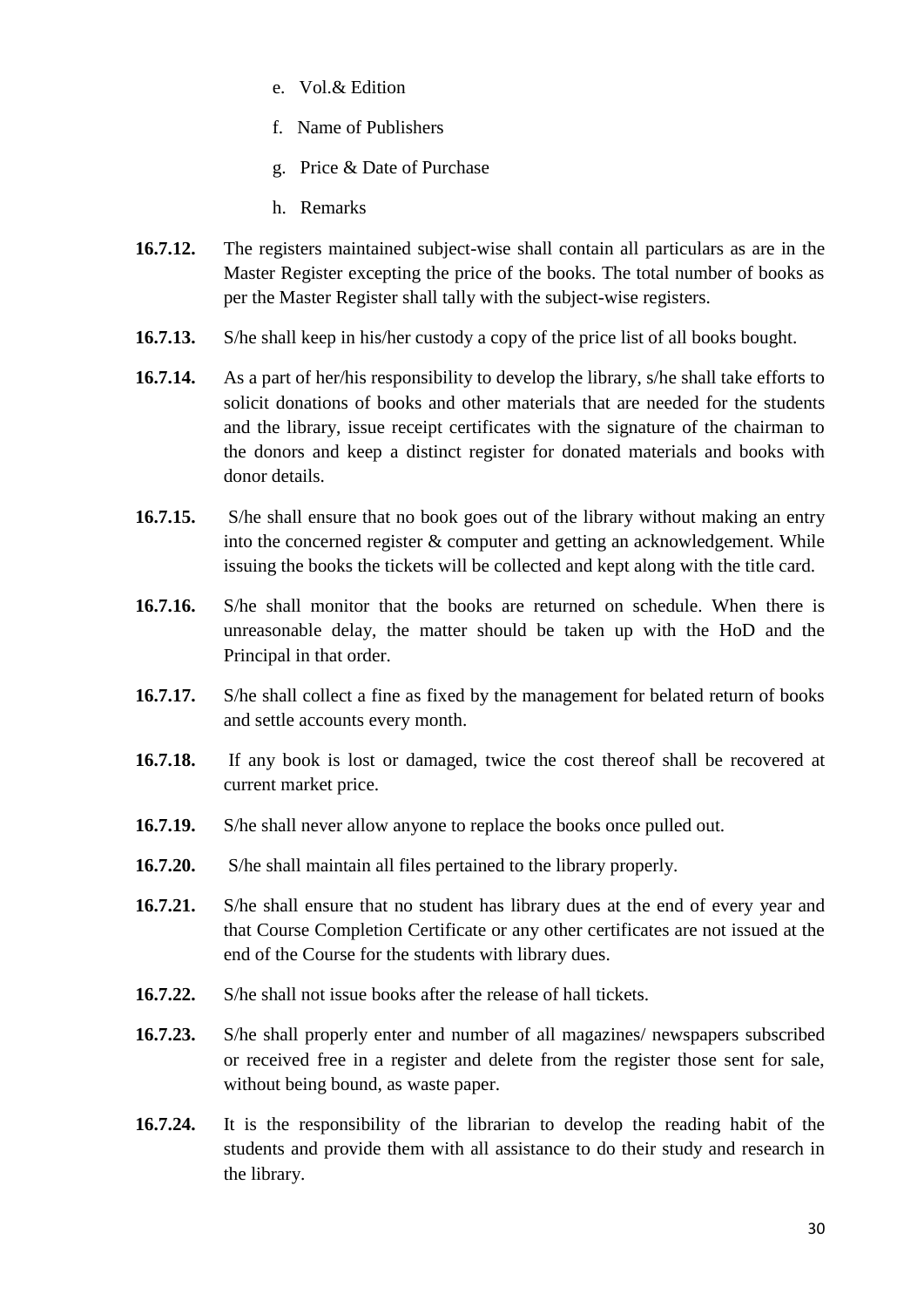- e. Vol.& Edition
- f. Name of Publishers
- g. Price & Date of Purchase
- h. Remarks
- **16.7.12.** The registers maintained subject-wise shall contain all particulars as are in the Master Register excepting the price of the books. The total number of books as per the Master Register shall tally with the subject-wise registers.
- **16.7.13.** S/he shall keep in his/her custody a copy of the price list of all books bought.
- **16.7.14.** As a part of her/his responsibility to develop the library, s/he shall take efforts to solicit donations of books and other materials that are needed for the students and the library, issue receipt certificates with the signature of the chairman to the donors and keep a distinct register for donated materials and books with donor details.
- **16.7.15.** S/he shall ensure that no book goes out of the library without making an entry into the concerned register & computer and getting an acknowledgement. While issuing the books the tickets will be collected and kept along with the title card.
- **16.7.16.** S/he shall monitor that the books are returned on schedule. When there is unreasonable delay, the matter should be taken up with the HoD and the Principal in that order.
- **16.7.17.** S/he shall collect a fine as fixed by the management for belated return of books and settle accounts every month.
- **16.7.18.** If any book is lost or damaged, twice the cost thereof shall be recovered at current market price.
- **16.7.19.** S/he shall never allow anyone to replace the books once pulled out.
- **16.7.20.** S/he shall maintain all files pertained to the library properly.
- **16.7.21.** S/he shall ensure that no student has library dues at the end of every year and that Course Completion Certificate or any other certificates are not issued at the end of the Course for the students with library dues.
- **16.7.22.** S/he shall not issue books after the release of hall tickets.
- **16.7.23.** S/he shall properly enter and number of all magazines/ newspapers subscribed or received free in a register and delete from the register those sent for sale, without being bound, as waste paper.
- **16.7.24.** It is the responsibility of the librarian to develop the reading habit of the students and provide them with all assistance to do their study and research in the library.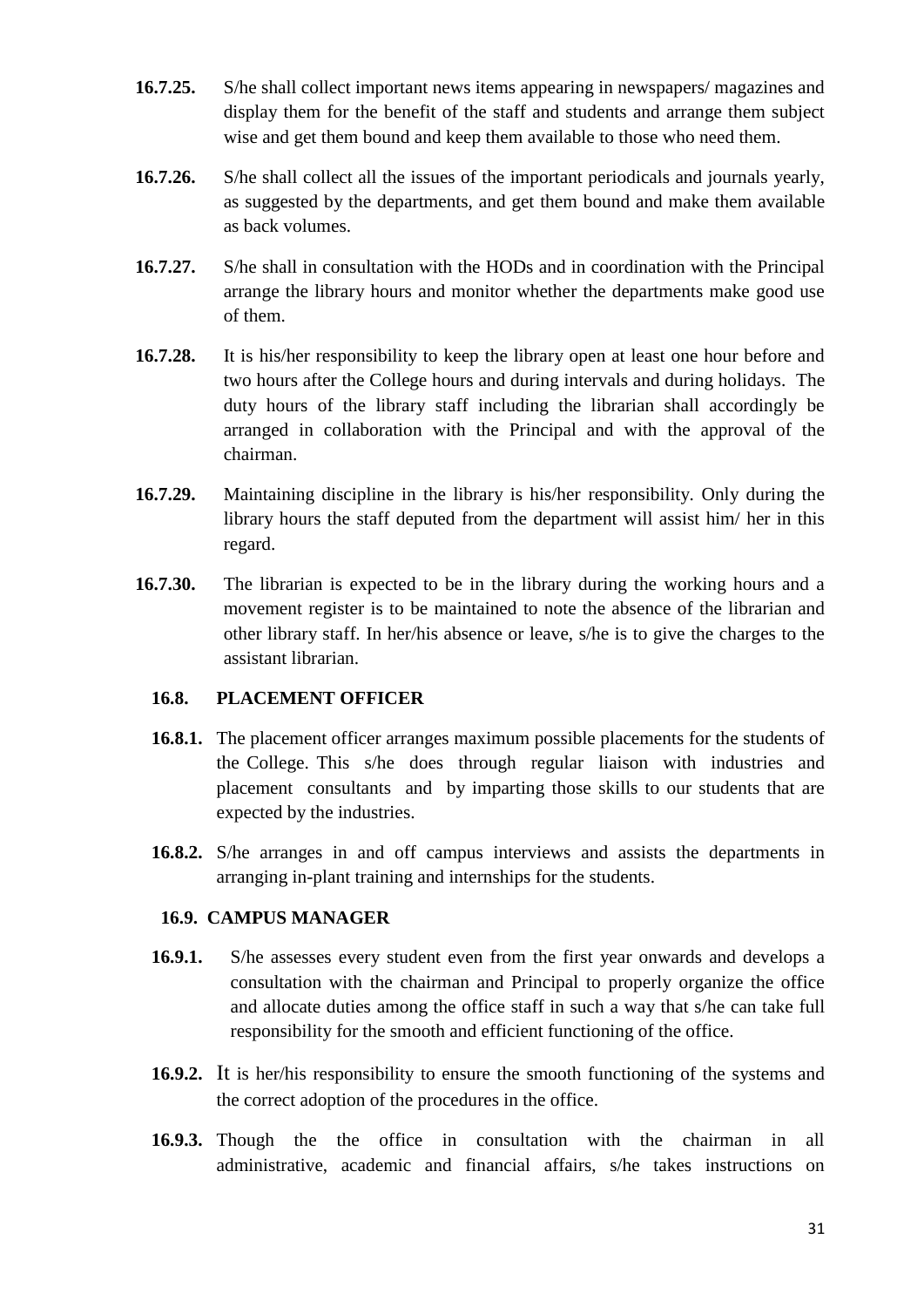- **16.7.25.** S/he shall collect important news items appearing in newspapers/ magazines and display them for the benefit of the staff and students and arrange them subject wise and get them bound and keep them available to those who need them.
- **16.7.26.** S/he shall collect all the issues of the important periodicals and journals yearly, as suggested by the departments, and get them bound and make them available as back volumes.
- **16.7.27.** S/he shall in consultation with the HODs and in coordination with the Principal arrange the library hours and monitor whether the departments make good use of them.
- **16.7.28.** It is his/her responsibility to keep the library open at least one hour before and two hours after the College hours and during intervals and during holidays. The duty hours of the library staff including the librarian shall accordingly be arranged in collaboration with the Principal and with the approval of the chairman.
- **16.7.29.** Maintaining discipline in the library is his/her responsibility. Only during the library hours the staff deputed from the department will assist him/ her in this regard.
- **16.7.30.** The librarian is expected to be in the library during the working hours and a movement register is to be maintained to note the absence of the librarian and other library staff. In her/his absence or leave, s/he is to give the charges to the assistant librarian.

# **16.8. PLACEMENT OFFICER**

- **16.8.1.** The placement officer arranges maximum possible placements for the students of the College. This s/he does through regular liaison with industries and placement consultants and by imparting those skills to our students that are expected by the industries.
- **16.8.2.** S/he arranges in and off campus interviews and assists the departments in arranging in-plant training and internships for the students.

#### **16.9. CAMPUS MANAGER**

- **16.9.1.** S/he assesses every student even from the first year onwards and develops a consultation with the chairman and Principal to properly organize the office and allocate duties among the office staff in such a way that s/he can take full responsibility for the smooth and efficient functioning of the office.
- **16.9.2.** It is her/his responsibility to ensure the smooth functioning of the systems and the correct adoption of the procedures in the office.
- **16.9.3.** Though the the office in consultation with the chairman in all administrative, academic and financial affairs, s/he takes instructions on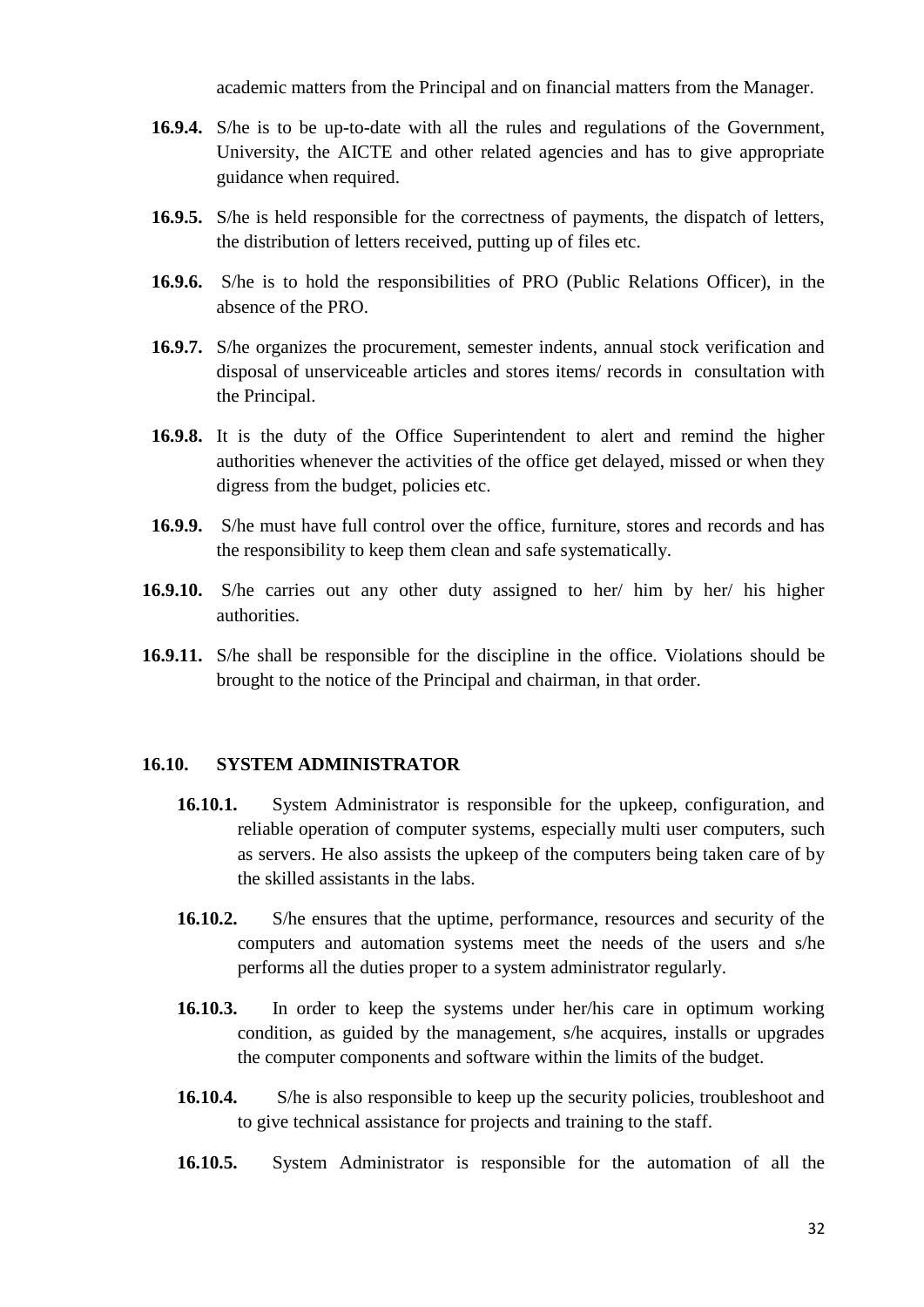academic matters from the Principal and on financial matters from the Manager.

- **16.9.4.** S/he is to be up-to-date with all the rules and regulations of the Government, University, the AICTE and other related agencies and has to give appropriate guidance when required.
- **16.9.5.** S/he is held responsible for the correctness of payments, the dispatch of letters, the distribution of letters received, putting up of files etc.
- **16.9.6.** S/he is to hold the responsibilities of PRO (Public Relations Officer), in the absence of the PRO.
- **16.9.7.** S/he organizes the procurement, semester indents, annual stock verification and disposal of unserviceable articles and stores items/ records in consultation with the Principal.
- **16.9.8.** It is the duty of the Office Superintendent to alert and remind the higher authorities whenever the activities of the office get delayed, missed or when they digress from the budget, policies etc.
- **16.9.9.** S/he must have full control over the office, furniture, stores and records and has the responsibility to keep them clean and safe systematically.
- **16.9.10.** S/he carries out any other duty assigned to her/ him by her/ his higher authorities.
- **16.9.11.** S/he shall be responsible for the discipline in the office. Violations should be brought to the notice of the Principal and chairman, in that order.

# **16.10. SYSTEM ADMINISTRATOR**

- **16.10.1.** System Administrator is responsible for the upkeep, configuration, and reliable operation of computer systems, especially multi user computers, such as servers. He also assists the upkeep of the computers being taken care of by the skilled assistants in the labs.
- **16.10.2.** S/he ensures that the uptime, performance, resources and security of the computers and automation systems meet the needs of the users and s/he performs all the duties proper to a system administrator regularly.
- **16.10.3.** In order to keep the systems under her/his care in optimum working condition, as guided by the management, s/he acquires, installs or upgrades the computer components and software within the limits of the budget.
- **16.10.4.** S/he is also responsible to keep up the security policies, troubleshoot and to give technical assistance for projects and training to the staff.
- **16.10.5.** System Administrator is responsible for the automation of all the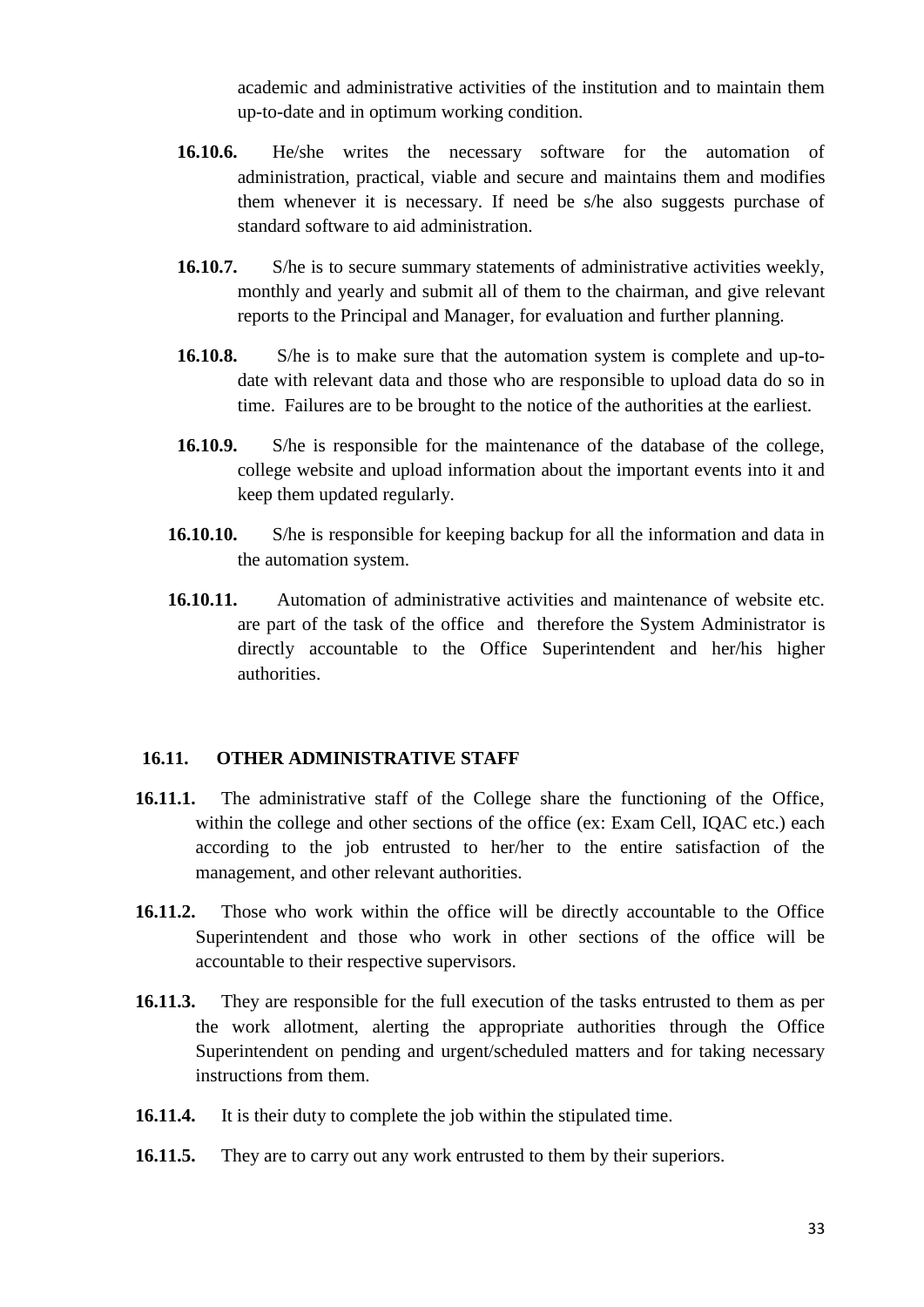academic and administrative activities of the institution and to maintain them up-to-date and in optimum working condition.

- **16.10.6.** He/she writes the necessary software for the automation of administration, practical, viable and secure and maintains them and modifies them whenever it is necessary. If need be s/he also suggests purchase of standard software to aid administration.
- **16.10.7.** S/he is to secure summary statements of administrative activities weekly, monthly and yearly and submit all of them to the chairman, and give relevant reports to the Principal and Manager, for evaluation and further planning.
- **16.10.8.** S/he is to make sure that the automation system is complete and up-todate with relevant data and those who are responsible to upload data do so in time. Failures are to be brought to the notice of the authorities at the earliest.
- **16.10.9.** S/he is responsible for the maintenance of the database of the college, college website and upload information about the important events into it and keep them updated regularly.
- **16.10.10.** S/he is responsible for keeping backup for all the information and data in the automation system.
- **16.10.11.** Automation of administrative activities and maintenance of website etc. are part of the task of the office and therefore the System Administrator is directly accountable to the Office Superintendent and her/his higher authorities.

### **16.11. OTHER ADMINISTRATIVE STAFF**

- 16.11.1. The administrative staff of the College share the functioning of the Office, within the college and other sections of the office (ex: Exam Cell, IQAC etc.) each according to the job entrusted to her/her to the entire satisfaction of the management, and other relevant authorities.
- **16.11.2.** Those who work within the office will be directly accountable to the Office Superintendent and those who work in other sections of the office will be accountable to their respective supervisors.
- **16.11.3.** They are responsible for the full execution of the tasks entrusted to them as per the work allotment, alerting the appropriate authorities through the Office Superintendent on pending and urgent/scheduled matters and for taking necessary instructions from them.
- **16.11.4.** It is their duty to complete the job within the stipulated time.
- **16.11.5.** They are to carry out any work entrusted to them by their superiors.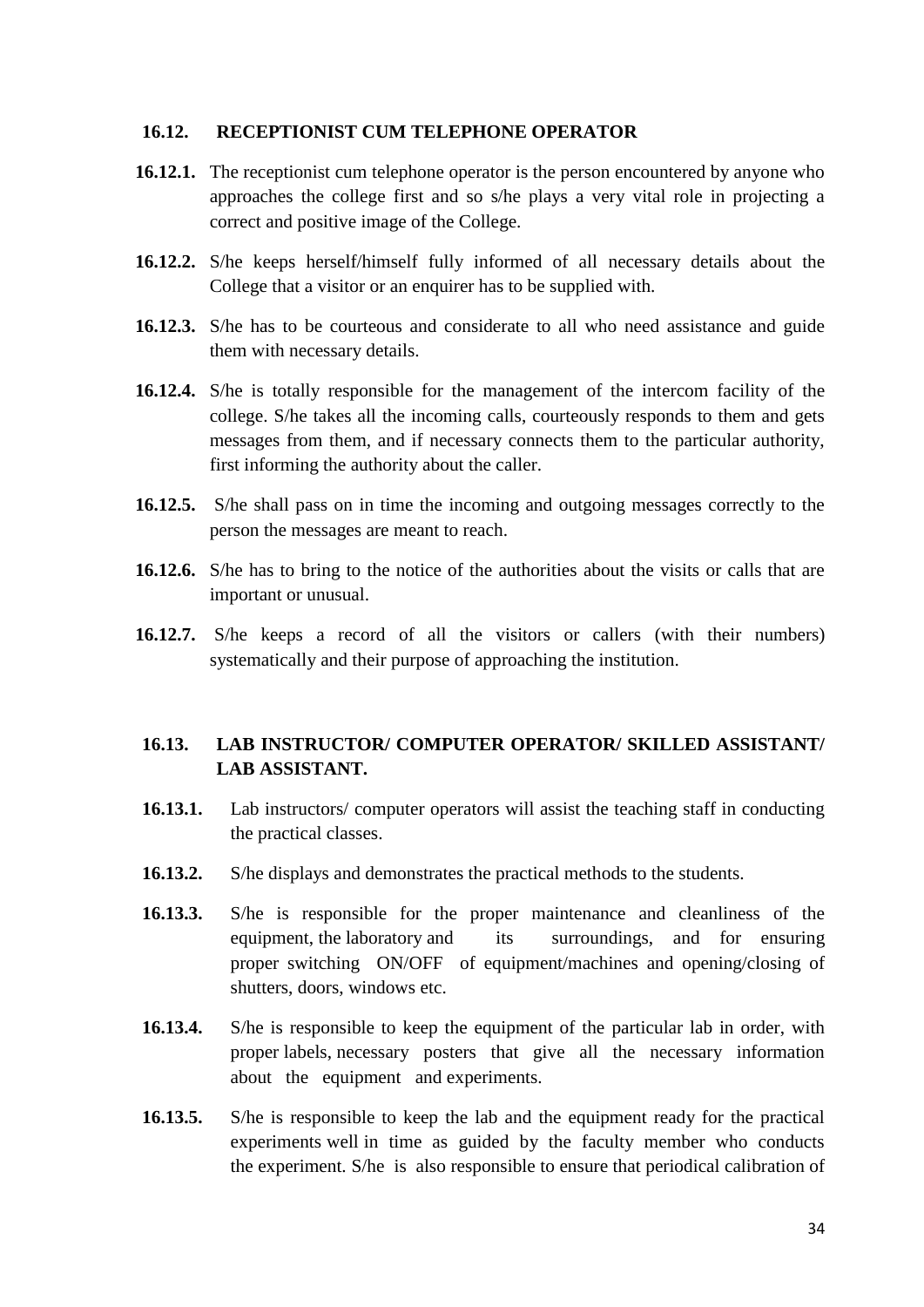#### **16.12. RECEPTIONIST CUM TELEPHONE OPERATOR**

- **16.12.1.** The receptionist cum telephone operator is the person encountered by anyone who approaches the college first and so s/he plays a very vital role in projecting a correct and positive image of the College.
- **16.12.2.** S/he keeps herself/himself fully informed of all necessary details about the College that a visitor or an enquirer has to be supplied with.
- **16.12.3.** S/he has to be courteous and considerate to all who need assistance and guide them with necessary details.
- **16.12.4.** S/he is totally responsible for the management of the intercom facility of the college. S/he takes all the incoming calls, courteously responds to them and gets messages from them, and if necessary connects them to the particular authority, first informing the authority about the caller.
- **16.12.5.** S/he shall pass on in time the incoming and outgoing messages correctly to the person the messages are meant to reach.
- **16.12.6.** S/he has to bring to the notice of the authorities about the visits or calls that are important or unusual.
- **16.12.7.** S/he keeps a record of all the visitors or callers (with their numbers) systematically and their purpose of approaching the institution.

# **16.13. LAB INSTRUCTOR/ COMPUTER OPERATOR/ SKILLED ASSISTANT/ LAB ASSISTANT.**

- **16.13.1.** Lab instructors/ computer operators will assist the teaching staff in conducting the practical classes.
- **16.13.2.** S/he displays and demonstrates the practical methods to the students.
- **16.13.3.** S/he is responsible for the proper maintenance and cleanliness of the equipment, the laboratory and its surroundings, and for ensuring proper switching ON/OFF of equipment/machines and opening/closing of shutters, doors, windows etc.
- **16.13.4.** S/he is responsible to keep the equipment of the particular lab in order, with proper labels, necessary posters that give all the necessary information about the equipment and experiments.
- **16.13.5.** S/he is responsible to keep the lab and the equipment ready for the practical experiments well in time as guided by the faculty member who conducts the experiment. S/he is also responsible to ensure that periodical calibration of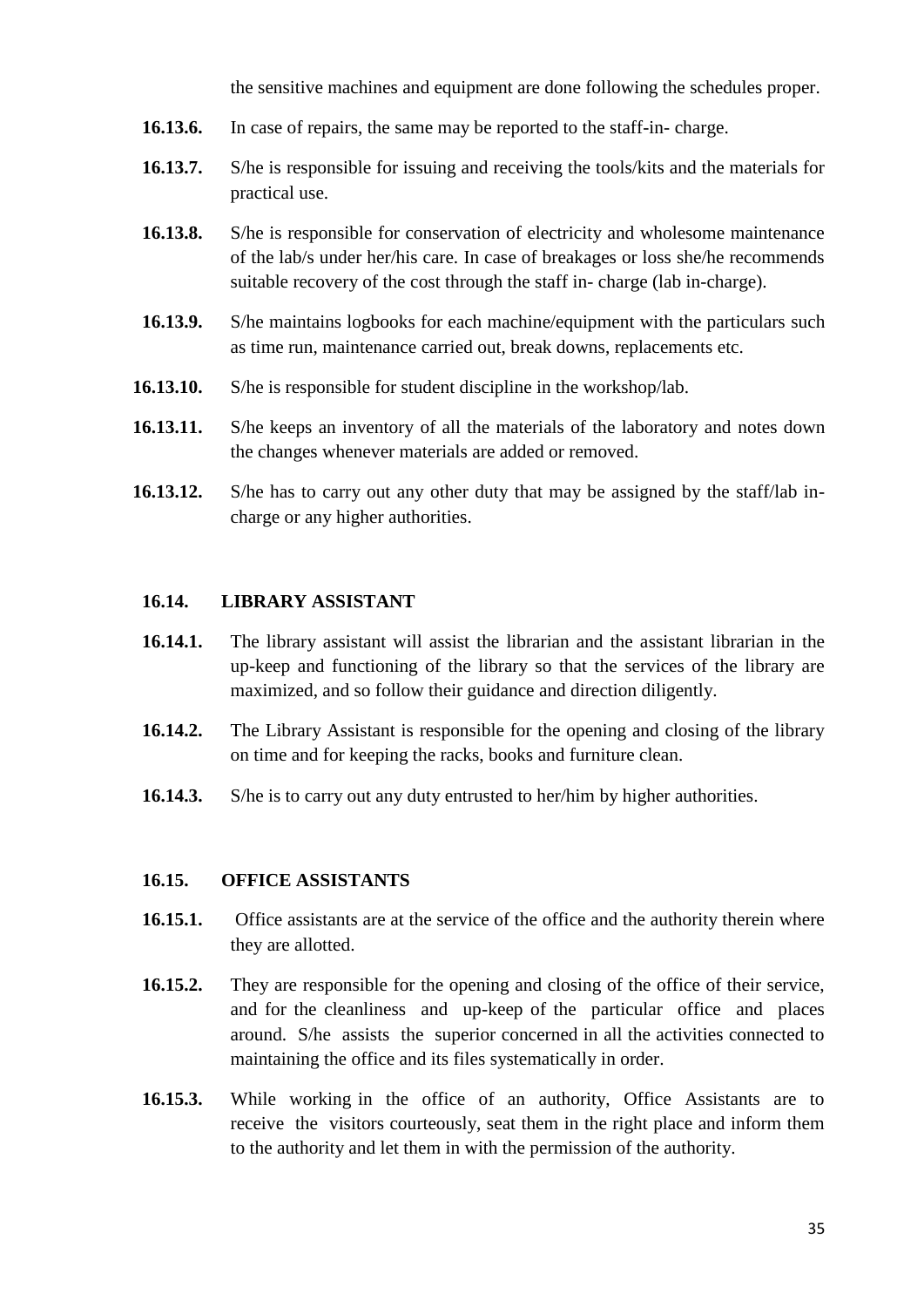the sensitive machines and equipment are done following the schedules proper.

- **16.13.6.** In case of repairs, the same may be reported to the staff-in- charge.
- **16.13.7.** S/he is responsible for issuing and receiving the tools/kits and the materials for practical use.
- **16.13.8.** S/he is responsible for conservation of electricity and wholesome maintenance of the lab/s under her/his care. In case of breakages or loss she/he recommends suitable recovery of the cost through the staff in- charge (lab in-charge).
- **16.13.9.** S/he maintains logbooks for each machine/equipment with the particulars such as time run, maintenance carried out, break downs, replacements etc.
- **16.13.10.** S/he is responsible for student discipline in the workshop/lab.
- **16.13.11.** S/he keeps an inventory of all the materials of the laboratory and notes down the changes whenever materials are added or removed.
- **16.13.12.** S/he has to carry out any other duty that may be assigned by the staff/lab incharge or any higher authorities.

### **16.14. LIBRARY ASSISTANT**

- **16.14.1.** The library assistant will assist the librarian and the assistant librarian in the up-keep and functioning of the library so that the services of the library are maximized, and so follow their guidance and direction diligently.
- **16.14.2.** The Library Assistant is responsible for the opening and closing of the library on time and for keeping the racks, books and furniture clean.
- **16.14.3.** S/he is to carry out any duty entrusted to her/him by higher authorities.

#### **16.15. OFFICE ASSISTANTS**

- 16.15.1. Office assistants are at the service of the office and the authority therein where they are allotted.
- **16.15.2.** They are responsible for the opening and closing of the office of their service, and for the cleanliness and up-keep of the particular office and places around. S/he assists the superior concerned in all the activities connected to maintaining the office and its files systematically in order.
- **16.15.3.** While working in the office of an authority, Office Assistants are to receive the visitors courteously, seat them in the right place and inform them to the authority and let them in with the permission of the authority.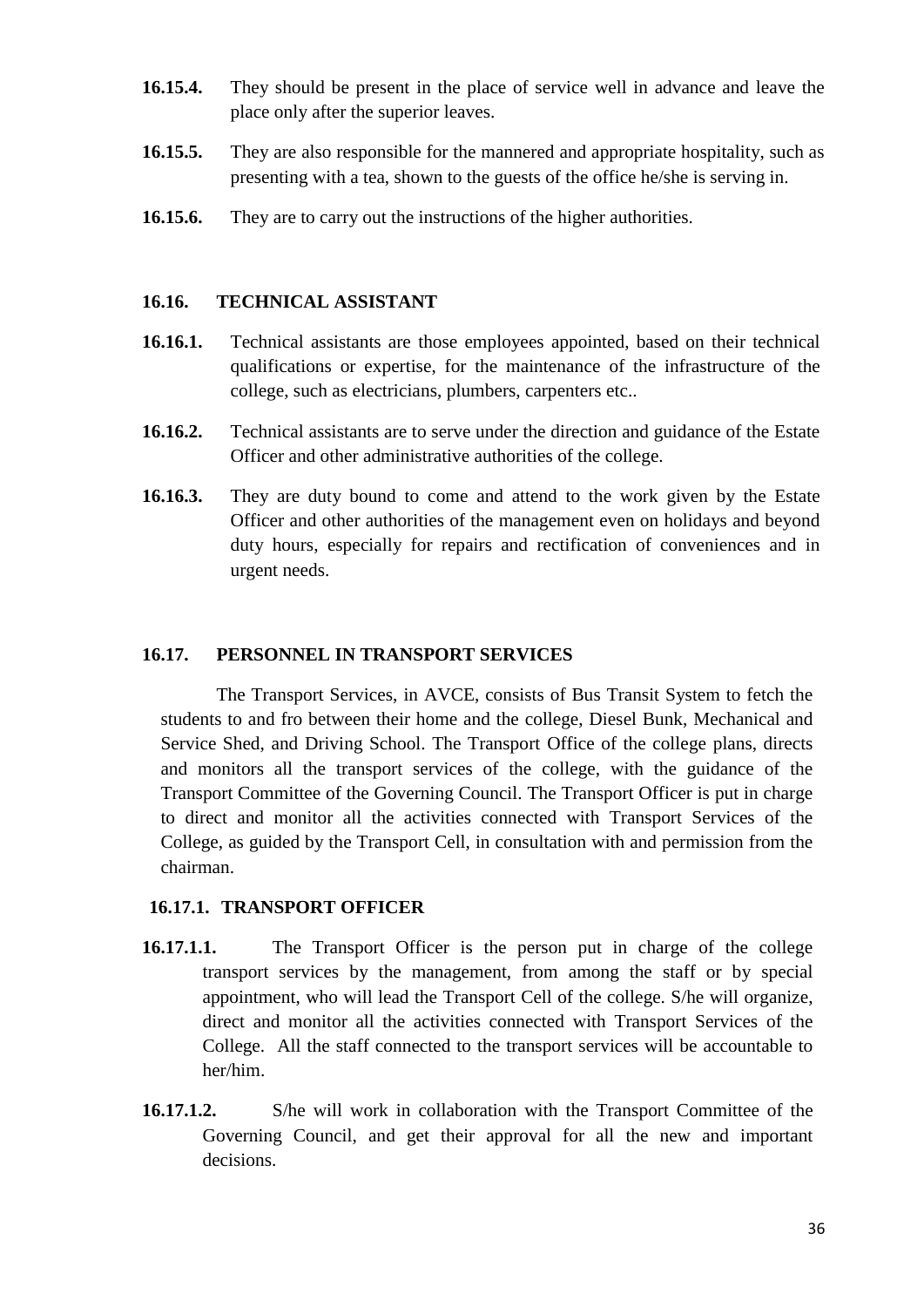- **16.15.4.** They should be present in the place of service well in advance and leave the place only after the superior leaves.
- **16.15.5.** They are also responsible for the mannered and appropriate hospitality, such as presenting with a tea, shown to the guests of the office he/she is serving in.
- **16.15.6.** They are to carry out the instructions of the higher authorities.

#### **16.16. TECHNICAL ASSISTANT**

- **16.16.1.** Technical assistants are those employees appointed, based on their technical qualifications or expertise, for the maintenance of the infrastructure of the college, such as electricians, plumbers, carpenters etc..
- **16.16.2.** Technical assistants are to serve under the direction and guidance of the Estate Officer and other administrative authorities of the college.
- **16.16.3.** They are duty bound to come and attend to the work given by the Estate Officer and other authorities of the management even on holidays and beyond duty hours, especially for repairs and rectification of conveniences and in urgent needs.

### **16.17. PERSONNEL IN TRANSPORT SERVICES**

The Transport Services, in AVCE, consists of Bus Transit System to fetch the students to and fro between their home and the college, Diesel Bunk, Mechanical and Service Shed, and Driving School. The Transport Office of the college plans, directs and monitors all the transport services of the college, with the guidance of the Transport Committee of the Governing Council. The Transport Officer is put in charge to direct and monitor all the activities connected with Transport Services of the College, as guided by the Transport Cell, in consultation with and permission from the chairman.

#### **16.17.1. TRANSPORT OFFICER**

- **16.17.1.1.** The Transport Officer is the person put in charge of the college transport services by the management, from among the staff or by special appointment, who will lead the Transport Cell of the college. S/he will organize, direct and monitor all the activities connected with Transport Services of the College. All the staff connected to the transport services will be accountable to her/him.
- **16.17.1.2.** S/he will work in collaboration with the Transport Committee of the Governing Council, and get their approval for all the new and important decisions.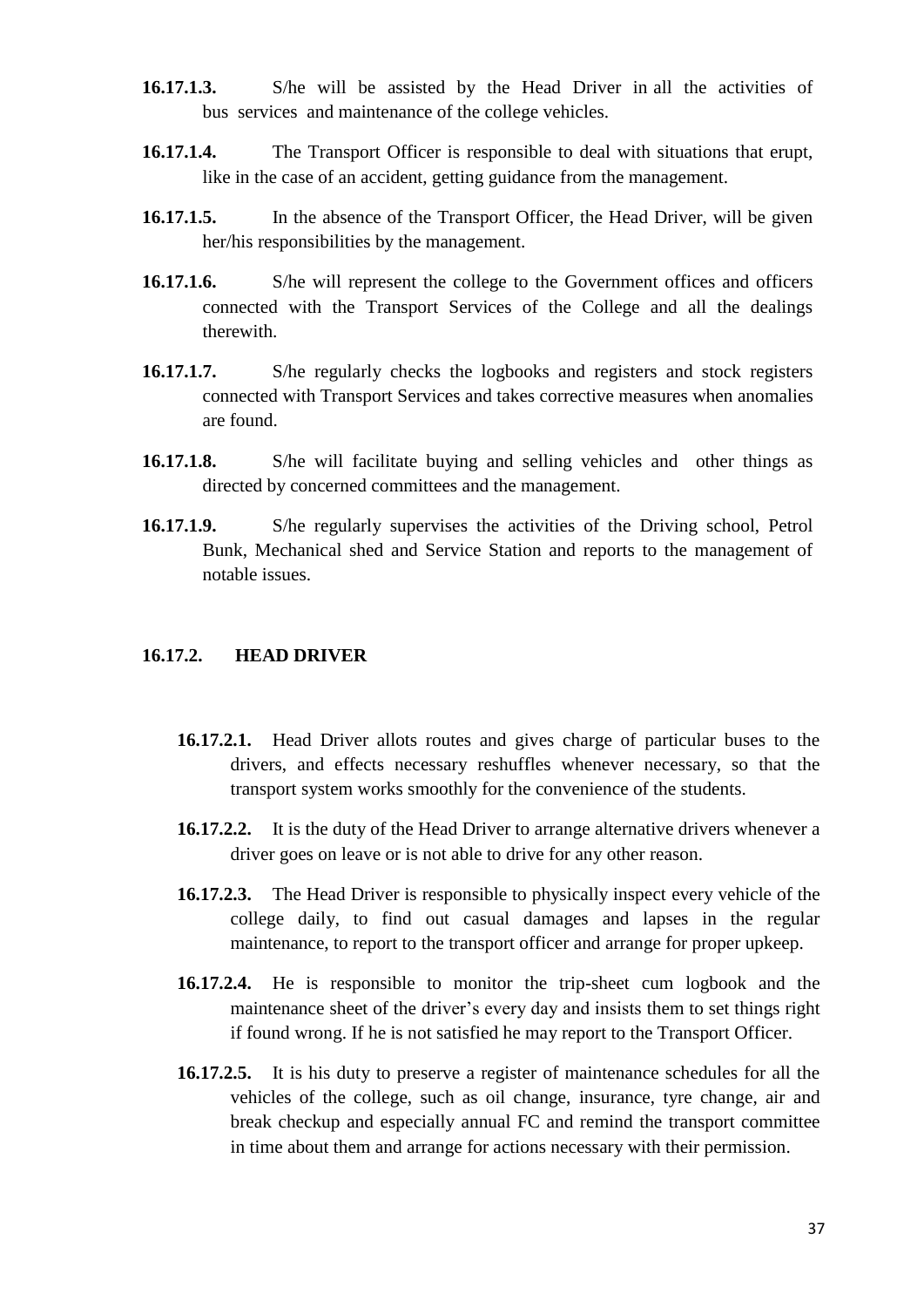- **16.17.1.3.** S/he will be assisted by the Head Driver in all the activities of bus services and maintenance of the college vehicles.
- **16.17.1.4.** The Transport Officer is responsible to deal with situations that erupt, like in the case of an accident, getting guidance from the management.
- **16.17.1.5.** In the absence of the Transport Officer, the Head Driver, will be given her/his responsibilities by the management.
- **16.17.1.6.** S/he will represent the college to the Government offices and officers connected with the Transport Services of the College and all the dealings therewith.
- **16.17.1.7.** S/he regularly checks the logbooks and registers and stock registers connected with Transport Services and takes corrective measures when anomalies are found.
- **16.17.1.8.** S/he will facilitate buying and selling vehicles and other things as directed by concerned committees and the management.
- **16.17.1.9.** S/he regularly supervises the activities of the Driving school, Petrol Bunk, Mechanical shed and Service Station and reports to the management of notable issues.

### **16.17.2. HEAD DRIVER**

- **16.17.2.1.** Head Driver allots routes and gives charge of particular buses to the drivers, and effects necessary reshuffles whenever necessary, so that the transport system works smoothly for the convenience of the students.
- **16.17.2.2.** It is the duty of the Head Driver to arrange alternative drivers whenever a driver goes on leave or is not able to drive for any other reason.
- **16.17.2.3.** The Head Driver is responsible to physically inspect every vehicle of the college daily, to find out casual damages and lapses in the regular maintenance, to report to the transport officer and arrange for proper upkeep.
- **16.17.2.4.** He is responsible to monitor the trip-sheet cum logbook and the maintenance sheet of the driver's every day and insists them to set things right if found wrong. If he is not satisfied he may report to the Transport Officer.
- **16.17.2.5.** It is his duty to preserve a register of maintenance schedules for all the vehicles of the college, such as oil change, insurance, tyre change, air and break checkup and especially annual FC and remind the transport committee in time about them and arrange for actions necessary with their permission.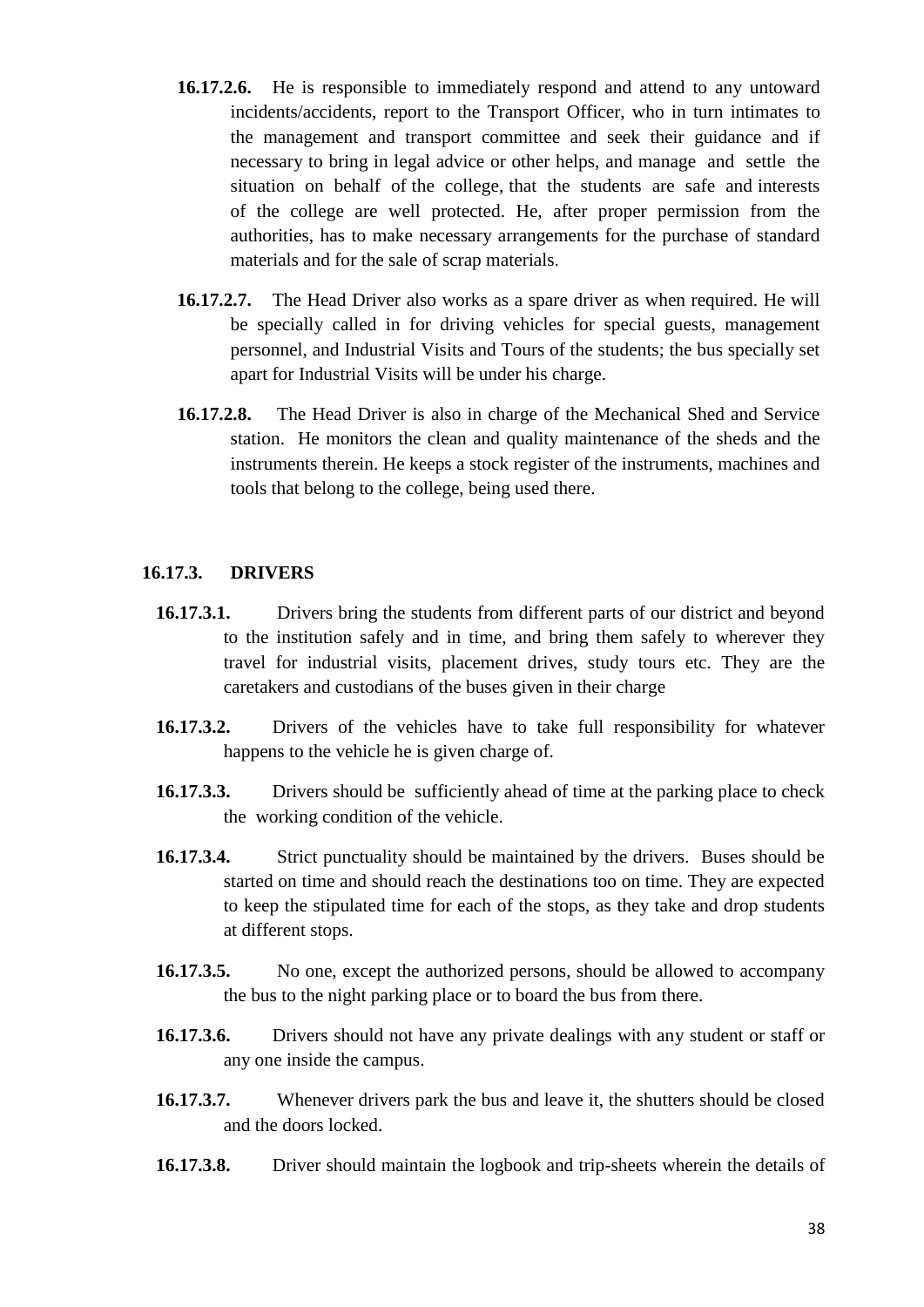- **16.17.2.6.** He is responsible to immediately respond and attend to any untoward incidents/accidents, report to the Transport Officer, who in turn intimates to the management and transport committee and seek their guidance and if necessary to bring in legal advice or other helps, and manage and settle the situation on behalf of the college, that the students are safe and interests of the college are well protected. He, after proper permission from the authorities, has to make necessary arrangements for the purchase of standard materials and for the sale of scrap materials.
- **16.17.2.7.** The Head Driver also works as a spare driver as when required. He will be specially called in for driving vehicles for special guests, management personnel, and Industrial Visits and Tours of the students; the bus specially set apart for Industrial Visits will be under his charge.
- **16.17.2.8.** The Head Driver is also in charge of the Mechanical Shed and Service station. He monitors the clean and quality maintenance of the sheds and the instruments therein. He keeps a stock register of the instruments, machines and tools that belong to the college, being used there.

### **16.17.3. DRIVERS**

- **16.17.3.1.** Drivers bring the students from different parts of our district and beyond to the institution safely and in time, and bring them safely to wherever they travel for industrial visits, placement drives, study tours etc. They are the caretakers and custodians of the buses given in their charge
- **16.17.3.2.** Drivers of the vehicles have to take full responsibility for whatever happens to the vehicle he is given charge of.
- **16.17.3.3.** Drivers should be sufficiently ahead of time at the parking place to check the working condition of the vehicle.
- **16.17.3.4.** Strict punctuality should be maintained by the drivers. Buses should be started on time and should reach the destinations too on time. They are expected to keep the stipulated time for each of the stops, as they take and drop students at different stops.
- **16.17.3.5.** No one, except the authorized persons, should be allowed to accompany the bus to the night parking place or to board the bus from there.
- **16.17.3.6.** Drivers should not have any private dealings with any student or staff or any one inside the campus.
- **16.17.3.7.** Whenever drivers park the bus and leave it, the shutters should be closed and the doors locked.
- **16.17.3.8.** Driver should maintain the logbook and trip-sheets wherein the details of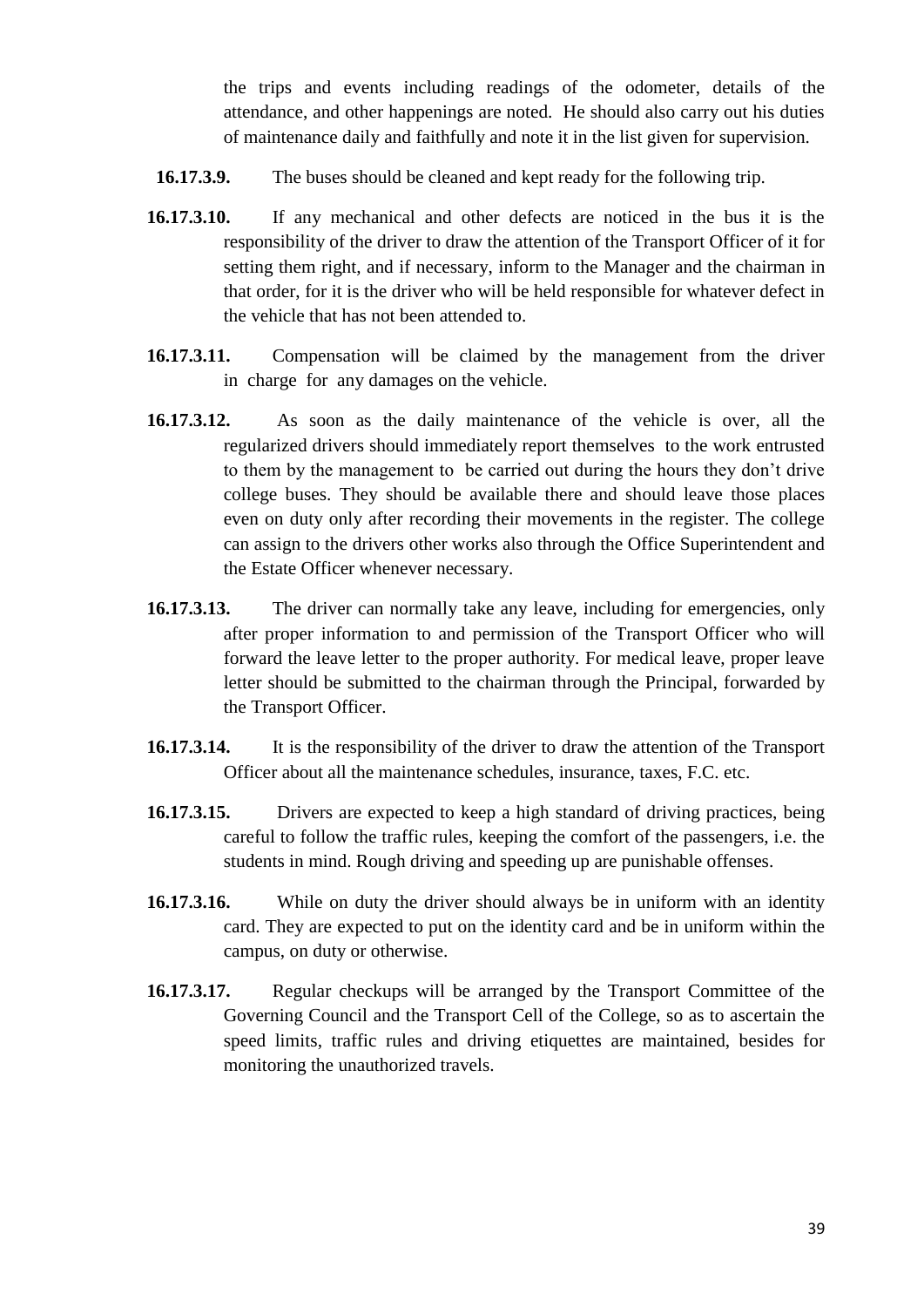the trips and events including readings of the odometer, details of the attendance, and other happenings are noted. He should also carry out his duties of maintenance daily and faithfully and note it in the list given for supervision.

- **16.17.3.9.** The buses should be cleaned and kept ready for the following trip.
- **16.17.3.10.** If any mechanical and other defects are noticed in the bus it is the responsibility of the driver to draw the attention of the Transport Officer of it for setting them right, and if necessary, inform to the Manager and the chairman in that order, for it is the driver who will be held responsible for whatever defect in the vehicle that has not been attended to.
- **16.17.3.11.** Compensation will be claimed by the management from the driver in charge for any damages on the vehicle.
- **16.17.3.12.** As soon as the daily maintenance of the vehicle is over, all the regularized drivers should immediately report themselves to the work entrusted to them by the management to be carried out during the hours they don't drive college buses. They should be available there and should leave those places even on duty only after recording their movements in the register. The college can assign to the drivers other works also through the Office Superintendent and the Estate Officer whenever necessary.
- **16.17.3.13.** The driver can normally take any leave, including for emergencies, only after proper information to and permission of the Transport Officer who will forward the leave letter to the proper authority. For medical leave, proper leave letter should be submitted to the chairman through the Principal, forwarded by the Transport Officer.
- **16.17.3.14.** It is the responsibility of the driver to draw the attention of the Transport Officer about all the maintenance schedules, insurance, taxes, F.C. etc.
- **16.17.3.15.** Drivers are expected to keep a high standard of driving practices, being careful to follow the traffic rules, keeping the comfort of the passengers, i.e. the students in mind. Rough driving and speeding up are punishable offenses.
- **16.17.3.16.** While on duty the driver should always be in uniform with an identity card. They are expected to put on the identity card and be in uniform within the campus, on duty or otherwise.
- **16.17.3.17.** Regular checkups will be arranged by the Transport Committee of the Governing Council and the Transport Cell of the College, so as to ascertain the speed limits, traffic rules and driving etiquettes are maintained, besides for monitoring the unauthorized travels.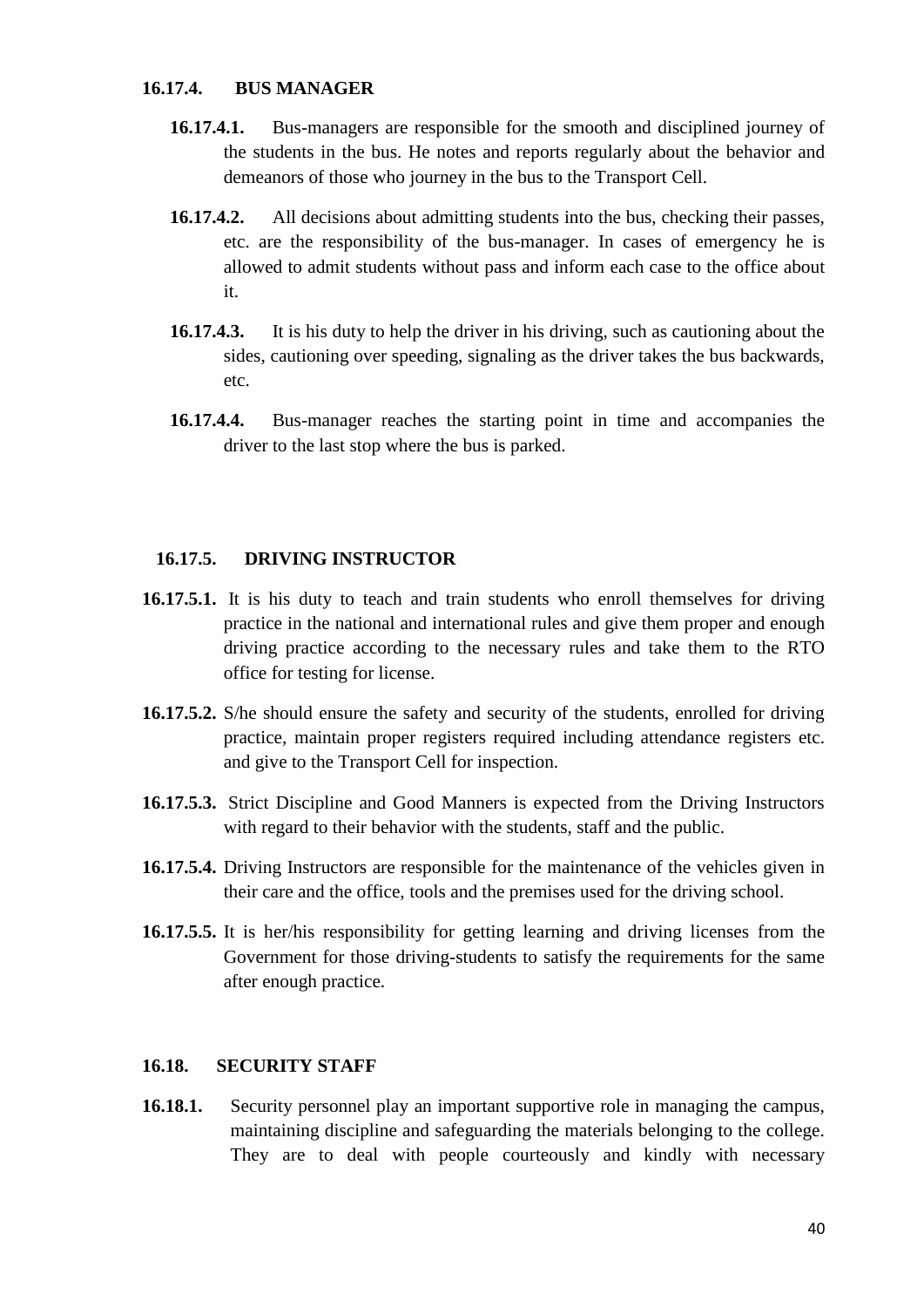### **16.17.4. BUS MANAGER**

- **16.17.4.1.** Bus-managers are responsible for the smooth and disciplined journey of the students in the bus. He notes and reports regularly about the behavior and demeanors of those who journey in the bus to the Transport Cell.
- **16.17.4.2.** All decisions about admitting students into the bus, checking their passes, etc. are the responsibility of the bus-manager. In cases of emergency he is allowed to admit students without pass and inform each case to the office about it.
- **16.17.4.3.** It is his duty to help the driver in his driving, such as cautioning about the sides, cautioning over speeding, signaling as the driver takes the bus backwards, etc.
- **16.17.4.4.** Bus-manager reaches the starting point in time and accompanies the driver to the last stop where the bus is parked.

### **16.17.5. DRIVING INSTRUCTOR**

- **16.17.5.1.** It is his duty to teach and train students who enroll themselves for driving practice in the national and international rules and give them proper and enough driving practice according to the necessary rules and take them to the RTO office for testing for license.
- **16.17.5.2.** S/he should ensure the safety and security of the students, enrolled for driving practice, maintain proper registers required including attendance registers etc. and give to the Transport Cell for inspection.
- **16.17.5.3.** Strict Discipline and Good Manners is expected from the Driving Instructors with regard to their behavior with the students, staff and the public.
- **16.17.5.4.** Driving Instructors are responsible for the maintenance of the vehicles given in their care and the office, tools and the premises used for the driving school.
- **16.17.5.5.** It is her/his responsibility for getting learning and driving licenses from the Government for those driving-students to satisfy the requirements for the same after enough practice.

#### **16.18. SECURITY STAFF**

**16.18.1.** Security personnel play an important supportive role in managing the campus, maintaining discipline and safeguarding the materials belonging to the college. They are to deal with people courteously and kindly with necessary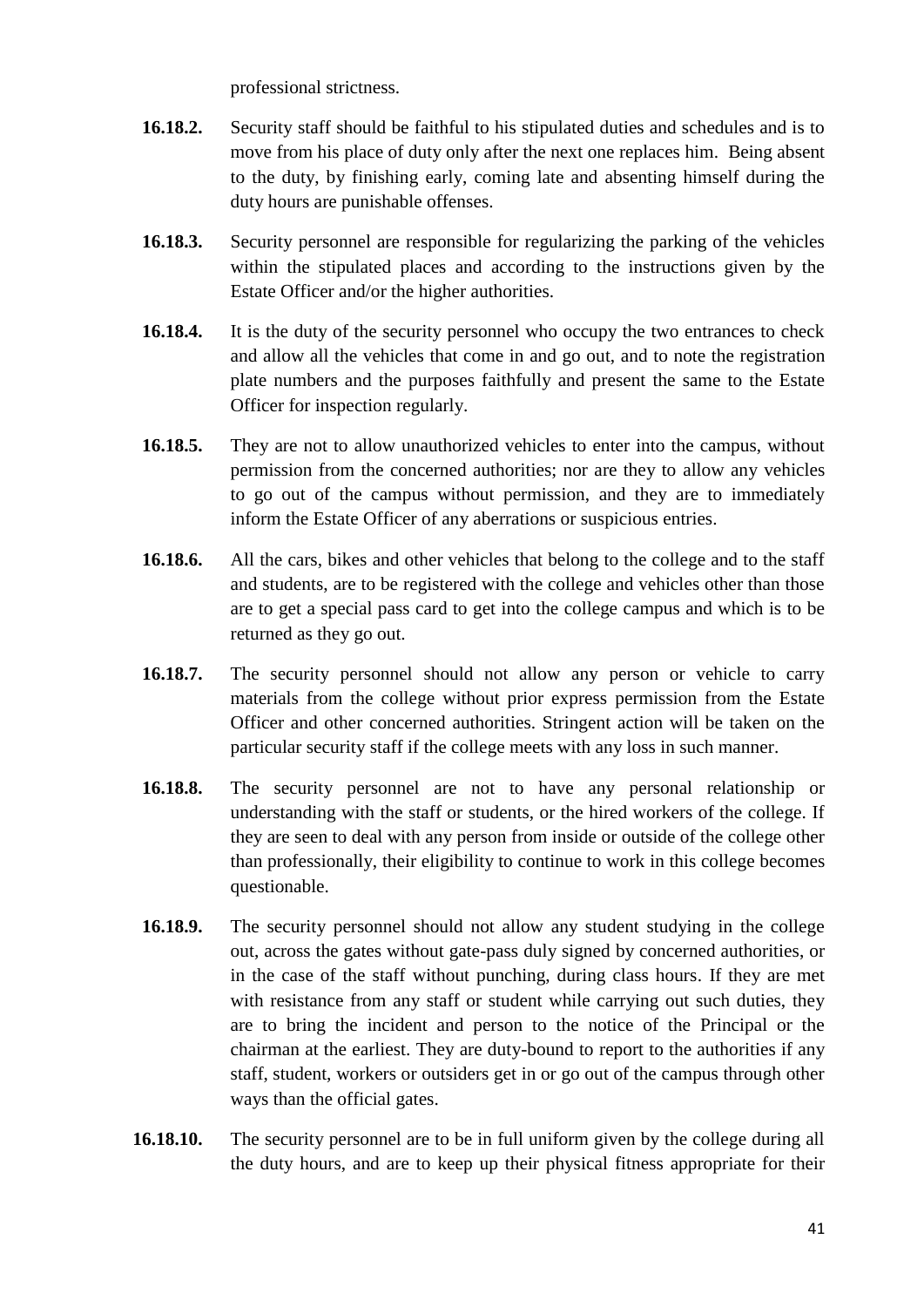professional strictness.

- **16.18.2.** Security staff should be faithful to his stipulated duties and schedules and is to move from his place of duty only after the next one replaces him. Being absent to the duty, by finishing early, coming late and absenting himself during the duty hours are punishable offenses.
- **16.18.3.** Security personnel are responsible for regularizing the parking of the vehicles within the stipulated places and according to the instructions given by the Estate Officer and/or the higher authorities.
- **16.18.4.** It is the duty of the security personnel who occupy the two entrances to check and allow all the vehicles that come in and go out, and to note the registration plate numbers and the purposes faithfully and present the same to the Estate Officer for inspection regularly.
- **16.18.5.** They are not to allow unauthorized vehicles to enter into the campus, without permission from the concerned authorities; nor are they to allow any vehicles to go out of the campus without permission, and they are to immediately inform the Estate Officer of any aberrations or suspicious entries.
- **16.18.6.** All the cars, bikes and other vehicles that belong to the college and to the staff and students, are to be registered with the college and vehicles other than those are to get a special pass card to get into the college campus and which is to be returned as they go out.
- **16.18.7.** The security personnel should not allow any person or vehicle to carry materials from the college without prior express permission from the Estate Officer and other concerned authorities. Stringent action will be taken on the particular security staff if the college meets with any loss in such manner.
- **16.18.8.** The security personnel are not to have any personal relationship or understanding with the staff or students, or the hired workers of the college. If they are seen to deal with any person from inside or outside of the college other than professionally, their eligibility to continue to work in this college becomes questionable.
- **16.18.9.** The security personnel should not allow any student studying in the college out, across the gates without gate-pass duly signed by concerned authorities, or in the case of the staff without punching, during class hours. If they are met with resistance from any staff or student while carrying out such duties, they are to bring the incident and person to the notice of the Principal or the chairman at the earliest. They are duty-bound to report to the authorities if any staff, student, workers or outsiders get in or go out of the campus through other ways than the official gates.
- **16.18.10.** The security personnel are to be in full uniform given by the college during all the duty hours, and are to keep up their physical fitness appropriate for their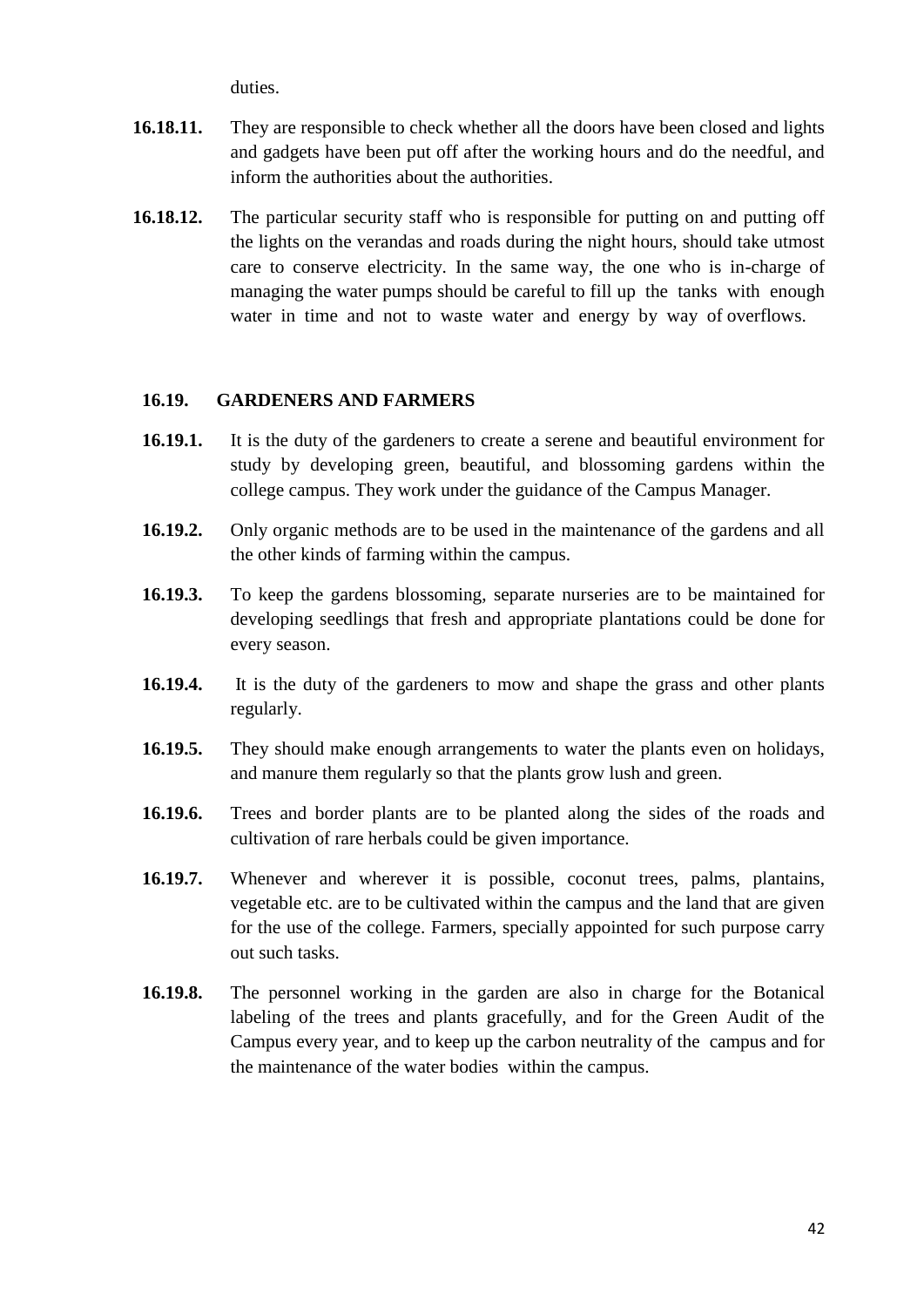duties.

- **16.18.11.** They are responsible to check whether all the doors have been closed and lights and gadgets have been put off after the working hours and do the needful, and inform the authorities about the authorities.
- **16.18.12.** The particular security staff who is responsible for putting on and putting off the lights on the verandas and roads during the night hours, should take utmost care to conserve electricity. In the same way, the one who is in-charge of managing the water pumps should be careful to fill up the tanks with enough water in time and not to waste water and energy by way of overflows.

# **16.19. GARDENERS AND FARMERS**

- **16.19.1.** It is the duty of the gardeners to create a serene and beautiful environment for study by developing green, beautiful, and blossoming gardens within the college campus. They work under the guidance of the Campus Manager.
- **16.19.2.** Only organic methods are to be used in the maintenance of the gardens and all the other kinds of farming within the campus.
- **16.19.3.** To keep the gardens blossoming, separate nurseries are to be maintained for developing seedlings that fresh and appropriate plantations could be done for every season.
- **16.19.4.** It is the duty of the gardeners to mow and shape the grass and other plants regularly.
- **16.19.5.** They should make enough arrangements to water the plants even on holidays, and manure them regularly so that the plants grow lush and green.
- **16.19.6.** Trees and border plants are to be planted along the sides of the roads and cultivation of rare herbals could be given importance.
- **16.19.7.** Whenever and wherever it is possible, coconut trees, palms, plantains, vegetable etc. are to be cultivated within the campus and the land that are given for the use of the college. Farmers, specially appointed for such purpose carry out such tasks.
- **16.19.8.** The personnel working in the garden are also in charge for the Botanical labeling of the trees and plants gracefully, and for the Green Audit of the Campus every year, and to keep up the carbon neutrality of the campus and for the maintenance of the water bodies within the campus.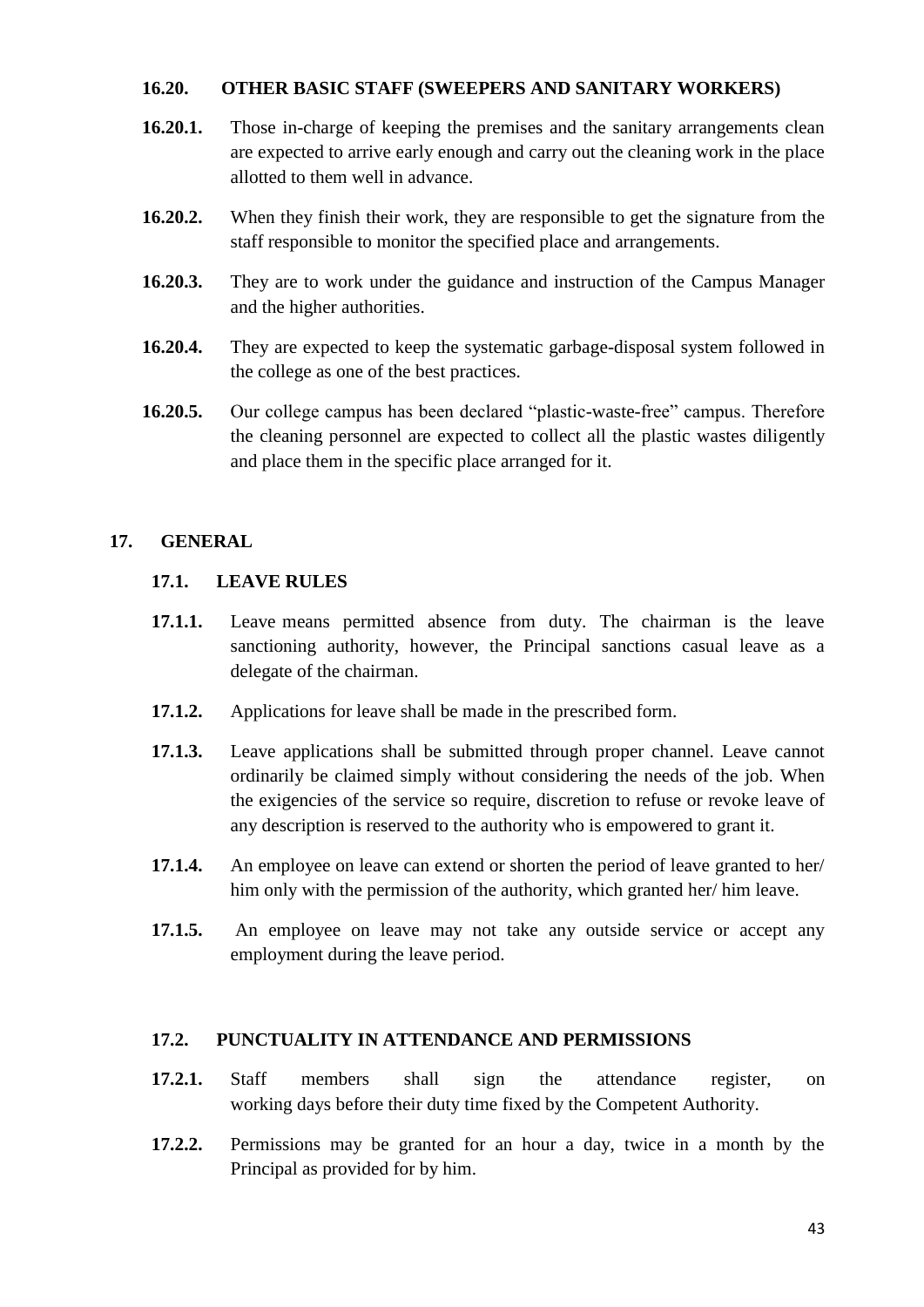### **16.20. OTHER BASIC STAFF (SWEEPERS AND SANITARY WORKERS)**

- **16.20.1.** Those in-charge of keeping the premises and the sanitary arrangements clean are expected to arrive early enough and carry out the cleaning work in the place allotted to them well in advance.
- **16.20.2.** When they finish their work, they are responsible to get the signature from the staff responsible to monitor the specified place and arrangements.
- **16.20.3.** They are to work under the guidance and instruction of the Campus Manager and the higher authorities.
- **16.20.4.** They are expected to keep the systematic garbage-disposal system followed in the college as one of the best practices.
- **16.20.5.** Our college campus has been declared "plastic-waste-free" campus. Therefore the cleaning personnel are expected to collect all the plastic wastes diligently and place them in the specific place arranged for it.

# **17. GENERAL**

# **17.1. LEAVE RULES**

- **17.1.1.** Leave means permitted absence from duty. The chairman is the leave sanctioning authority, however, the Principal sanctions casual leave as a delegate of the chairman.
- **17.1.2.** Applications for leave shall be made in the prescribed form.
- **17.1.3.** Leave applications shall be submitted through proper channel. Leave cannot ordinarily be claimed simply without considering the needs of the job. When the exigencies of the service so require, discretion to refuse or revoke leave of any description is reserved to the authority who is empowered to grant it.
- **17.1.4.** An employee on leave can extend or shorten the period of leave granted to her/ him only with the permission of the authority, which granted her/ him leave.
- **17.1.5.** An employee on leave may not take any outside service or accept any employment during the leave period.

# **17.2. PUNCTUALITY IN ATTENDANCE AND PERMISSIONS**

- **17.2.1.** Staff members shall sign the attendance register, on working days before their duty time fixed by the Competent Authority.
- **17.2.2.** Permissions may be granted for an hour a day, twice in a month by the Principal as provided for by him.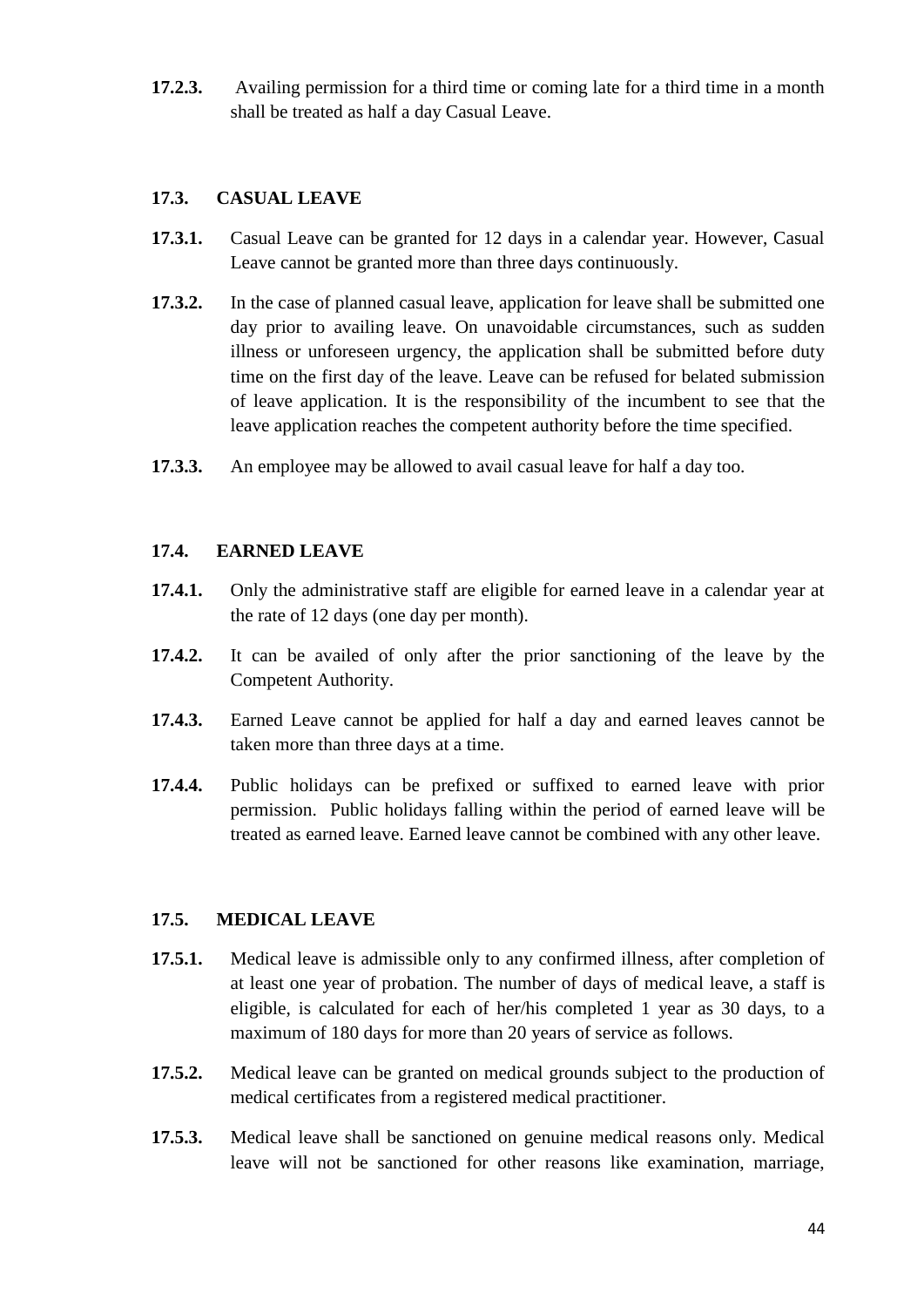**17.2.3.** Availing permission for a third time or coming late for a third time in a month shall be treated as half a day Casual Leave.

# **17.3. CASUAL LEAVE**

- **17.3.1.** Casual Leave can be granted for 12 days in a calendar year. However, Casual Leave cannot be granted more than three days continuously.
- **17.3.2.** In the case of planned casual leave, application for leave shall be submitted one day prior to availing leave. On unavoidable circumstances, such as sudden illness or unforeseen urgency, the application shall be submitted before duty time on the first day of the leave. Leave can be refused for belated submission of leave application. It is the responsibility of the incumbent to see that the leave application reaches the competent authority before the time specified.
- **17.3.3.** An employee may be allowed to avail casual leave for half a day too.

# **17.4. EARNED LEAVE**

- **17.4.1.** Only the administrative staff are eligible for earned leave in a calendar year at the rate of 12 days (one day per month).
- **17.4.2.** It can be availed of only after the prior sanctioning of the leave by the Competent Authority.
- **17.4.3.** Earned Leave cannot be applied for half a day and earned leaves cannot be taken more than three days at a time.
- **17.4.4.** Public holidays can be prefixed or suffixed to earned leave with prior permission. Public holidays falling within the period of earned leave will be treated as earned leave. Earned leave cannot be combined with any other leave.

# **17.5. MEDICAL LEAVE**

- **17.5.1.** Medical leave is admissible only to any confirmed illness, after completion of at least one year of probation. The number of days of medical leave, a staff is eligible, is calculated for each of her/his completed 1 year as 30 days, to a maximum of 180 days for more than 20 years of service as follows.
- **17.5.2.** Medical leave can be granted on medical grounds subject to the production of medical certificates from a registered medical practitioner.
- **17.5.3.** Medical leave shall be sanctioned on genuine medical reasons only. Medical leave will not be sanctioned for other reasons like examination, marriage,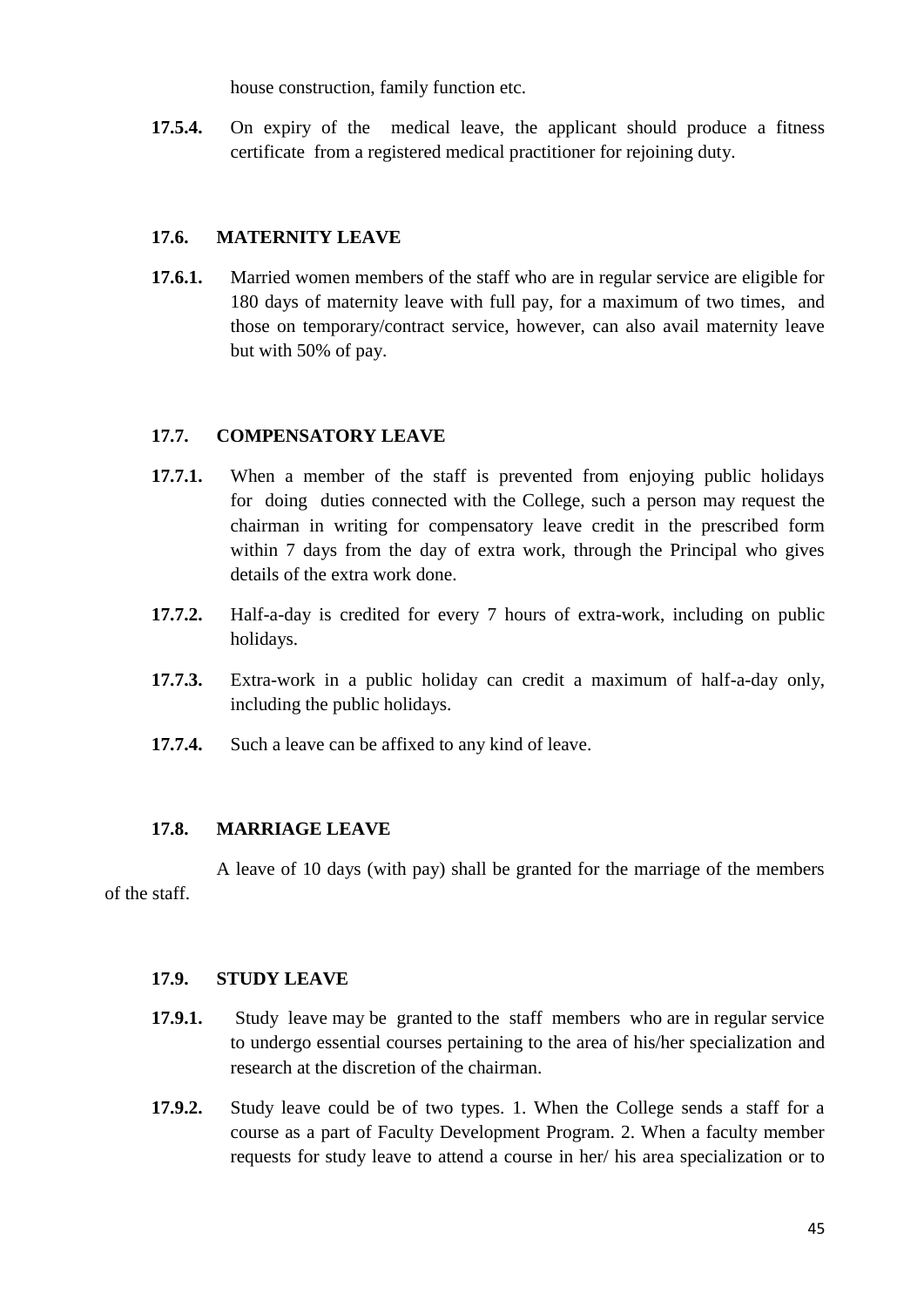house construction, family function etc.

**17.5.4.** On expiry of the medical leave, the applicant should produce a fitness certificate from a registered medical practitioner for rejoining duty.

# **17.6. MATERNITY LEAVE**

**17.6.1.** Married women members of the staff who are in regular service are eligible for 180 days of maternity leave with full pay, for a maximum of two times, and those on temporary/contract service, however, can also avail maternity leave but with 50% of pay.

# **17.7. COMPENSATORY LEAVE**

- **17.7.1.** When a member of the staff is prevented from enjoying public holidays for doing duties connected with the College, such a person may request the chairman in writing for compensatory leave credit in the prescribed form within 7 days from the day of extra work, through the Principal who gives details of the extra work done.
- **17.7.2.** Half-a-day is credited for every 7 hours of extra-work, including on public holidays.
- **17.7.3.** Extra-work in a public holiday can credit a maximum of half-a-day only, including the public holidays.
- **17.7.4.** Such a leave can be affixed to any kind of leave.

# **17.8. MARRIAGE LEAVE**

A leave of 10 days (with pay) shall be granted for the marriage of the members of the staff.

# **17.9. STUDY LEAVE**

- **17.9.1.** Study leave may be granted to the staff members who are in regular service to undergo essential courses pertaining to the area of his/her specialization and research at the discretion of the chairman.
- **17.9.2.** Study leave could be of two types. 1. When the College sends a staff for a course as a part of Faculty Development Program. 2. When a faculty member requests for study leave to attend a course in her/ his area specialization or to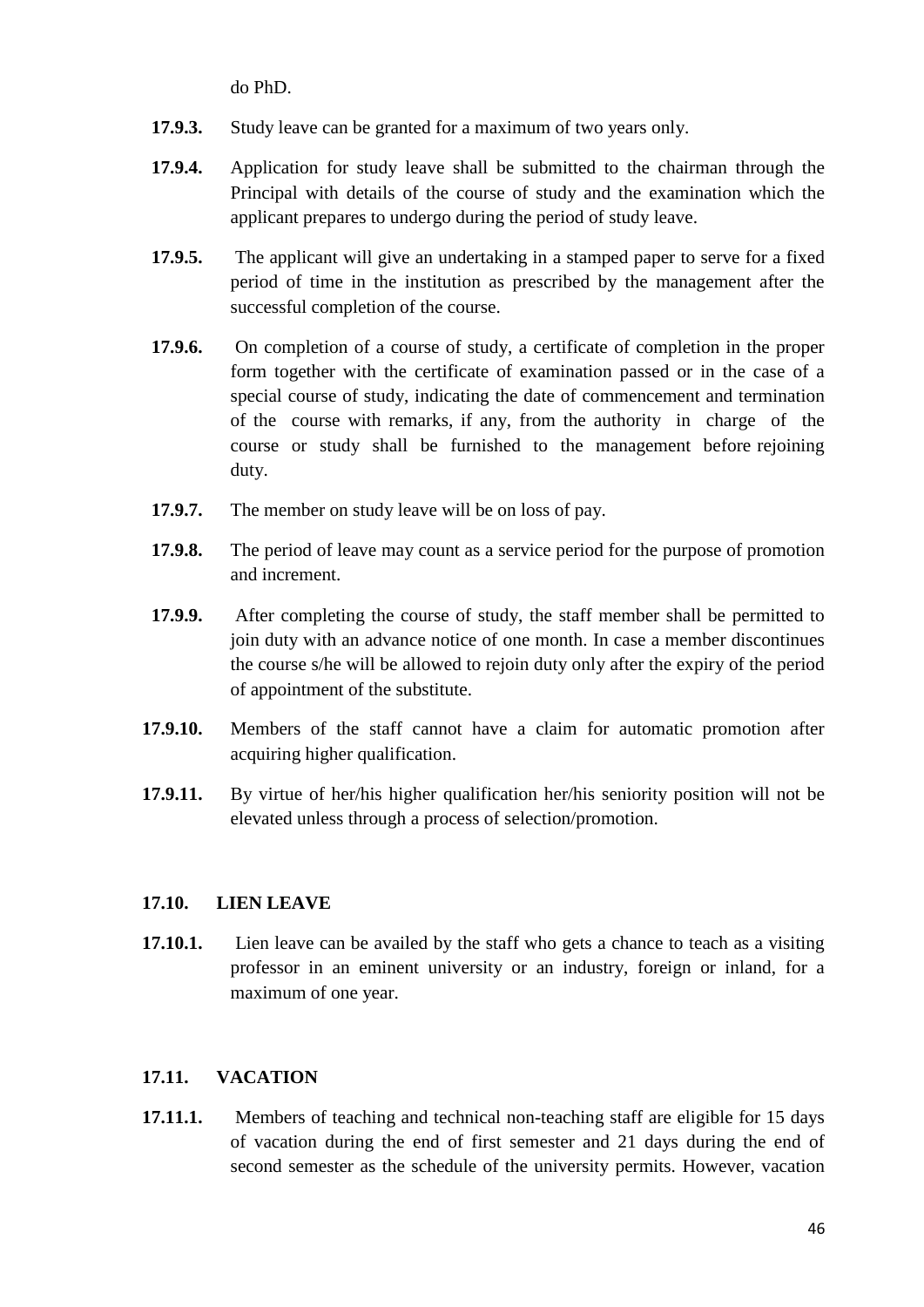do PhD.

- **17.9.3.** Study leave can be granted for a maximum of two years only.
- **17.9.4.** Application for study leave shall be submitted to the chairman through the Principal with details of the course of study and the examination which the applicant prepares to undergo during the period of study leave.
- **17.9.5.** The applicant will give an undertaking in a stamped paper to serve for a fixed period of time in the institution as prescribed by the management after the successful completion of the course.
- **17.9.6.** On completion of a course of study, a certificate of completion in the proper form together with the certificate of examination passed or in the case of a special course of study, indicating the date of commencement and termination of the course with remarks, if any, from the authority in charge of the course or study shall be furnished to the management before rejoining duty.
- **17.9.7.** The member on study leave will be on loss of pay.
- **17.9.8.** The period of leave may count as a service period for the purpose of promotion and increment.
- **17.9.9.** After completing the course of study, the staff member shall be permitted to join duty with an advance notice of one month. In case a member discontinues the course s/he will be allowed to rejoin duty only after the expiry of the period of appointment of the substitute.
- **17.9.10.** Members of the staff cannot have a claim for automatic promotion after acquiring higher qualification.
- **17.9.11.** By virtue of her/his higher qualification her/his seniority position will not be elevated unless through a process of selection/promotion.

#### **17.10. LIEN LEAVE**

**17.10.1.** Lien leave can be availed by the staff who gets a chance to teach as a visiting professor in an eminent university or an industry, foreign or inland, for a maximum of one year.

#### **17.11. VACATION**

**17.11.1.** Members of teaching and technical non-teaching staff are eligible for 15 days of vacation during the end of first semester and 21 days during the end of second semester as the schedule of the university permits. However, vacation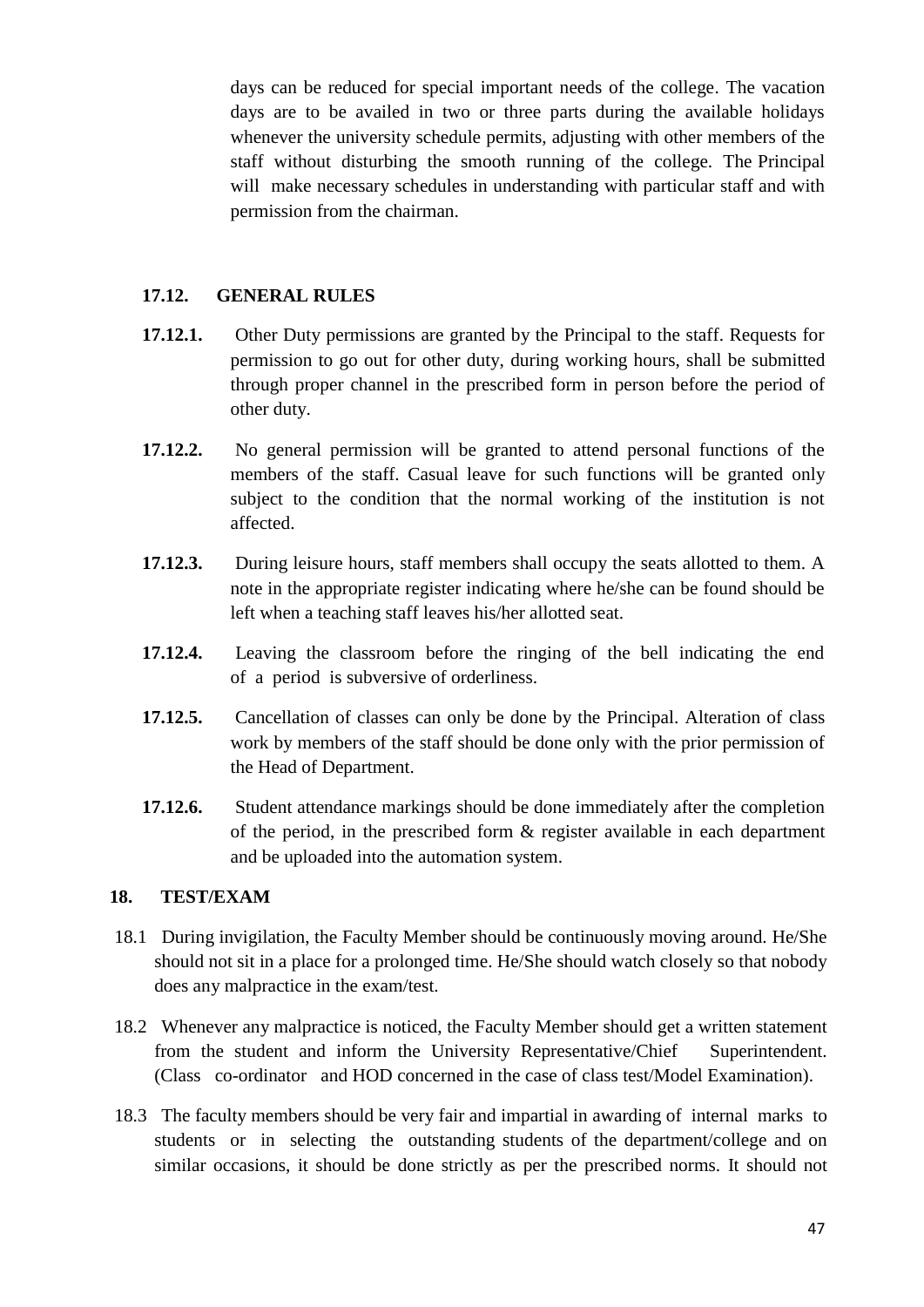days can be reduced for special important needs of the college. The vacation days are to be availed in two or three parts during the available holidays whenever the university schedule permits, adjusting with other members of the staff without disturbing the smooth running of the college. The Principal will make necessary schedules in understanding with particular staff and with permission from the chairman.

# **17.12. GENERAL RULES**

- **17.12.1.** Other Duty permissions are granted by the Principal to the staff. Requests for permission to go out for other duty, during working hours, shall be submitted through proper channel in the prescribed form in person before the period of other duty.
- **17.12.2.** No general permission will be granted to attend personal functions of the members of the staff. Casual leave for such functions will be granted only subject to the condition that the normal working of the institution is not affected.
- **17.12.3.** During leisure hours, staff members shall occupy the seats allotted to them. A note in the appropriate register indicating where he/she can be found should be left when a teaching staff leaves his/her allotted seat.
- **17.12.4.** Leaving the classroom before the ringing of the bell indicating the end of a period is subversive of orderliness.
- **17.12.5.** Cancellation of classes can only be done by the Principal. Alteration of class work by members of the staff should be done only with the prior permission of the Head of Department.
- **17.12.6.** Student attendance markings should be done immediately after the completion of the period, in the prescribed form & register available in each department and be uploaded into the automation system.

# **18. TEST/EXAM**

- 18.1 During invigilation, the Faculty Member should be continuously moving around. He/She should not sit in a place for a prolonged time. He/She should watch closely so that nobody does any malpractice in the exam/test.
- 18.2 Whenever any malpractice is noticed, the Faculty Member should get a written statement from the student and inform the University Representative/Chief Superintendent. (Class co-ordinator and HOD concerned in the case of class test/Model Examination).
- 18.3 The faculty members should be very fair and impartial in awarding of internal marks to students or in selecting the outstanding students of the department/college and on similar occasions, it should be done strictly as per the prescribed norms. It should not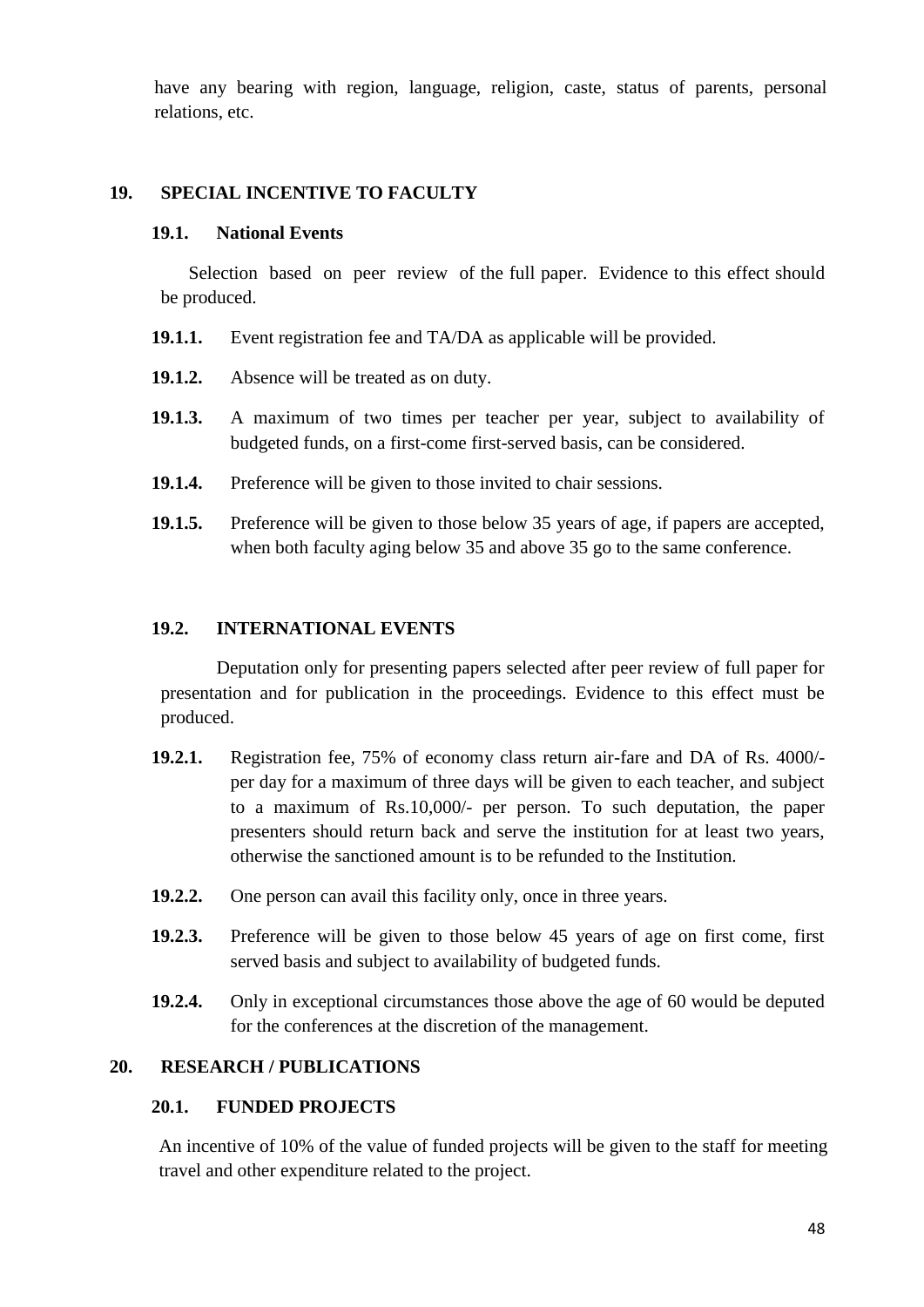have any bearing with region, language, religion, caste, status of parents, personal relations, etc.

# **19. SPECIAL INCENTIVE TO FACULTY**

### **19.1. National Events**

Selection based on peer review of the full paper. Evidence to this effect should be produced.

- **19.1.1.** Event registration fee and TA/DA as applicable will be provided.
- **19.1.2.** Absence will be treated as on duty.
- **19.1.3.** A maximum of two times per teacher per year, subject to availability of budgeted funds, on a first-come first-served basis, can be considered.
- **19.1.4.** Preference will be given to those invited to chair sessions.
- **19.1.5.** Preference will be given to those below 35 years of age, if papers are accepted, when both faculty aging below 35 and above 35 go to the same conference.

# **19.2. INTERNATIONAL EVENTS**

Deputation only for presenting papers selected after peer review of full paper for presentation and for publication in the proceedings. Evidence to this effect must be produced.

- **19.2.1.** Registration fee, 75% of economy class return air-fare and DA of Rs. 4000/ per day for a maximum of three days will be given to each teacher, and subject to a maximum of Rs.10,000/- per person. To such deputation, the paper presenters should return back and serve the institution for at least two years, otherwise the sanctioned amount is to be refunded to the Institution.
- **19.2.2.** One person can avail this facility only, once in three years.
- **19.2.3.** Preference will be given to those below 45 years of age on first come, first served basis and subject to availability of budgeted funds.
- **19.2.4.** Only in exceptional circumstances those above the age of 60 would be deputed for the conferences at the discretion of the management.

# **20. RESEARCH / PUBLICATIONS**

# **20.1. FUNDED PROJECTS**

An incentive of 10% of the value of funded projects will be given to the staff for meeting travel and other expenditure related to the project.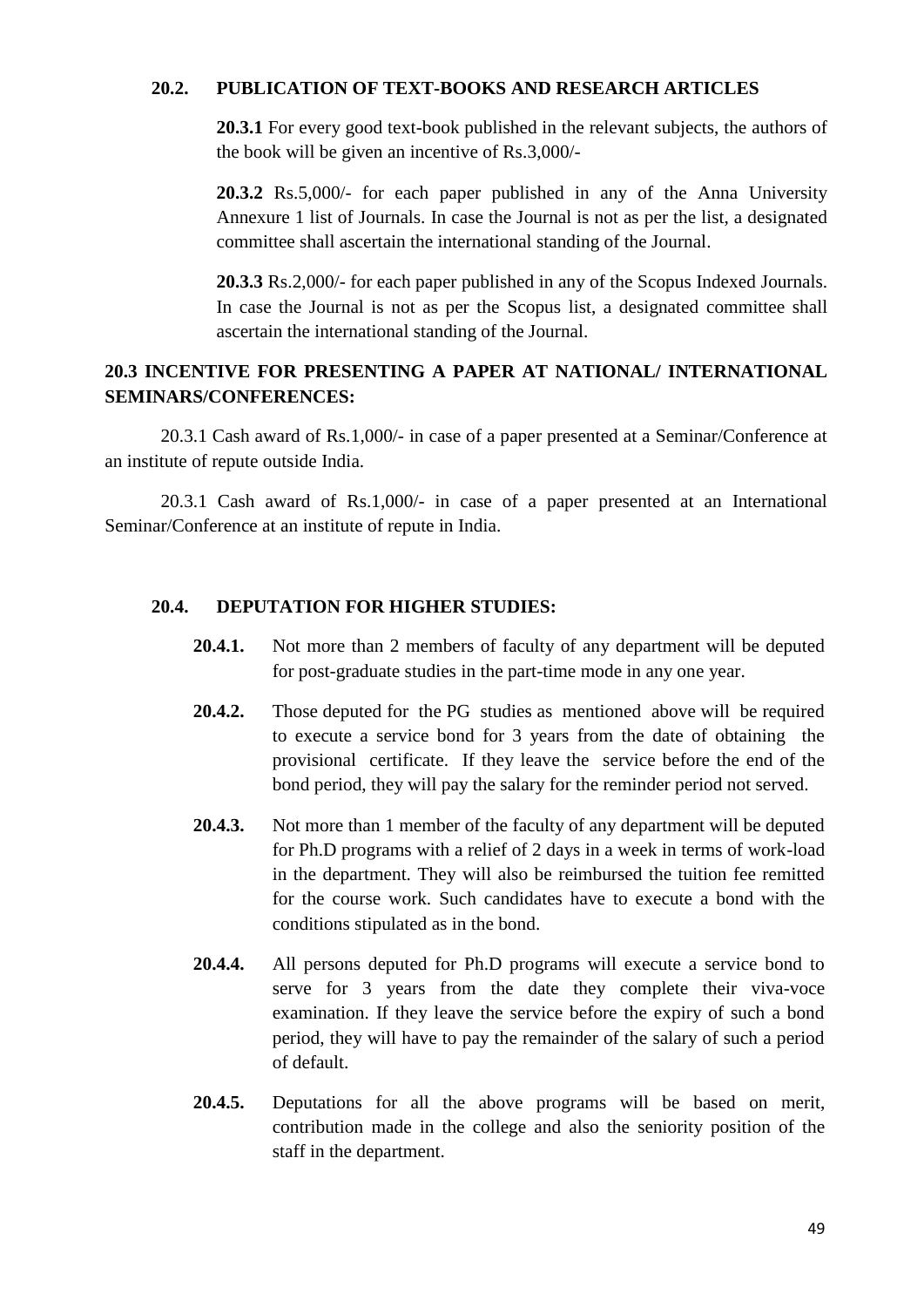### **20.2. PUBLICATION OF TEXT-BOOKS AND RESEARCH ARTICLES**

**20.3.1** For every good text-book published in the relevant subjects, the authors of the book will be given an incentive of Rs.3,000/-

**20.3.2** Rs.5,000/- for each paper published in any of the Anna University Annexure 1 list of Journals. In case the Journal is not as per the list, a designated committee shall ascertain the international standing of the Journal.

**20.3.3** Rs.2,000/- for each paper published in any of the Scopus Indexed Journals. In case the Journal is not as per the Scopus list, a designated committee shall ascertain the international standing of the Journal.

# **20.3 INCENTIVE FOR PRESENTING A PAPER AT NATIONAL/ INTERNATIONAL SEMINARS/CONFERENCES:**

20.3.1 Cash award of Rs.1,000/- in case of a paper presented at a Seminar/Conference at an institute of repute outside India.

20.3.1 Cash award of Rs.1,000/- in case of a paper presented at an International Seminar/Conference at an institute of repute in India.

# **20.4. DEPUTATION FOR HIGHER STUDIES:**

- **20.4.1.** Not more than 2 members of faculty of any department will be deputed for post-graduate studies in the part-time mode in any one year.
- **20.4.2.** Those deputed for the PG studies as mentioned above will be required to execute a service bond for 3 years from the date of obtaining the provisional certificate. If they leave the service before the end of the bond period, they will pay the salary for the reminder period not served.
- **20.4.3.** Not more than 1 member of the faculty of any department will be deputed for Ph.D programs with a relief of 2 days in a week in terms of work-load in the department. They will also be reimbursed the tuition fee remitted for the course work. Such candidates have to execute a bond with the conditions stipulated as in the bond.
- **20.4.4.** All persons deputed for Ph.D programs will execute a service bond to serve for 3 years from the date they complete their viva-voce examination. If they leave the service before the expiry of such a bond period, they will have to pay the remainder of the salary of such a period of default.
- **20.4.5.** Deputations for all the above programs will be based on merit, contribution made in the college and also the seniority position of the staff in the department.